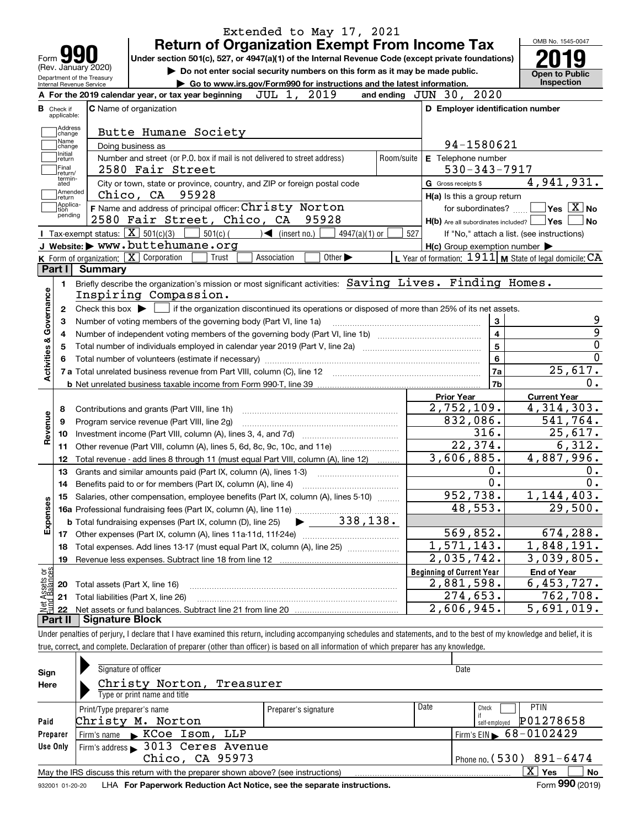| <b>Return of Organization Exempt From Income Tax</b><br>Under section 501(c), 527, or 4947(a)(1) of the Internal Revenue Code (except private foundations)<br>Form $\sum$<br>(Rev. January 2020)<br>Do not enter social security numbers on this form as it may be made public.<br>Department of the Treasury |                                                           |                                                                  |
|---------------------------------------------------------------------------------------------------------------------------------------------------------------------------------------------------------------------------------------------------------------------------------------------------------------|-----------------------------------------------------------|------------------------------------------------------------------|
|                                                                                                                                                                                                                                                                                                               |                                                           |                                                                  |
|                                                                                                                                                                                                                                                                                                               |                                                           | <b>Open to Public</b>                                            |
| Go to www.irs.gov/Form990 for instructions and the latest information.<br>Internal Revenue Service                                                                                                                                                                                                            |                                                           | <b>Inspection</b>                                                |
| 2019<br>JUL 1,<br>A For the 2019 calendar year, or tax year beginning                                                                                                                                                                                                                                         | and ending JUN 30, 2020                                   |                                                                  |
| <b>C</b> Name of organization<br><b>B</b> Check if<br>applicable:                                                                                                                                                                                                                                             | D Employer identification number                          |                                                                  |
| Address<br>Butte Humane Society<br>change<br>Name                                                                                                                                                                                                                                                             |                                                           |                                                                  |
| Doing business as<br>change<br>Initial                                                                                                                                                                                                                                                                        | 94-1580621                                                |                                                                  |
| Number and street (or P.O. box if mail is not delivered to street address)<br>Room/suite<br>return<br>Final<br>2580 Fair Street<br>return/                                                                                                                                                                    | E Telephone number<br>$530 - 343 - 7917$                  |                                                                  |
| termin-<br>City or town, state or province, country, and ZIP or foreign postal code<br>ated                                                                                                                                                                                                                   | G Gross receipts \$                                       | 4,941,931.                                                       |
| Amended<br>Chico, CA 95928<br>return                                                                                                                                                                                                                                                                          | H(a) Is this a group return                               |                                                                  |
| Applica-<br>F Name and address of principal officer: Christy Norton<br>tion<br>pending                                                                                                                                                                                                                        | for subordinates?                                         | $ {\mathsf Y}{\mathsf e}{\mathsf s} \ \overline{{\mathsf X}}$ No |
| 2580 Fair Street, Chico, CA 95928                                                                                                                                                                                                                                                                             | $H(b)$ Are all subordinates included? $\Box$ Yes          | <b>No</b>                                                        |
| Tax-exempt status: $X \overline{X}$ 501(c)(3)<br>501(c) (<br>$\sum$ (insert no.)<br>$4947(a)(1)$ or                                                                                                                                                                                                           | 527                                                       | If "No," attach a list. (see instructions)                       |
| J Website: > www.buttehumane.org                                                                                                                                                                                                                                                                              | $H(c)$ Group exemption number $\blacktriangleright$       |                                                                  |
| K Form of organization: X Corporation<br>Other $\blacktriangleright$<br>Trust<br>Association                                                                                                                                                                                                                  | L Year of formation: $1911$ M State of legal domicile: CA |                                                                  |
| Part I<br><b>Summary</b>                                                                                                                                                                                                                                                                                      |                                                           |                                                                  |
| Briefly describe the organization's mission or most significant activities: Saving Lives. Finding Homes.<br>1.                                                                                                                                                                                                |                                                           |                                                                  |
| Inspiring Compassion.                                                                                                                                                                                                                                                                                         |                                                           |                                                                  |
| Check this box $\triangleright$ $\blacksquare$ if the organization discontinued its operations or disposed of more than 25% of its net assets.<br>2                                                                                                                                                           |                                                           |                                                                  |
| Number of voting members of the governing body (Part VI, line 1a)<br>з                                                                                                                                                                                                                                        | 3                                                         |                                                                  |
| 4                                                                                                                                                                                                                                                                                                             | $\overline{\mathbf{4}}$                                   |                                                                  |
| 5                                                                                                                                                                                                                                                                                                             | 5                                                         |                                                                  |
|                                                                                                                                                                                                                                                                                                               | 6                                                         |                                                                  |
|                                                                                                                                                                                                                                                                                                               | <b>7a</b>                                                 | 25,617.                                                          |
|                                                                                                                                                                                                                                                                                                               | 7b                                                        | $\overline{0}$ .                                                 |
|                                                                                                                                                                                                                                                                                                               | <b>Prior Year</b>                                         | <b>Current Year</b>                                              |
| Contributions and grants (Part VIII, line 1h)<br>8                                                                                                                                                                                                                                                            | $\overline{2,752,109}$ .                                  | 4,314,303.                                                       |
| Program service revenue (Part VIII, line 2g)<br>9                                                                                                                                                                                                                                                             | 832,086.                                                  | 541,764.                                                         |
| 10                                                                                                                                                                                                                                                                                                            | 316.                                                      | 25,617.                                                          |
| Other revenue (Part VIII, column (A), lines 5, 6d, 8c, 9c, 10c, and 11e)<br>11                                                                                                                                                                                                                                | 22,374.                                                   | 6,312.                                                           |
| Total revenue - add lines 8 through 11 (must equal Part VIII, column (A), line 12)<br>12                                                                                                                                                                                                                      | 3,606,885.                                                | 4,887,996.                                                       |
| 13<br>Grants and similar amounts paid (Part IX, column (A), lines 1-3)                                                                                                                                                                                                                                        | 0.                                                        | 0.                                                               |
|                                                                                                                                                                                                                                                                                                               | 0.                                                        | 0.                                                               |
| Salaries, other compensation, employee benefits (Part IX, column (A), lines 5-10)<br>15                                                                                                                                                                                                                       | 952,738.                                                  | 1,144,403.                                                       |
|                                                                                                                                                                                                                                                                                                               | 48,553.                                                   | $\overline{29}$ , 500.                                           |
| 338,138.                                                                                                                                                                                                                                                                                                      |                                                           |                                                                  |
| <b>b</b> Total fundraising expenses (Part IX, column (D), line 25)                                                                                                                                                                                                                                            | 569,852.                                                  | 674,288.                                                         |
| 17                                                                                                                                                                                                                                                                                                            | 1,571,143.                                                | 1,848,191.                                                       |
| Total expenses. Add lines 13-17 (must equal Part IX, column (A), line 25) [<br>18                                                                                                                                                                                                                             | 2,035,742.                                                |                                                                  |
| 19                                                                                                                                                                                                                                                                                                            |                                                           | 3,039,805.                                                       |
| t Assets or<br>d Balances                                                                                                                                                                                                                                                                                     | <b>Beginning of Current Year</b>                          | <b>End of Year</b>                                               |
| Total assets (Part X, line 16)<br>20                                                                                                                                                                                                                                                                          | 2,881,598.                                                | 6,453,727.                                                       |
|                                                                                                                                                                                                                                                                                                               | 274,653.                                                  | 762,708.                                                         |
| Total liabilities (Part X, line 26)<br>21                                                                                                                                                                                                                                                                     |                                                           |                                                                  |
| 혏<br>22                                                                                                                                                                                                                                                                                                       | 2,606,945.                                                | $\overline{5,691,019}$ .                                         |
| <b>Signature Block</b><br>Part II                                                                                                                                                                                                                                                                             |                                                           |                                                                  |
| Under penalties of perjury, I declare that I have examined this return, including accompanying schedules and statements, and to the best of my knowledge and belief, it is                                                                                                                                    |                                                           |                                                                  |

| Sign     | Signature of officer                                                              |                      |      | Date                                   |
|----------|-----------------------------------------------------------------------------------|----------------------|------|----------------------------------------|
| Here     | Christy Norton,<br>Treasurer                                                      |                      |      |                                        |
|          | Type or print name and title                                                      |                      |      |                                        |
|          | Print/Type preparer's name                                                        | Preparer's signature | Date | <b>PTIN</b><br>Check                   |
| Paid     | Christy M. Norton                                                                 |                      |      | P01278658<br>self-employed             |
| Preparer | $\blacktriangleright$ KCoe Isom, LLP<br>Firm's name                               |                      |      | Firm's EIN $\triangleright$ 68-0102429 |
| Use Only | Firm's address > 3013 Ceres Avenue                                                |                      |      |                                        |
|          | Chico, CA 95973                                                                   |                      |      | Phone no. $(530)$ 891-6474             |
|          | May the IRS discuss this return with the preparer shown above? (see instructions) |                      |      | x<br>No<br><b>Yes</b>                  |
|          |                                                                                   |                      |      | $000 \times 10^{-1}$<br>-              |

932001 01-20-20 **For Paperwork Reduction Act Notice, see the separate instructions.** LHA Form (2019)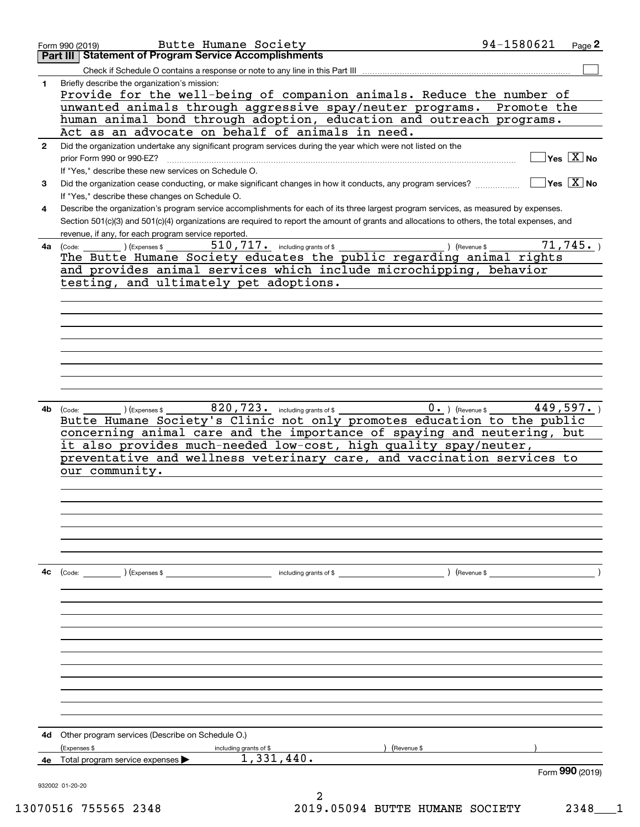|              | Butte Humane Society<br>Form 990 (2019)                                                                                                      | 94-1580621<br>Page 2                   |
|--------------|----------------------------------------------------------------------------------------------------------------------------------------------|----------------------------------------|
|              | <b>Statement of Program Service Accomplishments</b><br>Part III                                                                              |                                        |
|              | Check if Schedule O contains a response or note to any line in this Part III                                                                 |                                        |
| 1            | Briefly describe the organization's mission:                                                                                                 |                                        |
|              | Provide for the well-being of companion animals. Reduce the number of                                                                        |                                        |
|              | unwanted animals through aggressive spay/neuter programs.                                                                                    | Promote the                            |
|              | human animal bond through adoption, education and outreach programs.                                                                         |                                        |
|              | Act as an advocate on behalf of animals in need.                                                                                             |                                        |
| $\mathbf{2}$ | Did the organization undertake any significant program services during the year which were not listed on the                                 |                                        |
|              | prior Form 990 or 990-EZ?                                                                                                                    | $Yes \ \boxed{X}$ No                   |
|              | If "Yes," describe these new services on Schedule O.                                                                                         |                                        |
| 3            | Did the organization cease conducting, or make significant changes in how it conducts, any program services?                                 | $\sqrt{}$ Yes $\sqrt{}$ X $\sqrt{}$ No |
|              | If "Yes," describe these changes on Schedule O.                                                                                              |                                        |
| 4            | Describe the organization's program service accomplishments for each of its three largest program services, as measured by expenses.         |                                        |
|              | Section 501(c)(3) and 501(c)(4) organizations are required to report the amount of grants and allocations to others, the total expenses, and |                                        |
|              | revenue, if any, for each program service reported.                                                                                          |                                        |
| 4a           | $510$ , $717$ $\cdot$ including grants of \$<br>(Expenses \$<br>(Code:                                                                       | 71, 745.<br>) (Revenue \$              |
|              | The Butte Humane Society educates the public regarding animal rights                                                                         |                                        |
|              | and provides animal services which include microchipping, behavior                                                                           |                                        |
|              | testing, and ultimately pet adoptions.                                                                                                       |                                        |
|              |                                                                                                                                              |                                        |
|              |                                                                                                                                              |                                        |
|              |                                                                                                                                              |                                        |
|              |                                                                                                                                              |                                        |
|              |                                                                                                                                              |                                        |
|              |                                                                                                                                              |                                        |
|              |                                                                                                                                              |                                        |
|              |                                                                                                                                              |                                        |
|              |                                                                                                                                              |                                        |
| 4b           | 820, 723. including grants of \$<br>) (Expenses \$<br>(Code:                                                                                 | 449,597.<br>$0.$ ) (Revenue \$         |
|              | Butte Humane Society's Clinic not only promotes education to the public                                                                      |                                        |
|              | concerning animal care and the importance of spaying and neutering, but                                                                      |                                        |
|              | it also provides much-needed low-cost, high quality spay/neuter,                                                                             |                                        |
|              | preventative and wellness veterinary care, and vaccination services to                                                                       |                                        |
|              | our community.                                                                                                                               |                                        |
|              |                                                                                                                                              |                                        |
|              |                                                                                                                                              |                                        |
|              |                                                                                                                                              |                                        |
|              |                                                                                                                                              |                                        |
|              |                                                                                                                                              |                                        |
|              |                                                                                                                                              |                                        |
|              |                                                                                                                                              |                                        |
| 4c           | (Code: ) (Expenses \$<br>including grants of \$                                                                                              | (Revenue \$                            |
|              |                                                                                                                                              |                                        |
|              |                                                                                                                                              |                                        |
|              |                                                                                                                                              |                                        |
|              |                                                                                                                                              |                                        |
|              |                                                                                                                                              |                                        |
|              |                                                                                                                                              |                                        |
|              |                                                                                                                                              |                                        |
|              |                                                                                                                                              |                                        |
|              |                                                                                                                                              |                                        |
|              |                                                                                                                                              |                                        |
|              |                                                                                                                                              |                                        |
|              |                                                                                                                                              |                                        |
| 4d           | Other program services (Describe on Schedule O.)                                                                                             |                                        |
|              | (Expenses \$<br>(Revenue \$<br>including grants of \$                                                                                        |                                        |
| 4е           | 1,331,440.<br>Total program service expenses                                                                                                 |                                        |
|              |                                                                                                                                              | Form 990 (2019)                        |
|              | 932002 01-20-20                                                                                                                              |                                        |
|              | 2                                                                                                                                            |                                        |

13070516 755565 2348 2019.05094 BUTTE HUMANE SOCIETY 2348\_\_\_1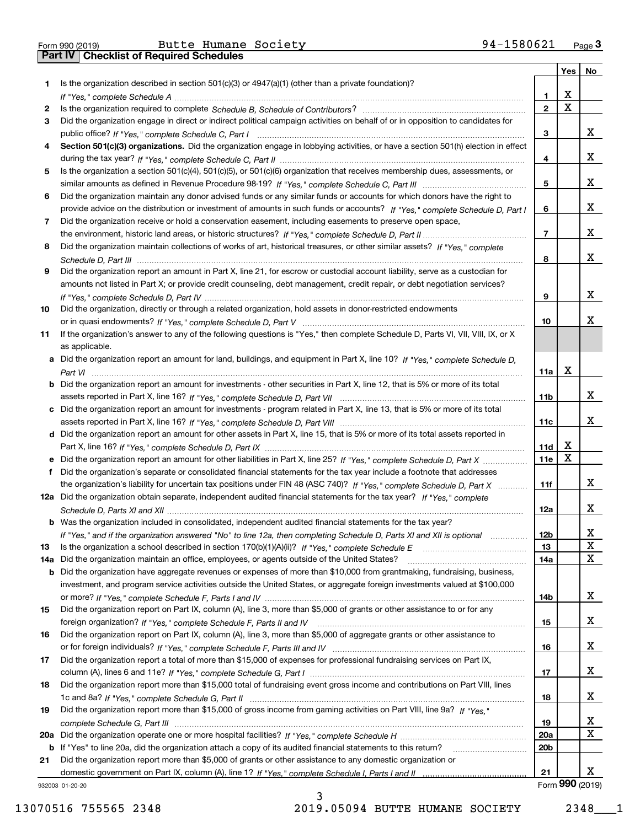Form 990 (2019) Butte Humane Society 94-1580621 <sub>Page</sub> 3<br>**Part IV | Checklist of Required Schedules** 

|     |                                                                                                                                       |                 | Yes    | No |
|-----|---------------------------------------------------------------------------------------------------------------------------------------|-----------------|--------|----|
| 1.  | Is the organization described in section $501(c)(3)$ or $4947(a)(1)$ (other than a private foundation)?                               |                 |        |    |
|     |                                                                                                                                       | 1               | х      |    |
| 2   |                                                                                                                                       | $\mathbf{2}$    | X      |    |
| 3   | Did the organization engage in direct or indirect political campaign activities on behalf of or in opposition to candidates for       |                 |        |    |
|     |                                                                                                                                       | 3               |        | x  |
| 4   | Section 501(c)(3) organizations. Did the organization engage in lobbying activities, or have a section 501(h) election in effect      |                 |        |    |
|     |                                                                                                                                       | 4               |        | x  |
| 5   | Is the organization a section 501(c)(4), 501(c)(5), or 501(c)(6) organization that receives membership dues, assessments, or          |                 |        |    |
|     |                                                                                                                                       | 5               |        | x  |
| 6   | Did the organization maintain any donor advised funds or any similar funds or accounts for which donors have the right to             |                 |        |    |
|     | provide advice on the distribution or investment of amounts in such funds or accounts? If "Yes," complete Schedule D, Part I          | 6               |        | x  |
| 7   | Did the organization receive or hold a conservation easement, including easements to preserve open space,                             |                 |        |    |
|     |                                                                                                                                       | 7               |        | x  |
| 8   | Did the organization maintain collections of works of art, historical treasures, or other similar assets? If "Yes," complete          |                 |        |    |
|     |                                                                                                                                       | 8               |        | x  |
| 9   | Did the organization report an amount in Part X, line 21, for escrow or custodial account liability, serve as a custodian for         |                 |        |    |
|     | amounts not listed in Part X; or provide credit counseling, debt management, credit repair, or debt negotiation services?             |                 |        |    |
|     |                                                                                                                                       | 9               |        | x  |
| 10  | Did the organization, directly or through a related organization, hold assets in donor-restricted endowments                          |                 |        |    |
|     |                                                                                                                                       | 10              |        | х  |
| 11  | If the organization's answer to any of the following questions is "Yes," then complete Schedule D, Parts VI, VII, VIII, IX, or X      |                 |        |    |
|     | as applicable.                                                                                                                        |                 |        |    |
|     | a Did the organization report an amount for land, buildings, and equipment in Part X, line 10? If "Yes," complete Schedule D,         |                 |        |    |
|     |                                                                                                                                       | 11a             | x      |    |
|     |                                                                                                                                       |                 |        |    |
|     | <b>b</b> Did the organization report an amount for investments - other securities in Part X, line 12, that is 5% or more of its total |                 |        | x  |
|     |                                                                                                                                       | 11b             |        |    |
|     | c Did the organization report an amount for investments - program related in Part X, line 13, that is 5% or more of its total         |                 |        | x  |
|     |                                                                                                                                       | 11c             |        |    |
|     | d Did the organization report an amount for other assets in Part X, line 15, that is 5% or more of its total assets reported in       |                 |        |    |
|     |                                                                                                                                       | 11d             | x<br>X |    |
| е   | Did the organization report an amount for other liabilities in Part X, line 25? If "Yes," complete Schedule D, Part X                 | 11e             |        |    |
| f   | Did the organization's separate or consolidated financial statements for the tax year include a footnote that addresses               |                 |        |    |
|     | the organization's liability for uncertain tax positions under FIN 48 (ASC 740)? If "Yes," complete Schedule D, Part X                | 11f             |        | x  |
|     | 12a Did the organization obtain separate, independent audited financial statements for the tax year? If "Yes," complete               |                 |        |    |
|     |                                                                                                                                       | 12a             |        | x  |
|     | <b>b</b> Was the organization included in consolidated, independent audited financial statements for the tax year?                    |                 |        |    |
|     | If "Yes," and if the organization answered "No" to line 12a, then completing Schedule D, Parts XI and XII is optional                 | 12 <sub>b</sub> |        | х  |
| 13  | Is the organization a school described in section $170(b)(1)(A)(ii)?$ If "Yes," complete Schedule E                                   | 13              |        | X  |
| 14a | Did the organization maintain an office, employees, or agents outside of the United States?                                           | 14a             |        | x  |
|     | b Did the organization have aggregate revenues or expenses of more than \$10,000 from grantmaking, fundraising, business,             |                 |        |    |
|     | investment, and program service activities outside the United States, or aggregate foreign investments valued at \$100,000            |                 |        |    |
|     |                                                                                                                                       | 14b             |        | x  |
| 15  | Did the organization report on Part IX, column (A), line 3, more than \$5,000 of grants or other assistance to or for any             |                 |        |    |
|     |                                                                                                                                       | 15              |        | x  |
| 16  | Did the organization report on Part IX, column (A), line 3, more than \$5,000 of aggregate grants or other assistance to              |                 |        |    |
|     |                                                                                                                                       | 16              |        | x  |
| 17  | Did the organization report a total of more than \$15,000 of expenses for professional fundraising services on Part IX,               |                 |        |    |
|     |                                                                                                                                       | 17              |        | x  |
| 18  | Did the organization report more than \$15,000 total of fundraising event gross income and contributions on Part VIII, lines          |                 |        |    |
|     |                                                                                                                                       | 18              |        | x  |
| 19  | Did the organization report more than \$15,000 of gross income from gaming activities on Part VIII, line 9a? If "Yes."                |                 |        |    |
|     |                                                                                                                                       | 19              |        | x  |
|     |                                                                                                                                       | 20a             |        | X  |
|     | b If "Yes" to line 20a, did the organization attach a copy of its audited financial statements to this return?                        | 20 <sub>b</sub> |        |    |
| 21  | Did the organization report more than \$5,000 of grants or other assistance to any domestic organization or                           |                 |        |    |
|     |                                                                                                                                       | 21              |        | X. |
|     |                                                                                                                                       |                 |        |    |

932003 01-20-20

Form (2019) **990**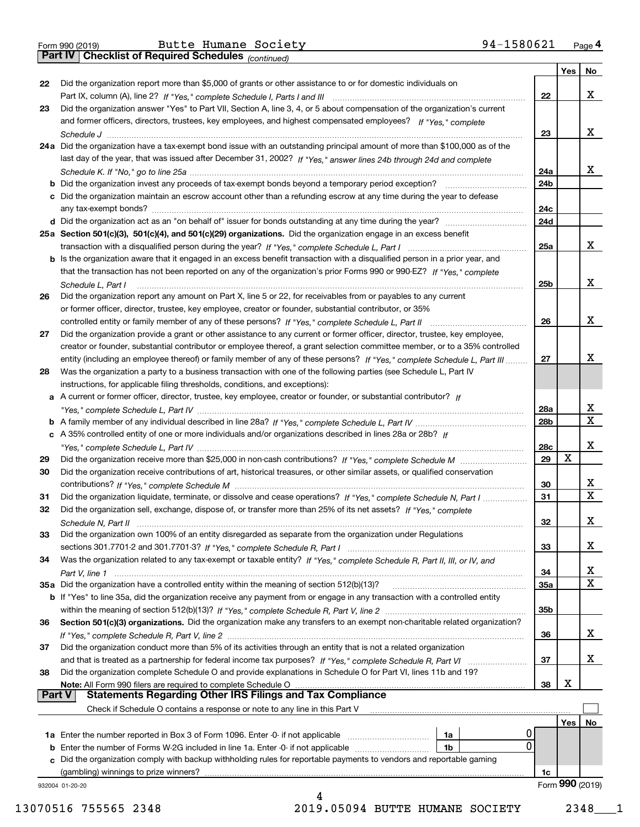Form 990 (2019) Butte Humane Society 94-1580621 <sub>Page</sub> 4<br>**Part IV | Checklist of Required Schedules** <sub>(continued)</sub>

*(continued)*

|               |                                                                                                                                                                                                                                                            |          | Yes             | No                           |
|---------------|------------------------------------------------------------------------------------------------------------------------------------------------------------------------------------------------------------------------------------------------------------|----------|-----------------|------------------------------|
| 22            | Did the organization report more than \$5,000 of grants or other assistance to or for domestic individuals on                                                                                                                                              |          |                 |                              |
|               |                                                                                                                                                                                                                                                            | 22       |                 | х                            |
| 23            | Did the organization answer "Yes" to Part VII, Section A, line 3, 4, or 5 about compensation of the organization's current                                                                                                                                 |          |                 |                              |
|               | and former officers, directors, trustees, key employees, and highest compensated employees? If "Yes," complete                                                                                                                                             | 23       |                 | х                            |
|               | 24a Did the organization have a tax-exempt bond issue with an outstanding principal amount of more than \$100,000 as of the                                                                                                                                |          |                 |                              |
|               | last day of the year, that was issued after December 31, 2002? If "Yes," answer lines 24b through 24d and complete                                                                                                                                         |          |                 |                              |
|               |                                                                                                                                                                                                                                                            | 24a      |                 | х                            |
|               | b Did the organization invest any proceeds of tax-exempt bonds beyond a temporary period exception?                                                                                                                                                        | 24b      |                 |                              |
|               | c Did the organization maintain an escrow account other than a refunding escrow at any time during the year to defease                                                                                                                                     |          |                 |                              |
|               |                                                                                                                                                                                                                                                            | 24c      |                 |                              |
|               |                                                                                                                                                                                                                                                            | 24d      |                 |                              |
|               | 25a Section 501(c)(3), 501(c)(4), and 501(c)(29) organizations. Did the organization engage in an excess benefit                                                                                                                                           |          |                 |                              |
|               |                                                                                                                                                                                                                                                            | 25a      |                 | х                            |
|               | b Is the organization aware that it engaged in an excess benefit transaction with a disqualified person in a prior year, and                                                                                                                               |          |                 |                              |
|               | that the transaction has not been reported on any of the organization's prior Forms 990 or 990-EZ? If "Yes." complete                                                                                                                                      |          |                 |                              |
|               | Schedule L. Part I                                                                                                                                                                                                                                         | 25b      |                 | х                            |
| 26            | Did the organization report any amount on Part X, line 5 or 22, for receivables from or payables to any current                                                                                                                                            |          |                 |                              |
|               | or former officer, director, trustee, key employee, creator or founder, substantial contributor, or 35%                                                                                                                                                    |          |                 | х                            |
|               |                                                                                                                                                                                                                                                            | 26       |                 |                              |
| 27            | Did the organization provide a grant or other assistance to any current or former officer, director, trustee, key employee,<br>creator or founder, substantial contributor or employee thereof, a grant selection committee member, or to a 35% controlled |          |                 |                              |
|               | entity (including an employee thereof) or family member of any of these persons? If "Yes," complete Schedule L, Part III                                                                                                                                   | 27       |                 | х                            |
| 28            | Was the organization a party to a business transaction with one of the following parties (see Schedule L, Part IV                                                                                                                                          |          |                 |                              |
|               | instructions, for applicable filing thresholds, conditions, and exceptions):                                                                                                                                                                               |          |                 |                              |
|               | a A current or former officer, director, trustee, key employee, creator or founder, or substantial contributor? If                                                                                                                                         |          |                 |                              |
|               |                                                                                                                                                                                                                                                            | 28a      |                 | х                            |
|               |                                                                                                                                                                                                                                                            | 28b      |                 | $\mathbf x$                  |
|               | c A 35% controlled entity of one or more individuals and/or organizations described in lines 28a or 28b? If                                                                                                                                                |          |                 |                              |
|               |                                                                                                                                                                                                                                                            | 28c      |                 | х                            |
| 29            |                                                                                                                                                                                                                                                            | 29       | Х               |                              |
| 30            | Did the organization receive contributions of art, historical treasures, or other similar assets, or qualified conservation                                                                                                                                |          |                 |                              |
|               |                                                                                                                                                                                                                                                            | 30<br>31 |                 | X<br>$\overline{\mathbf{x}}$ |
| 31<br>32      | Did the organization liquidate, terminate, or dissolve and cease operations? If "Yes," complete Schedule N, Part I<br>Did the organization sell, exchange, dispose of, or transfer more than 25% of its net assets? If "Yes," complete                     |          |                 |                              |
|               | Schedule N, Part II                                                                                                                                                                                                                                        | 32       |                 | X                            |
| 33            | Did the organization own 100% of an entity disregarded as separate from the organization under Regulations                                                                                                                                                 |          |                 |                              |
|               |                                                                                                                                                                                                                                                            | 33       |                 | х                            |
| 34            | Was the organization related to any tax-exempt or taxable entity? If "Yes," complete Schedule R, Part II, III, or IV, and                                                                                                                                  |          |                 |                              |
|               |                                                                                                                                                                                                                                                            | 34       |                 | х                            |
|               | 35a Did the organization have a controlled entity within the meaning of section 512(b)(13)?                                                                                                                                                                | 35a      |                 | Χ                            |
|               | <b>b</b> If "Yes" to line 35a, did the organization receive any payment from or engage in any transaction with a controlled entity                                                                                                                         |          |                 |                              |
|               |                                                                                                                                                                                                                                                            | 35b      |                 |                              |
| 36            | Section 501(c)(3) organizations. Did the organization make any transfers to an exempt non-charitable related organization?                                                                                                                                 |          |                 |                              |
|               |                                                                                                                                                                                                                                                            | 36       |                 | x                            |
| 37            | Did the organization conduct more than 5% of its activities through an entity that is not a related organization                                                                                                                                           |          |                 |                              |
|               | and that is treated as a partnership for federal income tax purposes? If "Yes," complete Schedule R, Part VI                                                                                                                                               | 37       |                 | x                            |
| 38            | Did the organization complete Schedule O and provide explanations in Schedule O for Part VI, lines 11b and 19?<br>Note: All Form 990 filers are required to complete Schedule O                                                                            | 38       | х               |                              |
| <b>Part V</b> | <b>Statements Regarding Other IRS Filings and Tax Compliance</b>                                                                                                                                                                                           |          |                 |                              |
|               | Check if Schedule O contains a response or note to any line in this Part V                                                                                                                                                                                 |          |                 |                              |
|               |                                                                                                                                                                                                                                                            |          | Yes             | No                           |
|               | <b>1a</b> Enter the number reported in Box 3 of Form 1096. Enter -0- if not applicable <i>manumumumum</i><br>1a                                                                                                                                            |          |                 |                              |
|               | 0<br><b>b</b> Enter the number of Forms W-2G included in line 1a. Enter -0- if not applicable<br>1b                                                                                                                                                        |          |                 |                              |
|               | c Did the organization comply with backup withholding rules for reportable payments to vendors and reportable gaming                                                                                                                                       |          |                 |                              |
|               | (gambling) winnings to prize winners?                                                                                                                                                                                                                      | 1c       |                 |                              |
|               | 932004 01-20-20                                                                                                                                                                                                                                            |          | Form 990 (2019) |                              |
|               | 4                                                                                                                                                                                                                                                          |          |                 |                              |

13070516 755565 2348 2019.05094 BUTTE HUMANE SOCIETY 2348\_\_\_1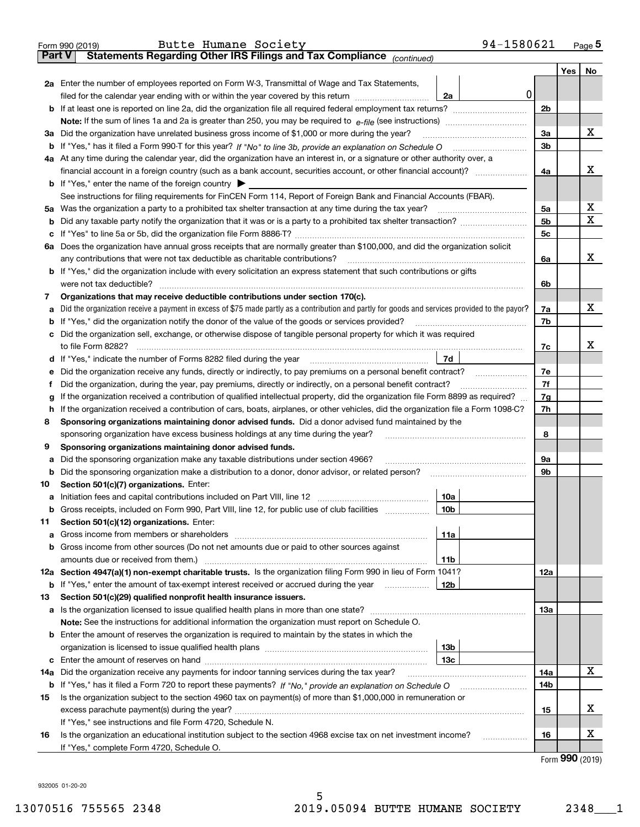|               | 94-1580621<br>Butte Humane Society<br>Form 990 (2019)                                                                                                                                     |                |               | Page $5$ |  |  |  |
|---------------|-------------------------------------------------------------------------------------------------------------------------------------------------------------------------------------------|----------------|---------------|----------|--|--|--|
| <b>Part V</b> | Statements Regarding Other IRS Filings and Tax Compliance (continued)                                                                                                                     |                |               |          |  |  |  |
|               |                                                                                                                                                                                           |                | Yes           | No       |  |  |  |
|               | 2a Enter the number of employees reported on Form W-3, Transmittal of Wage and Tax Statements,                                                                                            |                |               |          |  |  |  |
|               | 0 <br>filed for the calendar year ending with or within the year covered by this return [11] [11] filed for the calendar year ending with or within the year covered by this return<br>2a |                |               |          |  |  |  |
|               |                                                                                                                                                                                           | 2 <sub>b</sub> |               |          |  |  |  |
|               |                                                                                                                                                                                           |                |               |          |  |  |  |
|               | 3a Did the organization have unrelated business gross income of \$1,000 or more during the year?                                                                                          | 3a             |               | х        |  |  |  |
|               |                                                                                                                                                                                           | 3 <sub>b</sub> |               |          |  |  |  |
|               | 4a At any time during the calendar year, did the organization have an interest in, or a signature or other authority over, a                                                              |                |               |          |  |  |  |
|               |                                                                                                                                                                                           | 4a             |               | х        |  |  |  |
|               | <b>b</b> If "Yes," enter the name of the foreign country $\blacktriangleright$                                                                                                            |                |               |          |  |  |  |
|               | See instructions for filing requirements for FinCEN Form 114, Report of Foreign Bank and Financial Accounts (FBAR).                                                                       |                |               |          |  |  |  |
|               | 5a Was the organization a party to a prohibited tax shelter transaction at any time during the tax year?                                                                                  | 5a             |               | x        |  |  |  |
|               |                                                                                                                                                                                           | 5 <sub>b</sub> |               | x        |  |  |  |
|               |                                                                                                                                                                                           | 5c             |               |          |  |  |  |
|               | 6a Does the organization have annual gross receipts that are normally greater than \$100,000, and did the organization solicit                                                            |                |               |          |  |  |  |
|               | any contributions that were not tax deductible as charitable contributions?                                                                                                               | 6a             |               | х        |  |  |  |
|               | <b>b</b> If "Yes," did the organization include with every solicitation an express statement that such contributions or gifts                                                             |                |               |          |  |  |  |
|               | were not tax deductible?                                                                                                                                                                  | 6b             |               |          |  |  |  |
| 7             | Organizations that may receive deductible contributions under section 170(c).                                                                                                             |                |               |          |  |  |  |
| а             | Did the organization receive a payment in excess of \$75 made partly as a contribution and partly for goods and services provided to the payor?                                           | 7a             |               | х        |  |  |  |
|               | <b>b</b> If "Yes," did the organization notify the donor of the value of the goods or services provided?                                                                                  | 7b             |               |          |  |  |  |
|               | c Did the organization sell, exchange, or otherwise dispose of tangible personal property for which it was required                                                                       |                |               |          |  |  |  |
|               |                                                                                                                                                                                           | 7c             |               | x        |  |  |  |
|               | 7d<br>d If "Yes," indicate the number of Forms 8282 filed during the year manufactured in the second of the New York                                                                      |                |               |          |  |  |  |
|               | e Did the organization receive any funds, directly or indirectly, to pay premiums on a personal benefit contract?                                                                         | 7e<br>7f       |               |          |  |  |  |
| Ť.            | Did the organization, during the year, pay premiums, directly or indirectly, on a personal benefit contract?                                                                              |                |               |          |  |  |  |
| g             | If the organization received a contribution of qualified intellectual property, did the organization file Form 8899 as required?                                                          |                |               |          |  |  |  |
|               | h If the organization received a contribution of cars, boats, airplanes, or other vehicles, did the organization file a Form 1098-C?                                                      |                |               |          |  |  |  |
| 8             | Sponsoring organizations maintaining donor advised funds. Did a donor advised fund maintained by the                                                                                      |                |               |          |  |  |  |
|               | sponsoring organization have excess business holdings at any time during the year?                                                                                                        | 8              |               |          |  |  |  |
| 9             | Sponsoring organizations maintaining donor advised funds.                                                                                                                                 |                |               |          |  |  |  |
| а             | Did the sponsoring organization make any taxable distributions under section 4966?                                                                                                        | 9а             |               |          |  |  |  |
|               | <b>b</b> Did the sponsoring organization make a distribution to a donor, donor advisor, or related person?                                                                                | 9b             |               |          |  |  |  |
| 10            | Section 501(c)(7) organizations. Enter:                                                                                                                                                   |                |               |          |  |  |  |
|               | 10a                                                                                                                                                                                       |                |               |          |  |  |  |
| b             | Gross receipts, included on Form 990, Part VIII, line 12, for public use of club facilities manuscum<br>10b                                                                               |                |               |          |  |  |  |
| 11            | Section 501(c)(12) organizations. Enter:                                                                                                                                                  |                |               |          |  |  |  |
|               | 11a<br><b>b</b> Gross income from other sources (Do not net amounts due or paid to other sources against                                                                                  |                |               |          |  |  |  |
|               | amounts due or received from them.)<br>11b                                                                                                                                                |                |               |          |  |  |  |
|               | 12a Section 4947(a)(1) non-exempt charitable trusts. Is the organization filing Form 990 in lieu of Form 1041?                                                                            | 12a            |               |          |  |  |  |
|               | <b>b</b> If "Yes," enter the amount of tax-exempt interest received or accrued during the year<br>12b                                                                                     |                |               |          |  |  |  |
| 13            | Section 501(c)(29) qualified nonprofit health insurance issuers.                                                                                                                          |                |               |          |  |  |  |
|               |                                                                                                                                                                                           | 13а            |               |          |  |  |  |
|               | Note: See the instructions for additional information the organization must report on Schedule O.                                                                                         |                |               |          |  |  |  |
|               | <b>b</b> Enter the amount of reserves the organization is required to maintain by the states in which the                                                                                 |                |               |          |  |  |  |
|               | 13 <sub>b</sub>                                                                                                                                                                           |                |               |          |  |  |  |
|               | 13с                                                                                                                                                                                       |                |               |          |  |  |  |
| 14a           | Did the organization receive any payments for indoor tanning services during the tax year?                                                                                                | 14a            |               | х        |  |  |  |
|               |                                                                                                                                                                                           | 14b            |               |          |  |  |  |
| 15            | Is the organization subject to the section 4960 tax on payment(s) of more than \$1,000,000 in remuneration or                                                                             |                |               |          |  |  |  |
|               |                                                                                                                                                                                           | 15             |               | х        |  |  |  |
|               | If "Yes," see instructions and file Form 4720, Schedule N.                                                                                                                                |                |               |          |  |  |  |
| 16            | Is the organization an educational institution subject to the section 4968 excise tax on net investment income?<br>.                                                                      | 16             |               | х        |  |  |  |
|               | If "Yes," complete Form 4720, Schedule O.                                                                                                                                                 |                |               |          |  |  |  |
|               |                                                                                                                                                                                           |                | $000 \approx$ |          |  |  |  |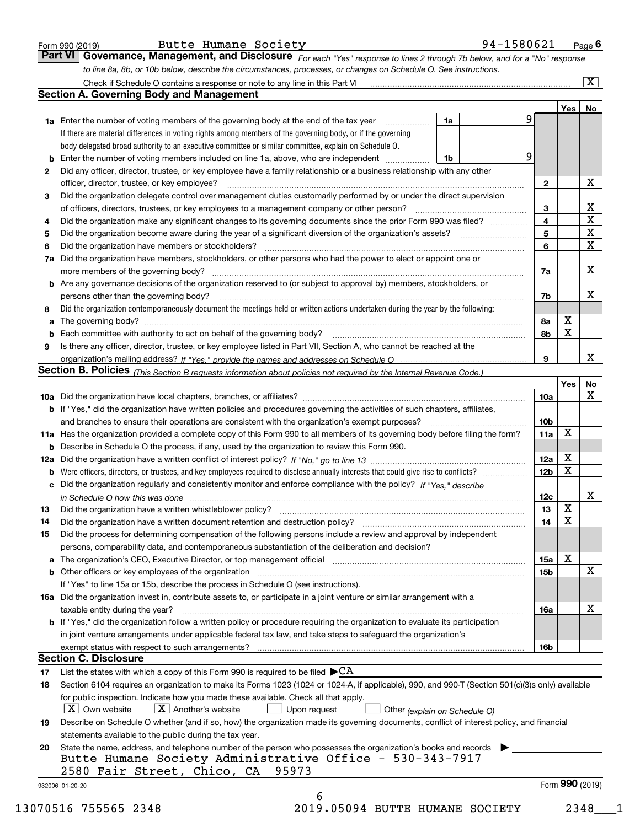| Form 990 (2019 |  |  |
|----------------|--|--|

| Butte Humane Society |  |  |
|----------------------|--|--|
|----------------------|--|--|

| Form 990 (2019) | Butte Humane Society | 94-1580621                                                                                                                  | $P$ <sub>age</sub> 6 |
|-----------------|----------------------|-----------------------------------------------------------------------------------------------------------------------------|----------------------|
|                 |                      | Part VI Governance, Management, and Disclosure For each "Yes" response to lines 2 through 7b below, and for a "No" response |                      |
|                 |                      | to line 8a, 8b, or 10b below, describe the circumstances, processes, or changes on Schedule O. See instructions.            |                      |

|                                                                                                                      |                                                                                                                                                                            |                               |                 |             | No                      |  |  |
|----------------------------------------------------------------------------------------------------------------------|----------------------------------------------------------------------------------------------------------------------------------------------------------------------------|-------------------------------|-----------------|-------------|-------------------------|--|--|
|                                                                                                                      | <b>1a</b> Enter the number of voting members of the governing body at the end of the tax year <i>manumum</i>                                                               | 1a                            | 9               |             |                         |  |  |
|                                                                                                                      | If there are material differences in voting rights among members of the governing body, or if the governing                                                                |                               |                 |             |                         |  |  |
|                                                                                                                      | body delegated broad authority to an executive committee or similar committee, explain on Schedule O.                                                                      |                               |                 |             |                         |  |  |
| b                                                                                                                    | Enter the number of voting members included on line 1a, above, who are independent                                                                                         | 1b                            | 9               |             |                         |  |  |
| $\mathbf{2}$                                                                                                         | Did any officer, director, trustee, or key employee have a family relationship or a business relationship with any other                                                   |                               |                 |             |                         |  |  |
|                                                                                                                      | officer, director, trustee, or key employee?                                                                                                                               |                               | $\overline{2}$  |             | X                       |  |  |
| 3                                                                                                                    | Did the organization delegate control over management duties customarily performed by or under the direct supervision                                                      |                               |                 |             |                         |  |  |
|                                                                                                                      | of officers, directors, trustees, or key employees to a management company or other person?                                                                                |                               | 3               |             | X                       |  |  |
| 4                                                                                                                    | Did the organization make any significant changes to its governing documents since the prior Form 990 was filed?                                                           |                               | $\overline{4}$  |             | $\overline{\mathbf{x}}$ |  |  |
| 5                                                                                                                    |                                                                                                                                                                            |                               | 5               |             | $\overline{\textbf{X}}$ |  |  |
| 6                                                                                                                    | Did the organization have members or stockholders?                                                                                                                         |                               | 6               |             | $\mathbf X$             |  |  |
| Did the organization have members, stockholders, or other persons who had the power to elect or appoint one or<br>7a |                                                                                                                                                                            |                               |                 |             |                         |  |  |
|                                                                                                                      |                                                                                                                                                                            |                               |                 |             |                         |  |  |
|                                                                                                                      | <b>b</b> Are any governance decisions of the organization reserved to (or subject to approval by) members, stockholders, or                                                |                               |                 |             |                         |  |  |
|                                                                                                                      | persons other than the governing body?                                                                                                                                     |                               | 7b              |             | X                       |  |  |
| 8                                                                                                                    | Did the organization contemporaneously document the meetings held or written actions undertaken during the year by the following:                                          |                               |                 |             |                         |  |  |
| a                                                                                                                    |                                                                                                                                                                            |                               | 8a              | X           |                         |  |  |
| b                                                                                                                    |                                                                                                                                                                            |                               | 8b              | $\mathbf X$ |                         |  |  |
| 9                                                                                                                    | Is there any officer, director, trustee, or key employee listed in Part VII, Section A, who cannot be reached at the                                                       |                               |                 |             |                         |  |  |
|                                                                                                                      |                                                                                                                                                                            |                               | 9               |             | X                       |  |  |
|                                                                                                                      | Section B. Policies (This Section B requests information about policies not required by the Internal Revenue Code.)                                                        |                               |                 |             |                         |  |  |
|                                                                                                                      |                                                                                                                                                                            |                               |                 | Yes         | <u>No</u>               |  |  |
|                                                                                                                      |                                                                                                                                                                            |                               | 10a             |             | $\mathbf X$             |  |  |
|                                                                                                                      |                                                                                                                                                                            |                               |                 |             |                         |  |  |
|                                                                                                                      | <b>b</b> If "Yes," did the organization have written policies and procedures governing the activities of such chapters, affiliates,                                        |                               |                 |             |                         |  |  |
|                                                                                                                      |                                                                                                                                                                            |                               | 10 <sub>b</sub> | X           |                         |  |  |
|                                                                                                                      | 11a Has the organization provided a complete copy of this Form 990 to all members of its governing body before filing the form?                                            |                               | 11a             |             |                         |  |  |
|                                                                                                                      | <b>b</b> Describe in Schedule O the process, if any, used by the organization to review this Form 990.                                                                     |                               |                 |             |                         |  |  |
|                                                                                                                      |                                                                                                                                                                            |                               | 12a             | X           |                         |  |  |
| b                                                                                                                    |                                                                                                                                                                            |                               | 12 <sub>b</sub> | X           |                         |  |  |
| с                                                                                                                    | Did the organization regularly and consistently monitor and enforce compliance with the policy? If "Yes," describe                                                         |                               |                 |             |                         |  |  |
|                                                                                                                      | in Schedule O how this was done measured and contained a state of the state of the state of the state of the s                                                             |                               | 12c             |             | X                       |  |  |
| 13                                                                                                                   | Did the organization have a written whistleblower policy?                                                                                                                  |                               | 13              | X           |                         |  |  |
| 14                                                                                                                   | Did the organization have a written document retention and destruction policy? manufactured and the organization have a written document retention and destruction policy? |                               | 14              | X           |                         |  |  |
| 15                                                                                                                   | Did the process for determining compensation of the following persons include a review and approval by independent                                                         |                               |                 |             |                         |  |  |
|                                                                                                                      | persons, comparability data, and contemporaneous substantiation of the deliberation and decision?                                                                          |                               |                 |             |                         |  |  |
|                                                                                                                      |                                                                                                                                                                            |                               | <b>15a</b>      | X           |                         |  |  |
|                                                                                                                      |                                                                                                                                                                            |                               | 15 <sub>b</sub> |             | X                       |  |  |
|                                                                                                                      | If "Yes" to line 15a or 15b, describe the process in Schedule O (see instructions).                                                                                        |                               |                 |             |                         |  |  |
|                                                                                                                      | 16a Did the organization invest in, contribute assets to, or participate in a joint venture or similar arrangement with a                                                  |                               |                 |             |                         |  |  |
|                                                                                                                      | taxable entity during the year?                                                                                                                                            |                               | 16a             |             | X                       |  |  |
|                                                                                                                      | b If "Yes," did the organization follow a written policy or procedure requiring the organization to evaluate its participation                                             |                               |                 |             |                         |  |  |
|                                                                                                                      | in joint venture arrangements under applicable federal tax law, and take steps to safeguard the organization's                                                             |                               |                 |             |                         |  |  |
|                                                                                                                      | exempt status with respect to such arrangements?                                                                                                                           |                               | 16b             |             |                         |  |  |
|                                                                                                                      | <b>Section C. Disclosure</b>                                                                                                                                               |                               |                 |             |                         |  |  |
| 17                                                                                                                   | List the states with which a copy of this Form 990 is required to be filed $\blacktriangleright$ CA                                                                        |                               |                 |             |                         |  |  |
| 18                                                                                                                   | Section 6104 requires an organization to make its Forms 1023 (1024 or 1024-A, if applicable), 990, and 990-T (Section 501(c)(3)s only) available                           |                               |                 |             |                         |  |  |
|                                                                                                                      | for public inspection. Indicate how you made these available. Check all that apply.                                                                                        |                               |                 |             |                         |  |  |
|                                                                                                                      | X   Own website<br>$ X $ Another's website<br>Upon request                                                                                                                 | Other (explain on Schedule O) |                 |             |                         |  |  |
| 19                                                                                                                   | Describe on Schedule O whether (and if so, how) the organization made its governing documents, conflict of interest policy, and financial                                  |                               |                 |             |                         |  |  |
|                                                                                                                      | statements available to the public during the tax year.                                                                                                                    |                               |                 |             |                         |  |  |
| 20                                                                                                                   | State the name, address, and telephone number of the person who possesses the organization's books and records                                                             |                               |                 |             |                         |  |  |
|                                                                                                                      | Butte Humane Society Administrative Office - 530-343-7917                                                                                                                  |                               |                 |             |                         |  |  |
|                                                                                                                      | 95973<br>2580 Fair Street, Chico, CA                                                                                                                                       |                               |                 |             |                         |  |  |
|                                                                                                                      |                                                                                                                                                                            |                               |                 |             | Form 990 (2019)         |  |  |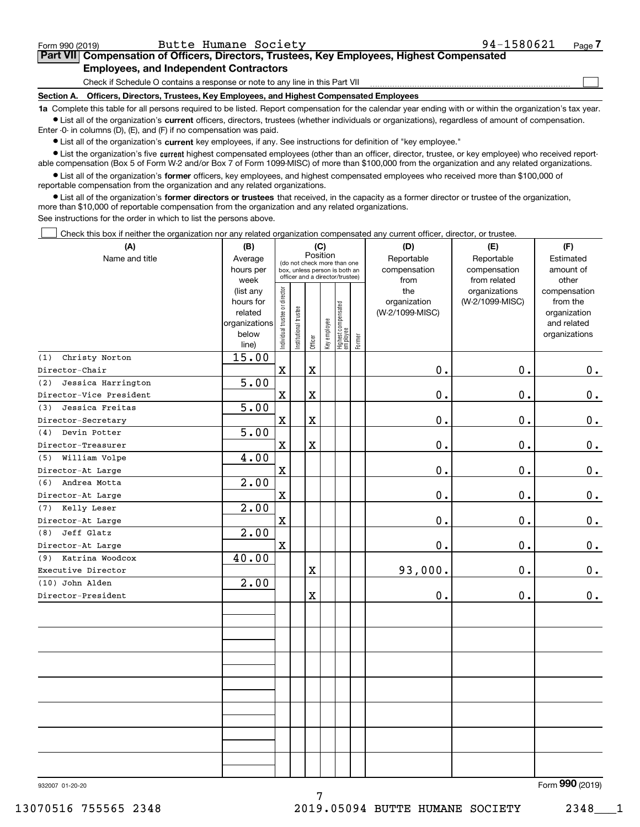| Form 990 (2019) | Butte Humane Society                                                                                                                                       | 94-1580621 | Page |
|-----------------|------------------------------------------------------------------------------------------------------------------------------------------------------------|------------|------|
|                 | Part VII Compensation of Officers, Directors, Trustees, Key Employees, Highest Compensated                                                                 |            |      |
|                 | <b>Employees, and Independent Contractors</b>                                                                                                              |            |      |
|                 | Check if Schedule O contains a response or note to any line in this Part VII                                                                               |            |      |
| Section A.      | Officers, Directors, Trustees, Key Employees, and Highest Compensated Employees                                                                            |            |      |
|                 | to Complete this tople for all persons required to be listed. Benef compensation for the colondary very ending with or within the eraspization's toy year. |            |      |

**1a •** List all of the organization's current officers, directors, trustees (whether individuals or organizations), regardless of amount of compensation. Complete this table for all persons required to be listed. Report compensation for the calendar year ending with or within the organization's tax year. Enter -0- in columns (D), (E), and (F) if no compensation was paid.

 $\bullet$  List all of the organization's  $\,$ current key employees, if any. See instructions for definition of "key employee."

**•** List the organization's five current highest compensated employees (other than an officer, director, trustee, or key employee) who received reportable compensation (Box 5 of Form W-2 and/or Box 7 of Form 1099-MISC) of more than \$100,000 from the organization and any related organizations.

**•** List all of the organization's former officers, key employees, and highest compensated employees who received more than \$100,000 of reportable compensation from the organization and any related organizations.

**former directors or trustees**  ¥ List all of the organization's that received, in the capacity as a former director or trustee of the organization, more than \$10,000 of reportable compensation from the organization and any related organizations.

See instructions for the order in which to list the persons above.

Check this box if neither the organization nor any related organization compensated any current officer, director, or trustee.  $\mathcal{L}^{\text{max}}$ 

| (A)                       | (B)                  |                                                                          |                       |                         | (C)          |                                 |                            | (D)                        | (E)                    | (F)            |
|---------------------------|----------------------|--------------------------------------------------------------------------|-----------------------|-------------------------|--------------|---------------------------------|----------------------------|----------------------------|------------------------|----------------|
| Name and title            | Average<br>hours per | Position<br>(do not check more than one<br>box, unless person is both an |                       |                         |              |                                 | Reportable<br>compensation | Reportable<br>compensation | Estimated<br>amount of |                |
|                           | week                 |                                                                          |                       |                         |              | officer and a director/trustee) |                            | from                       | from related           | other          |
|                           | (list any            |                                                                          |                       |                         |              |                                 |                            | the                        | organizations          | compensation   |
|                           | hours for            |                                                                          |                       |                         |              |                                 |                            | organization               | (W-2/1099-MISC)        | from the       |
|                           | related              |                                                                          |                       |                         |              |                                 |                            | (W-2/1099-MISC)            |                        | organization   |
|                           | organizations        |                                                                          |                       |                         |              |                                 |                            |                            |                        | and related    |
|                           | below                | Individual trustee or director                                           | Institutional trustee | Officer                 | Key employee | Highest compensated<br>employee | Former                     |                            |                        | organizations  |
| Christy Norton<br>(1)     | line)<br>15.00       |                                                                          |                       |                         |              |                                 |                            |                            |                        |                |
| Director-Chair            |                      | $\mathbf X$                                                              |                       | $\mathbf X$             |              |                                 |                            | $\mathbf 0$ .              | 0.                     | $0_{.}$        |
| Jessica Harrington<br>(2) | 5.00                 |                                                                          |                       |                         |              |                                 |                            |                            |                        |                |
| Director-Vice President   |                      | $\mathbf X$                                                              |                       | $\rm X$                 |              |                                 |                            | $0$ .                      | 0.                     | 0.             |
| (3)<br>Jessica Freitas    | 5.00                 |                                                                          |                       |                         |              |                                 |                            |                            |                        |                |
| Director-Secretary        |                      | $\mathbf X$                                                              |                       | $\rm X$                 |              |                                 |                            | $0$ .                      | 0.                     | $\mathbf 0$ .  |
| Devin Potter<br>(4)       | 5.00                 |                                                                          |                       |                         |              |                                 |                            |                            |                        |                |
| Director-Treasurer        |                      | $\mathbf x$                                                              |                       | $\overline{\mathbf{X}}$ |              |                                 |                            | $0$ .                      | 0.                     | 0.             |
| William Volpe<br>(5)      | 4.00                 |                                                                          |                       |                         |              |                                 |                            |                            |                        |                |
| Director-At Large         |                      | $\mathbf X$                                                              |                       |                         |              |                                 |                            | $0$ .                      | 0.                     | $\mathbf 0$ .  |
| Andrea Motta<br>(6)       | 2.00                 |                                                                          |                       |                         |              |                                 |                            |                            |                        |                |
| Director-At Large         |                      | $\mathbf x$                                                              |                       |                         |              |                                 |                            | $\mathbf 0$ .              | 0.                     | $0$ .          |
| Kelly Leser<br>(7)        | 2.00                 |                                                                          |                       |                         |              |                                 |                            |                            |                        |                |
| Director-At Large         |                      | $\mathbf X$                                                              |                       |                         |              |                                 |                            | $\mathbf 0$ .              | $0$ .                  | $0_{.}$        |
| Jeff Glatz<br>(8)         | 2.00                 |                                                                          |                       |                         |              |                                 |                            |                            |                        |                |
| Director-At Large         |                      | $\mathbf X$                                                              |                       |                         |              |                                 |                            | $0$ .                      | 0.                     | $\mathbf 0$ .  |
| Katrina Woodcox<br>(9)    | 40.00                |                                                                          |                       |                         |              |                                 |                            |                            |                        |                |
| Executive Director        |                      |                                                                          |                       | $\mathbf X$             |              |                                 |                            | 93,000.                    | 0.                     | 0.             |
| (10) John Alden           | 2.00                 |                                                                          |                       |                         |              |                                 |                            |                            |                        |                |
| Director-President        |                      |                                                                          |                       | $\mathbf X$             |              |                                 |                            | 0.                         | 0.                     | 0.             |
|                           |                      |                                                                          |                       |                         |              |                                 |                            |                            |                        |                |
|                           |                      |                                                                          |                       |                         |              |                                 |                            |                            |                        |                |
|                           |                      |                                                                          |                       |                         |              |                                 |                            |                            |                        |                |
|                           |                      |                                                                          |                       |                         |              |                                 |                            |                            |                        |                |
|                           |                      |                                                                          |                       |                         |              |                                 |                            |                            |                        |                |
|                           |                      |                                                                          |                       |                         |              |                                 |                            |                            |                        |                |
|                           |                      |                                                                          |                       |                         |              |                                 |                            |                            |                        |                |
|                           |                      |                                                                          |                       |                         |              |                                 |                            |                            |                        |                |
|                           |                      |                                                                          |                       |                         |              |                                 |                            |                            |                        |                |
|                           |                      |                                                                          |                       |                         |              |                                 |                            |                            |                        |                |
|                           |                      |                                                                          |                       |                         |              |                                 |                            |                            |                        |                |
|                           |                      |                                                                          |                       |                         |              |                                 |                            |                            |                        |                |
|                           |                      |                                                                          |                       |                         |              |                                 |                            |                            |                        | $\overline{2}$ |

7

932007 01-20-20

Form (2019) **990**

13070516 755565 2348 2019.05094 BUTTE HUMANE SOCIETY 2348 1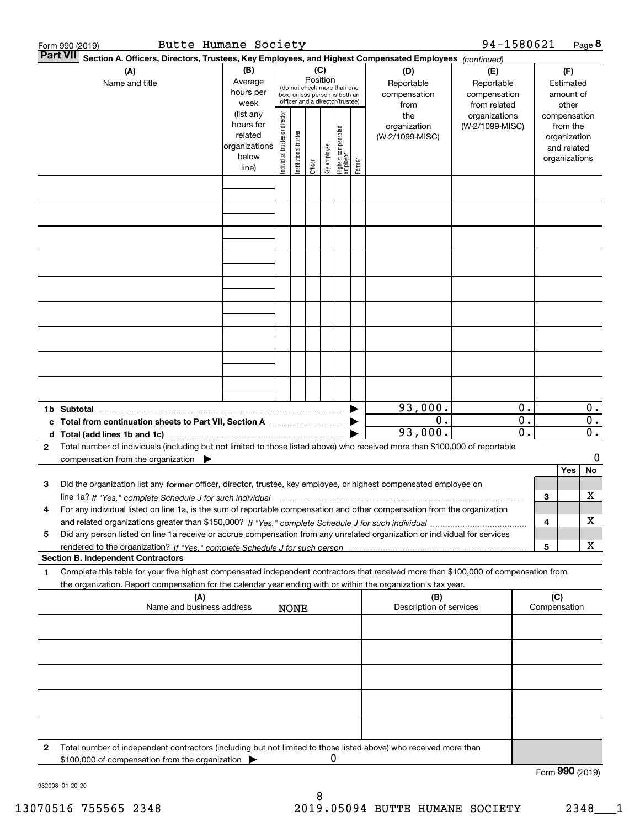|   | Butte Humane Society<br>Form 990 (2019)                                                                                                                                                                                                                                      |                                                                      |                                                                                                                    |                       |         |              |                                 |        |                                           | 94-1580621                                        |                                                 |     |                                                                          | Page 8                                        |
|---|------------------------------------------------------------------------------------------------------------------------------------------------------------------------------------------------------------------------------------------------------------------------------|----------------------------------------------------------------------|--------------------------------------------------------------------------------------------------------------------|-----------------------|---------|--------------|---------------------------------|--------|-------------------------------------------|---------------------------------------------------|-------------------------------------------------|-----|--------------------------------------------------------------------------|-----------------------------------------------|
|   | <b>Part VII</b><br>Section A. Officers, Directors, Trustees, Key Employees, and Highest Compensated Employees (continued)                                                                                                                                                    |                                                                      |                                                                                                                    |                       |         |              |                                 |        |                                           |                                                   |                                                 |     |                                                                          |                                               |
|   | (A)<br>Name and title                                                                                                                                                                                                                                                        | (B)<br>Average<br>hours per<br>week                                  | (C)<br>Position<br>(do not check more than one<br>box, unless person is both an<br>officer and a director/trustee) |                       |         |              |                                 |        | (D)<br>Reportable<br>compensation<br>from | (E)<br>Reportable<br>compensation<br>from related |                                                 |     | (F)<br>Estimated<br>amount of<br>other                                   |                                               |
|   |                                                                                                                                                                                                                                                                              | (list any<br>hours for<br>related<br>organizations<br>below<br>line) | Individual trustee or director                                                                                     | Institutional trustee | Officer | key employee | Highest compensated<br>employee | Former | the<br>organization<br>(W-2/1099-MISC)    | organizations<br>(W-2/1099-MISC)                  |                                                 |     | compensation<br>from the<br>organization<br>and related<br>organizations |                                               |
|   |                                                                                                                                                                                                                                                                              |                                                                      |                                                                                                                    |                       |         |              |                                 |        |                                           |                                                   |                                                 |     |                                                                          |                                               |
|   |                                                                                                                                                                                                                                                                              |                                                                      |                                                                                                                    |                       |         |              |                                 |        |                                           |                                                   |                                                 |     |                                                                          |                                               |
|   |                                                                                                                                                                                                                                                                              |                                                                      |                                                                                                                    |                       |         |              |                                 |        |                                           |                                                   |                                                 |     |                                                                          |                                               |
|   |                                                                                                                                                                                                                                                                              |                                                                      |                                                                                                                    |                       |         |              |                                 |        |                                           |                                                   |                                                 |     |                                                                          |                                               |
|   |                                                                                                                                                                                                                                                                              |                                                                      |                                                                                                                    |                       |         |              |                                 |        |                                           |                                                   |                                                 |     |                                                                          |                                               |
|   |                                                                                                                                                                                                                                                                              |                                                                      |                                                                                                                    |                       |         |              |                                 |        |                                           |                                                   |                                                 |     |                                                                          |                                               |
|   |                                                                                                                                                                                                                                                                              |                                                                      |                                                                                                                    |                       |         |              |                                 |        |                                           |                                                   |                                                 |     |                                                                          |                                               |
|   |                                                                                                                                                                                                                                                                              |                                                                      |                                                                                                                    |                       |         |              |                                 |        |                                           |                                                   |                                                 |     |                                                                          |                                               |
|   |                                                                                                                                                                                                                                                                              |                                                                      |                                                                                                                    |                       |         |              |                                 |        |                                           |                                                   |                                                 |     |                                                                          |                                               |
|   | 1b Subtotal                                                                                                                                                                                                                                                                  |                                                                      |                                                                                                                    |                       |         |              |                                 |        | 93,000.                                   |                                                   | 0.                                              |     |                                                                          | $0$ .                                         |
|   | c Total from continuation sheets to Part VII, Section A                                                                                                                                                                                                                      |                                                                      |                                                                                                                    |                       |         |              |                                 |        | 0.<br>93,000.                             |                                                   | $\overline{0}$ .<br>$\overline{\mathfrak{o}}$ . |     |                                                                          | $\overline{0}$ .<br>$\overline{\mathbf{0}}$ . |
| 2 | Total number of individuals (including but not limited to those listed above) who received more than \$100,000 of reportable                                                                                                                                                 |                                                                      |                                                                                                                    |                       |         |              |                                 |        |                                           |                                                   |                                                 |     |                                                                          | 0                                             |
|   | compensation from the organization $\blacktriangleright$                                                                                                                                                                                                                     |                                                                      |                                                                                                                    |                       |         |              |                                 |        |                                           |                                                   |                                                 |     | Yes                                                                      | No                                            |
| з | Did the organization list any former officer, director, trustee, key employee, or highest compensated employee on                                                                                                                                                            |                                                                      |                                                                                                                    |                       |         |              |                                 |        |                                           |                                                   |                                                 |     |                                                                          | х                                             |
| 4 | line 1a? If "Yes," complete Schedule J for such individual material content content to the 1a? If "Yes," complete Schedule J for such individual<br>For any individual listed on line 1a, is the sum of reportable compensation and other compensation from the organization |                                                                      |                                                                                                                    |                       |         |              |                                 |        |                                           |                                                   |                                                 | 3   |                                                                          |                                               |
| 5 | Did any person listed on line 1a receive or accrue compensation from any unrelated organization or individual for services                                                                                                                                                   |                                                                      |                                                                                                                    |                       |         |              |                                 |        |                                           |                                                   |                                                 | 4   |                                                                          | х                                             |
|   | <b>Section B. Independent Contractors</b>                                                                                                                                                                                                                                    |                                                                      |                                                                                                                    |                       |         |              |                                 |        |                                           |                                                   |                                                 | 5   |                                                                          | X                                             |
| 1 | Complete this table for your five highest compensated independent contractors that received more than \$100,000 of compensation from                                                                                                                                         |                                                                      |                                                                                                                    |                       |         |              |                                 |        |                                           |                                                   |                                                 |     |                                                                          |                                               |
|   | the organization. Report compensation for the calendar year ending with or within the organization's tax year.<br>(A)                                                                                                                                                        |                                                                      |                                                                                                                    |                       |         |              |                                 |        | (B)                                       |                                                   |                                                 | (C) |                                                                          |                                               |
|   | Name and business address                                                                                                                                                                                                                                                    |                                                                      |                                                                                                                    | <b>NONE</b>           |         |              |                                 |        | Description of services                   |                                                   |                                                 |     | Compensation                                                             |                                               |
|   |                                                                                                                                                                                                                                                                              |                                                                      |                                                                                                                    |                       |         |              |                                 |        |                                           |                                                   |                                                 |     |                                                                          |                                               |
|   |                                                                                                                                                                                                                                                                              |                                                                      |                                                                                                                    |                       |         |              |                                 |        |                                           |                                                   |                                                 |     |                                                                          |                                               |
|   |                                                                                                                                                                                                                                                                              |                                                                      |                                                                                                                    |                       |         |              |                                 |        |                                           |                                                   |                                                 |     |                                                                          |                                               |
|   |                                                                                                                                                                                                                                                                              |                                                                      |                                                                                                                    |                       |         |              |                                 |        |                                           |                                                   |                                                 |     |                                                                          |                                               |
|   |                                                                                                                                                                                                                                                                              |                                                                      |                                                                                                                    |                       |         |              |                                 |        |                                           |                                                   |                                                 |     |                                                                          |                                               |
| 2 | Total number of independent contractors (including but not limited to those listed above) who received more than<br>\$100,000 of compensation from the organization                                                                                                          |                                                                      |                                                                                                                    |                       |         | 0            |                                 |        |                                           |                                                   |                                                 |     |                                                                          |                                               |
|   |                                                                                                                                                                                                                                                                              |                                                                      |                                                                                                                    |                       |         |              |                                 |        |                                           |                                                   |                                                 |     | Form 990 (2019)                                                          |                                               |

932008 01-20-20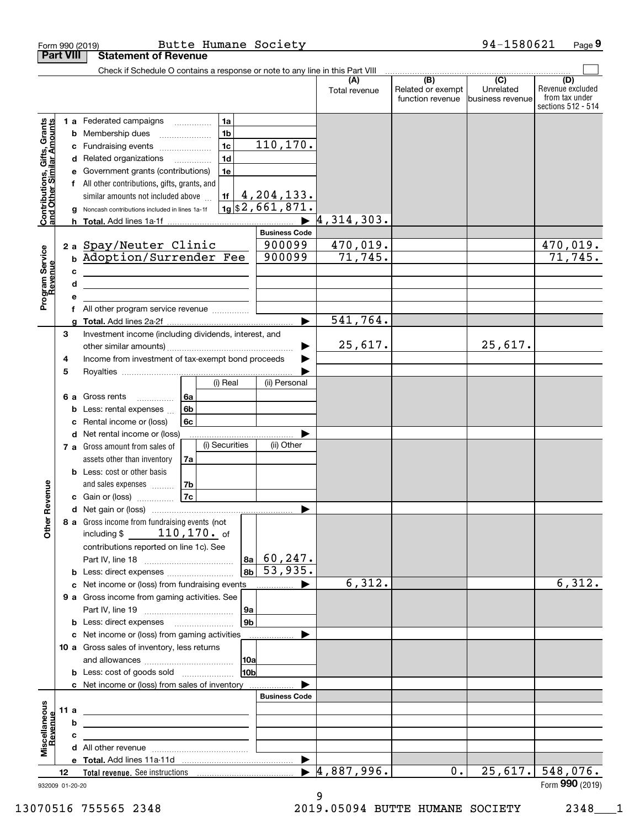| <b>Part VIII</b><br><b>Statement of Revenue</b><br>Check if Schedule O contains a response or note to any line in this Part VIII<br>(B)<br>$\overline{C}$<br>(A)<br>(D)<br>Revenue excluded<br>Unrelated<br>Related or exempt<br>Total revenue<br>from tax under<br>function revenue<br>business revenue<br>1a<br>Contributions, Gifts, Grants<br>and Other Similar Amounts<br>1 a Federated campaigns<br>.<br>1 <sub>b</sub><br><b>b</b> Membership dues<br>110,170.<br>1 <sub>c</sub><br>Fundraising events<br>с<br>1 <sub>d</sub><br>Related organizations<br>d<br>1e<br>Government grants (contributions)<br>All other contributions, gifts, grants, and<br>f<br>4,204,133.<br>1f<br>similar amounts not included above<br>$\vert$ 1g $\vert$ \$2,661,871.<br>Noncash contributions included in lines 1a-1f<br>4,314,303.<br><b>Business Code</b><br>2a Spay/Neuter Clinic<br>470,019.<br>470,019.<br>900099<br>Program Service<br>Revenue<br><b>b Adoption/Surrender Fee</b><br>900099<br>71,745.<br>71,745.<br>c<br><u> 1989 - Johann Barbara, martxa alemaniar a</u><br>d<br>the control of the control of the control of the control of the control of the control of<br>All other program service revenue<br>541,764.<br>▶<br>Investment income (including dividends, interest, and<br>3<br>25,617.<br>25,617.<br>▶<br>Income from investment of tax-exempt bond proceeds<br>4<br>5<br>(i) Real<br>(ii) Personal<br>6a<br>6 a Gross rents<br>.<br>Less: rental expenses<br>6b<br>b<br>Rental income or (loss)<br>6с<br>c<br>Net rental income or (loss)<br>d<br>(i) Securities<br>(ii) Other<br>7 a Gross amount from sales of<br>assets other than inventory<br>7a<br><b>b</b> Less: cost or other basis<br>Revenue<br>7b<br>and sales expenses<br>7c<br>c Gain or (loss)<br>d Net gain or (loss)<br>Other<br>8 a Gross income from fundraising events (not<br>including $$110, 170$ of<br>contributions reported on line 1c). See<br>60, 247.<br>8a<br>53,935.<br>8b<br><b>b</b> Less: direct expenses<br>6,312.<br>c Net income or (loss) from fundraising events<br>.<br>9 a Gross income from gaming activities. See<br>9а<br>9 <sub>b</sub><br>c Net income or (loss) from gaming activities<br>10 a Gross sales of inventory, less returns<br> 10a<br><b>b</b> Less: cost of goods sold<br>10b<br>c Net income or (loss) from sales of inventory<br><b>Business Code</b><br>Miscellaneous<br>11 a<br>Revenue<br>b<br><u> 1989 - John Stein, mars and de Brazilian (b. 1989)</u><br>$\blacktriangleright$ 4,887,996.<br>0.<br>$25,617.$ 548,076.<br>12<br>932009 01-20-20 |  | Form 990 (2019)<br>Butte Humane Society |  | 94-1580621 | Page 9             |
|------------------------------------------------------------------------------------------------------------------------------------------------------------------------------------------------------------------------------------------------------------------------------------------------------------------------------------------------------------------------------------------------------------------------------------------------------------------------------------------------------------------------------------------------------------------------------------------------------------------------------------------------------------------------------------------------------------------------------------------------------------------------------------------------------------------------------------------------------------------------------------------------------------------------------------------------------------------------------------------------------------------------------------------------------------------------------------------------------------------------------------------------------------------------------------------------------------------------------------------------------------------------------------------------------------------------------------------------------------------------------------------------------------------------------------------------------------------------------------------------------------------------------------------------------------------------------------------------------------------------------------------------------------------------------------------------------------------------------------------------------------------------------------------------------------------------------------------------------------------------------------------------------------------------------------------------------------------------------------------------------------------------------------------------------------------------------------------------------------------------------------------------------------------------------------------------------------------------------------------------------------------------------------------------------------------------------------------------------------------------------------------------------------------------------------------------------------------------------------------------------------------------------------------------------------------------------------------|--|-----------------------------------------|--|------------|--------------------|
|                                                                                                                                                                                                                                                                                                                                                                                                                                                                                                                                                                                                                                                                                                                                                                                                                                                                                                                                                                                                                                                                                                                                                                                                                                                                                                                                                                                                                                                                                                                                                                                                                                                                                                                                                                                                                                                                                                                                                                                                                                                                                                                                                                                                                                                                                                                                                                                                                                                                                                                                                                                          |  |                                         |  |            |                    |
|                                                                                                                                                                                                                                                                                                                                                                                                                                                                                                                                                                                                                                                                                                                                                                                                                                                                                                                                                                                                                                                                                                                                                                                                                                                                                                                                                                                                                                                                                                                                                                                                                                                                                                                                                                                                                                                                                                                                                                                                                                                                                                                                                                                                                                                                                                                                                                                                                                                                                                                                                                                          |  |                                         |  |            |                    |
|                                                                                                                                                                                                                                                                                                                                                                                                                                                                                                                                                                                                                                                                                                                                                                                                                                                                                                                                                                                                                                                                                                                                                                                                                                                                                                                                                                                                                                                                                                                                                                                                                                                                                                                                                                                                                                                                                                                                                                                                                                                                                                                                                                                                                                                                                                                                                                                                                                                                                                                                                                                          |  |                                         |  |            |                    |
|                                                                                                                                                                                                                                                                                                                                                                                                                                                                                                                                                                                                                                                                                                                                                                                                                                                                                                                                                                                                                                                                                                                                                                                                                                                                                                                                                                                                                                                                                                                                                                                                                                                                                                                                                                                                                                                                                                                                                                                                                                                                                                                                                                                                                                                                                                                                                                                                                                                                                                                                                                                          |  |                                         |  |            |                    |
|                                                                                                                                                                                                                                                                                                                                                                                                                                                                                                                                                                                                                                                                                                                                                                                                                                                                                                                                                                                                                                                                                                                                                                                                                                                                                                                                                                                                                                                                                                                                                                                                                                                                                                                                                                                                                                                                                                                                                                                                                                                                                                                                                                                                                                                                                                                                                                                                                                                                                                                                                                                          |  |                                         |  |            | sections 512 - 514 |
|                                                                                                                                                                                                                                                                                                                                                                                                                                                                                                                                                                                                                                                                                                                                                                                                                                                                                                                                                                                                                                                                                                                                                                                                                                                                                                                                                                                                                                                                                                                                                                                                                                                                                                                                                                                                                                                                                                                                                                                                                                                                                                                                                                                                                                                                                                                                                                                                                                                                                                                                                                                          |  |                                         |  |            |                    |
|                                                                                                                                                                                                                                                                                                                                                                                                                                                                                                                                                                                                                                                                                                                                                                                                                                                                                                                                                                                                                                                                                                                                                                                                                                                                                                                                                                                                                                                                                                                                                                                                                                                                                                                                                                                                                                                                                                                                                                                                                                                                                                                                                                                                                                                                                                                                                                                                                                                                                                                                                                                          |  |                                         |  |            |                    |
|                                                                                                                                                                                                                                                                                                                                                                                                                                                                                                                                                                                                                                                                                                                                                                                                                                                                                                                                                                                                                                                                                                                                                                                                                                                                                                                                                                                                                                                                                                                                                                                                                                                                                                                                                                                                                                                                                                                                                                                                                                                                                                                                                                                                                                                                                                                                                                                                                                                                                                                                                                                          |  |                                         |  |            |                    |
|                                                                                                                                                                                                                                                                                                                                                                                                                                                                                                                                                                                                                                                                                                                                                                                                                                                                                                                                                                                                                                                                                                                                                                                                                                                                                                                                                                                                                                                                                                                                                                                                                                                                                                                                                                                                                                                                                                                                                                                                                                                                                                                                                                                                                                                                                                                                                                                                                                                                                                                                                                                          |  |                                         |  |            |                    |
|                                                                                                                                                                                                                                                                                                                                                                                                                                                                                                                                                                                                                                                                                                                                                                                                                                                                                                                                                                                                                                                                                                                                                                                                                                                                                                                                                                                                                                                                                                                                                                                                                                                                                                                                                                                                                                                                                                                                                                                                                                                                                                                                                                                                                                                                                                                                                                                                                                                                                                                                                                                          |  |                                         |  |            |                    |
|                                                                                                                                                                                                                                                                                                                                                                                                                                                                                                                                                                                                                                                                                                                                                                                                                                                                                                                                                                                                                                                                                                                                                                                                                                                                                                                                                                                                                                                                                                                                                                                                                                                                                                                                                                                                                                                                                                                                                                                                                                                                                                                                                                                                                                                                                                                                                                                                                                                                                                                                                                                          |  |                                         |  |            |                    |
|                                                                                                                                                                                                                                                                                                                                                                                                                                                                                                                                                                                                                                                                                                                                                                                                                                                                                                                                                                                                                                                                                                                                                                                                                                                                                                                                                                                                                                                                                                                                                                                                                                                                                                                                                                                                                                                                                                                                                                                                                                                                                                                                                                                                                                                                                                                                                                                                                                                                                                                                                                                          |  |                                         |  |            |                    |
|                                                                                                                                                                                                                                                                                                                                                                                                                                                                                                                                                                                                                                                                                                                                                                                                                                                                                                                                                                                                                                                                                                                                                                                                                                                                                                                                                                                                                                                                                                                                                                                                                                                                                                                                                                                                                                                                                                                                                                                                                                                                                                                                                                                                                                                                                                                                                                                                                                                                                                                                                                                          |  |                                         |  |            |                    |
|                                                                                                                                                                                                                                                                                                                                                                                                                                                                                                                                                                                                                                                                                                                                                                                                                                                                                                                                                                                                                                                                                                                                                                                                                                                                                                                                                                                                                                                                                                                                                                                                                                                                                                                                                                                                                                                                                                                                                                                                                                                                                                                                                                                                                                                                                                                                                                                                                                                                                                                                                                                          |  |                                         |  |            |                    |
|                                                                                                                                                                                                                                                                                                                                                                                                                                                                                                                                                                                                                                                                                                                                                                                                                                                                                                                                                                                                                                                                                                                                                                                                                                                                                                                                                                                                                                                                                                                                                                                                                                                                                                                                                                                                                                                                                                                                                                                                                                                                                                                                                                                                                                                                                                                                                                                                                                                                                                                                                                                          |  |                                         |  |            |                    |
|                                                                                                                                                                                                                                                                                                                                                                                                                                                                                                                                                                                                                                                                                                                                                                                                                                                                                                                                                                                                                                                                                                                                                                                                                                                                                                                                                                                                                                                                                                                                                                                                                                                                                                                                                                                                                                                                                                                                                                                                                                                                                                                                                                                                                                                                                                                                                                                                                                                                                                                                                                                          |  |                                         |  |            |                    |
|                                                                                                                                                                                                                                                                                                                                                                                                                                                                                                                                                                                                                                                                                                                                                                                                                                                                                                                                                                                                                                                                                                                                                                                                                                                                                                                                                                                                                                                                                                                                                                                                                                                                                                                                                                                                                                                                                                                                                                                                                                                                                                                                                                                                                                                                                                                                                                                                                                                                                                                                                                                          |  |                                         |  |            |                    |
|                                                                                                                                                                                                                                                                                                                                                                                                                                                                                                                                                                                                                                                                                                                                                                                                                                                                                                                                                                                                                                                                                                                                                                                                                                                                                                                                                                                                                                                                                                                                                                                                                                                                                                                                                                                                                                                                                                                                                                                                                                                                                                                                                                                                                                                                                                                                                                                                                                                                                                                                                                                          |  |                                         |  |            |                    |
|                                                                                                                                                                                                                                                                                                                                                                                                                                                                                                                                                                                                                                                                                                                                                                                                                                                                                                                                                                                                                                                                                                                                                                                                                                                                                                                                                                                                                                                                                                                                                                                                                                                                                                                                                                                                                                                                                                                                                                                                                                                                                                                                                                                                                                                                                                                                                                                                                                                                                                                                                                                          |  |                                         |  |            |                    |
|                                                                                                                                                                                                                                                                                                                                                                                                                                                                                                                                                                                                                                                                                                                                                                                                                                                                                                                                                                                                                                                                                                                                                                                                                                                                                                                                                                                                                                                                                                                                                                                                                                                                                                                                                                                                                                                                                                                                                                                                                                                                                                                                                                                                                                                                                                                                                                                                                                                                                                                                                                                          |  |                                         |  |            |                    |
|                                                                                                                                                                                                                                                                                                                                                                                                                                                                                                                                                                                                                                                                                                                                                                                                                                                                                                                                                                                                                                                                                                                                                                                                                                                                                                                                                                                                                                                                                                                                                                                                                                                                                                                                                                                                                                                                                                                                                                                                                                                                                                                                                                                                                                                                                                                                                                                                                                                                                                                                                                                          |  |                                         |  |            |                    |
|                                                                                                                                                                                                                                                                                                                                                                                                                                                                                                                                                                                                                                                                                                                                                                                                                                                                                                                                                                                                                                                                                                                                                                                                                                                                                                                                                                                                                                                                                                                                                                                                                                                                                                                                                                                                                                                                                                                                                                                                                                                                                                                                                                                                                                                                                                                                                                                                                                                                                                                                                                                          |  |                                         |  |            |                    |
|                                                                                                                                                                                                                                                                                                                                                                                                                                                                                                                                                                                                                                                                                                                                                                                                                                                                                                                                                                                                                                                                                                                                                                                                                                                                                                                                                                                                                                                                                                                                                                                                                                                                                                                                                                                                                                                                                                                                                                                                                                                                                                                                                                                                                                                                                                                                                                                                                                                                                                                                                                                          |  |                                         |  |            |                    |
|                                                                                                                                                                                                                                                                                                                                                                                                                                                                                                                                                                                                                                                                                                                                                                                                                                                                                                                                                                                                                                                                                                                                                                                                                                                                                                                                                                                                                                                                                                                                                                                                                                                                                                                                                                                                                                                                                                                                                                                                                                                                                                                                                                                                                                                                                                                                                                                                                                                                                                                                                                                          |  |                                         |  |            |                    |
|                                                                                                                                                                                                                                                                                                                                                                                                                                                                                                                                                                                                                                                                                                                                                                                                                                                                                                                                                                                                                                                                                                                                                                                                                                                                                                                                                                                                                                                                                                                                                                                                                                                                                                                                                                                                                                                                                                                                                                                                                                                                                                                                                                                                                                                                                                                                                                                                                                                                                                                                                                                          |  |                                         |  |            |                    |
|                                                                                                                                                                                                                                                                                                                                                                                                                                                                                                                                                                                                                                                                                                                                                                                                                                                                                                                                                                                                                                                                                                                                                                                                                                                                                                                                                                                                                                                                                                                                                                                                                                                                                                                                                                                                                                                                                                                                                                                                                                                                                                                                                                                                                                                                                                                                                                                                                                                                                                                                                                                          |  |                                         |  |            |                    |
|                                                                                                                                                                                                                                                                                                                                                                                                                                                                                                                                                                                                                                                                                                                                                                                                                                                                                                                                                                                                                                                                                                                                                                                                                                                                                                                                                                                                                                                                                                                                                                                                                                                                                                                                                                                                                                                                                                                                                                                                                                                                                                                                                                                                                                                                                                                                                                                                                                                                                                                                                                                          |  |                                         |  |            |                    |
|                                                                                                                                                                                                                                                                                                                                                                                                                                                                                                                                                                                                                                                                                                                                                                                                                                                                                                                                                                                                                                                                                                                                                                                                                                                                                                                                                                                                                                                                                                                                                                                                                                                                                                                                                                                                                                                                                                                                                                                                                                                                                                                                                                                                                                                                                                                                                                                                                                                                                                                                                                                          |  |                                         |  |            |                    |
|                                                                                                                                                                                                                                                                                                                                                                                                                                                                                                                                                                                                                                                                                                                                                                                                                                                                                                                                                                                                                                                                                                                                                                                                                                                                                                                                                                                                                                                                                                                                                                                                                                                                                                                                                                                                                                                                                                                                                                                                                                                                                                                                                                                                                                                                                                                                                                                                                                                                                                                                                                                          |  |                                         |  |            |                    |
|                                                                                                                                                                                                                                                                                                                                                                                                                                                                                                                                                                                                                                                                                                                                                                                                                                                                                                                                                                                                                                                                                                                                                                                                                                                                                                                                                                                                                                                                                                                                                                                                                                                                                                                                                                                                                                                                                                                                                                                                                                                                                                                                                                                                                                                                                                                                                                                                                                                                                                                                                                                          |  |                                         |  |            |                    |
|                                                                                                                                                                                                                                                                                                                                                                                                                                                                                                                                                                                                                                                                                                                                                                                                                                                                                                                                                                                                                                                                                                                                                                                                                                                                                                                                                                                                                                                                                                                                                                                                                                                                                                                                                                                                                                                                                                                                                                                                                                                                                                                                                                                                                                                                                                                                                                                                                                                                                                                                                                                          |  |                                         |  |            |                    |
|                                                                                                                                                                                                                                                                                                                                                                                                                                                                                                                                                                                                                                                                                                                                                                                                                                                                                                                                                                                                                                                                                                                                                                                                                                                                                                                                                                                                                                                                                                                                                                                                                                                                                                                                                                                                                                                                                                                                                                                                                                                                                                                                                                                                                                                                                                                                                                                                                                                                                                                                                                                          |  |                                         |  |            |                    |
|                                                                                                                                                                                                                                                                                                                                                                                                                                                                                                                                                                                                                                                                                                                                                                                                                                                                                                                                                                                                                                                                                                                                                                                                                                                                                                                                                                                                                                                                                                                                                                                                                                                                                                                                                                                                                                                                                                                                                                                                                                                                                                                                                                                                                                                                                                                                                                                                                                                                                                                                                                                          |  |                                         |  |            |                    |
|                                                                                                                                                                                                                                                                                                                                                                                                                                                                                                                                                                                                                                                                                                                                                                                                                                                                                                                                                                                                                                                                                                                                                                                                                                                                                                                                                                                                                                                                                                                                                                                                                                                                                                                                                                                                                                                                                                                                                                                                                                                                                                                                                                                                                                                                                                                                                                                                                                                                                                                                                                                          |  |                                         |  |            |                    |
|                                                                                                                                                                                                                                                                                                                                                                                                                                                                                                                                                                                                                                                                                                                                                                                                                                                                                                                                                                                                                                                                                                                                                                                                                                                                                                                                                                                                                                                                                                                                                                                                                                                                                                                                                                                                                                                                                                                                                                                                                                                                                                                                                                                                                                                                                                                                                                                                                                                                                                                                                                                          |  |                                         |  |            |                    |
|                                                                                                                                                                                                                                                                                                                                                                                                                                                                                                                                                                                                                                                                                                                                                                                                                                                                                                                                                                                                                                                                                                                                                                                                                                                                                                                                                                                                                                                                                                                                                                                                                                                                                                                                                                                                                                                                                                                                                                                                                                                                                                                                                                                                                                                                                                                                                                                                                                                                                                                                                                                          |  |                                         |  |            |                    |
|                                                                                                                                                                                                                                                                                                                                                                                                                                                                                                                                                                                                                                                                                                                                                                                                                                                                                                                                                                                                                                                                                                                                                                                                                                                                                                                                                                                                                                                                                                                                                                                                                                                                                                                                                                                                                                                                                                                                                                                                                                                                                                                                                                                                                                                                                                                                                                                                                                                                                                                                                                                          |  |                                         |  |            |                    |
|                                                                                                                                                                                                                                                                                                                                                                                                                                                                                                                                                                                                                                                                                                                                                                                                                                                                                                                                                                                                                                                                                                                                                                                                                                                                                                                                                                                                                                                                                                                                                                                                                                                                                                                                                                                                                                                                                                                                                                                                                                                                                                                                                                                                                                                                                                                                                                                                                                                                                                                                                                                          |  |                                         |  |            |                    |
|                                                                                                                                                                                                                                                                                                                                                                                                                                                                                                                                                                                                                                                                                                                                                                                                                                                                                                                                                                                                                                                                                                                                                                                                                                                                                                                                                                                                                                                                                                                                                                                                                                                                                                                                                                                                                                                                                                                                                                                                                                                                                                                                                                                                                                                                                                                                                                                                                                                                                                                                                                                          |  |                                         |  |            |                    |
|                                                                                                                                                                                                                                                                                                                                                                                                                                                                                                                                                                                                                                                                                                                                                                                                                                                                                                                                                                                                                                                                                                                                                                                                                                                                                                                                                                                                                                                                                                                                                                                                                                                                                                                                                                                                                                                                                                                                                                                                                                                                                                                                                                                                                                                                                                                                                                                                                                                                                                                                                                                          |  |                                         |  |            |                    |
|                                                                                                                                                                                                                                                                                                                                                                                                                                                                                                                                                                                                                                                                                                                                                                                                                                                                                                                                                                                                                                                                                                                                                                                                                                                                                                                                                                                                                                                                                                                                                                                                                                                                                                                                                                                                                                                                                                                                                                                                                                                                                                                                                                                                                                                                                                                                                                                                                                                                                                                                                                                          |  |                                         |  |            |                    |
|                                                                                                                                                                                                                                                                                                                                                                                                                                                                                                                                                                                                                                                                                                                                                                                                                                                                                                                                                                                                                                                                                                                                                                                                                                                                                                                                                                                                                                                                                                                                                                                                                                                                                                                                                                                                                                                                                                                                                                                                                                                                                                                                                                                                                                                                                                                                                                                                                                                                                                                                                                                          |  |                                         |  |            |                    |
|                                                                                                                                                                                                                                                                                                                                                                                                                                                                                                                                                                                                                                                                                                                                                                                                                                                                                                                                                                                                                                                                                                                                                                                                                                                                                                                                                                                                                                                                                                                                                                                                                                                                                                                                                                                                                                                                                                                                                                                                                                                                                                                                                                                                                                                                                                                                                                                                                                                                                                                                                                                          |  |                                         |  |            |                    |
|                                                                                                                                                                                                                                                                                                                                                                                                                                                                                                                                                                                                                                                                                                                                                                                                                                                                                                                                                                                                                                                                                                                                                                                                                                                                                                                                                                                                                                                                                                                                                                                                                                                                                                                                                                                                                                                                                                                                                                                                                                                                                                                                                                                                                                                                                                                                                                                                                                                                                                                                                                                          |  |                                         |  |            |                    |
|                                                                                                                                                                                                                                                                                                                                                                                                                                                                                                                                                                                                                                                                                                                                                                                                                                                                                                                                                                                                                                                                                                                                                                                                                                                                                                                                                                                                                                                                                                                                                                                                                                                                                                                                                                                                                                                                                                                                                                                                                                                                                                                                                                                                                                                                                                                                                                                                                                                                                                                                                                                          |  |                                         |  |            |                    |
|                                                                                                                                                                                                                                                                                                                                                                                                                                                                                                                                                                                                                                                                                                                                                                                                                                                                                                                                                                                                                                                                                                                                                                                                                                                                                                                                                                                                                                                                                                                                                                                                                                                                                                                                                                                                                                                                                                                                                                                                                                                                                                                                                                                                                                                                                                                                                                                                                                                                                                                                                                                          |  |                                         |  |            |                    |
|                                                                                                                                                                                                                                                                                                                                                                                                                                                                                                                                                                                                                                                                                                                                                                                                                                                                                                                                                                                                                                                                                                                                                                                                                                                                                                                                                                                                                                                                                                                                                                                                                                                                                                                                                                                                                                                                                                                                                                                                                                                                                                                                                                                                                                                                                                                                                                                                                                                                                                                                                                                          |  |                                         |  |            |                    |
|                                                                                                                                                                                                                                                                                                                                                                                                                                                                                                                                                                                                                                                                                                                                                                                                                                                                                                                                                                                                                                                                                                                                                                                                                                                                                                                                                                                                                                                                                                                                                                                                                                                                                                                                                                                                                                                                                                                                                                                                                                                                                                                                                                                                                                                                                                                                                                                                                                                                                                                                                                                          |  |                                         |  |            | 6,312.             |
|                                                                                                                                                                                                                                                                                                                                                                                                                                                                                                                                                                                                                                                                                                                                                                                                                                                                                                                                                                                                                                                                                                                                                                                                                                                                                                                                                                                                                                                                                                                                                                                                                                                                                                                                                                                                                                                                                                                                                                                                                                                                                                                                                                                                                                                                                                                                                                                                                                                                                                                                                                                          |  |                                         |  |            |                    |
|                                                                                                                                                                                                                                                                                                                                                                                                                                                                                                                                                                                                                                                                                                                                                                                                                                                                                                                                                                                                                                                                                                                                                                                                                                                                                                                                                                                                                                                                                                                                                                                                                                                                                                                                                                                                                                                                                                                                                                                                                                                                                                                                                                                                                                                                                                                                                                                                                                                                                                                                                                                          |  |                                         |  |            |                    |
|                                                                                                                                                                                                                                                                                                                                                                                                                                                                                                                                                                                                                                                                                                                                                                                                                                                                                                                                                                                                                                                                                                                                                                                                                                                                                                                                                                                                                                                                                                                                                                                                                                                                                                                                                                                                                                                                                                                                                                                                                                                                                                                                                                                                                                                                                                                                                                                                                                                                                                                                                                                          |  |                                         |  |            |                    |
|                                                                                                                                                                                                                                                                                                                                                                                                                                                                                                                                                                                                                                                                                                                                                                                                                                                                                                                                                                                                                                                                                                                                                                                                                                                                                                                                                                                                                                                                                                                                                                                                                                                                                                                                                                                                                                                                                                                                                                                                                                                                                                                                                                                                                                                                                                                                                                                                                                                                                                                                                                                          |  |                                         |  |            |                    |
|                                                                                                                                                                                                                                                                                                                                                                                                                                                                                                                                                                                                                                                                                                                                                                                                                                                                                                                                                                                                                                                                                                                                                                                                                                                                                                                                                                                                                                                                                                                                                                                                                                                                                                                                                                                                                                                                                                                                                                                                                                                                                                                                                                                                                                                                                                                                                                                                                                                                                                                                                                                          |  |                                         |  |            |                    |
|                                                                                                                                                                                                                                                                                                                                                                                                                                                                                                                                                                                                                                                                                                                                                                                                                                                                                                                                                                                                                                                                                                                                                                                                                                                                                                                                                                                                                                                                                                                                                                                                                                                                                                                                                                                                                                                                                                                                                                                                                                                                                                                                                                                                                                                                                                                                                                                                                                                                                                                                                                                          |  |                                         |  |            |                    |
|                                                                                                                                                                                                                                                                                                                                                                                                                                                                                                                                                                                                                                                                                                                                                                                                                                                                                                                                                                                                                                                                                                                                                                                                                                                                                                                                                                                                                                                                                                                                                                                                                                                                                                                                                                                                                                                                                                                                                                                                                                                                                                                                                                                                                                                                                                                                                                                                                                                                                                                                                                                          |  |                                         |  |            |                    |
|                                                                                                                                                                                                                                                                                                                                                                                                                                                                                                                                                                                                                                                                                                                                                                                                                                                                                                                                                                                                                                                                                                                                                                                                                                                                                                                                                                                                                                                                                                                                                                                                                                                                                                                                                                                                                                                                                                                                                                                                                                                                                                                                                                                                                                                                                                                                                                                                                                                                                                                                                                                          |  |                                         |  |            |                    |
|                                                                                                                                                                                                                                                                                                                                                                                                                                                                                                                                                                                                                                                                                                                                                                                                                                                                                                                                                                                                                                                                                                                                                                                                                                                                                                                                                                                                                                                                                                                                                                                                                                                                                                                                                                                                                                                                                                                                                                                                                                                                                                                                                                                                                                                                                                                                                                                                                                                                                                                                                                                          |  |                                         |  |            |                    |
|                                                                                                                                                                                                                                                                                                                                                                                                                                                                                                                                                                                                                                                                                                                                                                                                                                                                                                                                                                                                                                                                                                                                                                                                                                                                                                                                                                                                                                                                                                                                                                                                                                                                                                                                                                                                                                                                                                                                                                                                                                                                                                                                                                                                                                                                                                                                                                                                                                                                                                                                                                                          |  |                                         |  |            |                    |
|                                                                                                                                                                                                                                                                                                                                                                                                                                                                                                                                                                                                                                                                                                                                                                                                                                                                                                                                                                                                                                                                                                                                                                                                                                                                                                                                                                                                                                                                                                                                                                                                                                                                                                                                                                                                                                                                                                                                                                                                                                                                                                                                                                                                                                                                                                                                                                                                                                                                                                                                                                                          |  |                                         |  |            |                    |
|                                                                                                                                                                                                                                                                                                                                                                                                                                                                                                                                                                                                                                                                                                                                                                                                                                                                                                                                                                                                                                                                                                                                                                                                                                                                                                                                                                                                                                                                                                                                                                                                                                                                                                                                                                                                                                                                                                                                                                                                                                                                                                                                                                                                                                                                                                                                                                                                                                                                                                                                                                                          |  |                                         |  |            |                    |
|                                                                                                                                                                                                                                                                                                                                                                                                                                                                                                                                                                                                                                                                                                                                                                                                                                                                                                                                                                                                                                                                                                                                                                                                                                                                                                                                                                                                                                                                                                                                                                                                                                                                                                                                                                                                                                                                                                                                                                                                                                                                                                                                                                                                                                                                                                                                                                                                                                                                                                                                                                                          |  |                                         |  |            |                    |
|                                                                                                                                                                                                                                                                                                                                                                                                                                                                                                                                                                                                                                                                                                                                                                                                                                                                                                                                                                                                                                                                                                                                                                                                                                                                                                                                                                                                                                                                                                                                                                                                                                                                                                                                                                                                                                                                                                                                                                                                                                                                                                                                                                                                                                                                                                                                                                                                                                                                                                                                                                                          |  |                                         |  |            |                    |
|                                                                                                                                                                                                                                                                                                                                                                                                                                                                                                                                                                                                                                                                                                                                                                                                                                                                                                                                                                                                                                                                                                                                                                                                                                                                                                                                                                                                                                                                                                                                                                                                                                                                                                                                                                                                                                                                                                                                                                                                                                                                                                                                                                                                                                                                                                                                                                                                                                                                                                                                                                                          |  |                                         |  |            |                    |
|                                                                                                                                                                                                                                                                                                                                                                                                                                                                                                                                                                                                                                                                                                                                                                                                                                                                                                                                                                                                                                                                                                                                                                                                                                                                                                                                                                                                                                                                                                                                                                                                                                                                                                                                                                                                                                                                                                                                                                                                                                                                                                                                                                                                                                                                                                                                                                                                                                                                                                                                                                                          |  |                                         |  |            |                    |
|                                                                                                                                                                                                                                                                                                                                                                                                                                                                                                                                                                                                                                                                                                                                                                                                                                                                                                                                                                                                                                                                                                                                                                                                                                                                                                                                                                                                                                                                                                                                                                                                                                                                                                                                                                                                                                                                                                                                                                                                                                                                                                                                                                                                                                                                                                                                                                                                                                                                                                                                                                                          |  |                                         |  |            |                    |
|                                                                                                                                                                                                                                                                                                                                                                                                                                                                                                                                                                                                                                                                                                                                                                                                                                                                                                                                                                                                                                                                                                                                                                                                                                                                                                                                                                                                                                                                                                                                                                                                                                                                                                                                                                                                                                                                                                                                                                                                                                                                                                                                                                                                                                                                                                                                                                                                                                                                                                                                                                                          |  |                                         |  |            | Form 990 (2019)    |

Butte Humane Society 94-1580621

9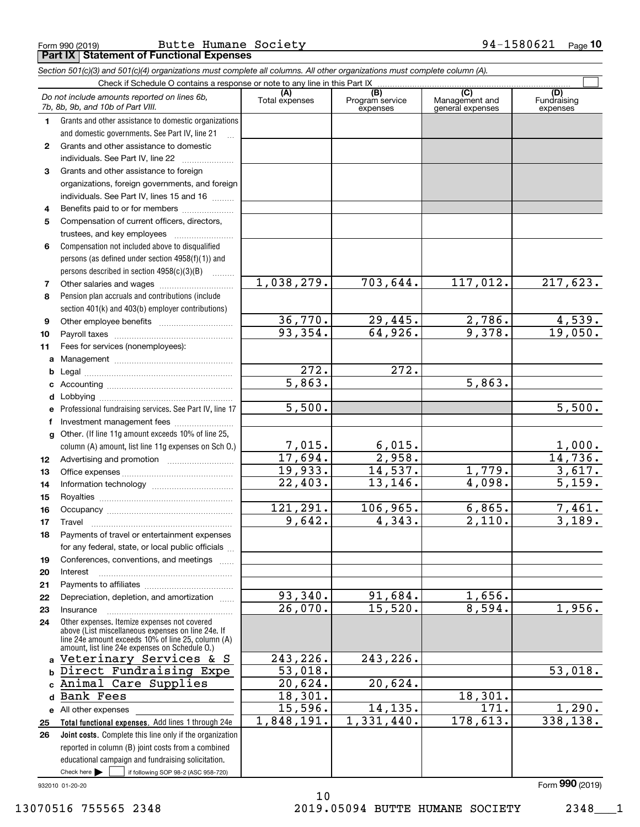|              | Check if Schedule O contains a response or note to any line in this Part IX.                             |                           |                                    |                                                      |                                |  |  |  |  |
|--------------|----------------------------------------------------------------------------------------------------------|---------------------------|------------------------------------|------------------------------------------------------|--------------------------------|--|--|--|--|
|              | Do not include amounts reported on lines 6b,<br>7b, 8b, 9b, and 10b of Part VIII.                        | (A)<br>Total expenses     | (B)<br>Program service<br>expenses | $\overline{C}$<br>Management and<br>general expenses | (D)<br>Fundraising<br>expenses |  |  |  |  |
| 1.           | Grants and other assistance to domestic organizations                                                    |                           |                                    |                                                      |                                |  |  |  |  |
|              | and domestic governments. See Part IV, line 21                                                           |                           |                                    |                                                      |                                |  |  |  |  |
| $\mathbf{2}$ | Grants and other assistance to domestic                                                                  |                           |                                    |                                                      |                                |  |  |  |  |
|              | individuals. See Part IV, line 22                                                                        |                           |                                    |                                                      |                                |  |  |  |  |
| 3            | Grants and other assistance to foreign                                                                   |                           |                                    |                                                      |                                |  |  |  |  |
|              | organizations, foreign governments, and foreign                                                          |                           |                                    |                                                      |                                |  |  |  |  |
|              | individuals. See Part IV, lines 15 and 16                                                                |                           |                                    |                                                      |                                |  |  |  |  |
| 4            |                                                                                                          |                           |                                    |                                                      |                                |  |  |  |  |
| 5            | Compensation of current officers, directors,                                                             |                           |                                    |                                                      |                                |  |  |  |  |
|              |                                                                                                          |                           |                                    |                                                      |                                |  |  |  |  |
| 6            | Compensation not included above to disqualified                                                          |                           |                                    |                                                      |                                |  |  |  |  |
|              | persons (as defined under section 4958(f)(1)) and                                                        |                           |                                    |                                                      |                                |  |  |  |  |
| 7            | persons described in section 4958(c)(3)(B)                                                               | 1,038,279.                | 703,644.                           | 117,012.                                             | 217,623.                       |  |  |  |  |
| 8            | Pension plan accruals and contributions (include                                                         |                           |                                    |                                                      |                                |  |  |  |  |
|              | section 401(k) and 403(b) employer contributions)                                                        |                           |                                    |                                                      |                                |  |  |  |  |
| 9            |                                                                                                          |                           | 29,445.                            |                                                      | 4,539.                         |  |  |  |  |
| 10           |                                                                                                          | $\frac{36,770.}{93,354.}$ | 64,926.                            | $\frac{2,786}{9,378}$ .                              | 19,050.                        |  |  |  |  |
| 11           | Fees for services (nonemployees):                                                                        |                           |                                    |                                                      |                                |  |  |  |  |
| a            |                                                                                                          |                           |                                    |                                                      |                                |  |  |  |  |
| b            |                                                                                                          | $\overline{272}$ .        | $\overline{272}$ .                 |                                                      |                                |  |  |  |  |
| с            |                                                                                                          | 5,863.                    |                                    | 5,863.                                               |                                |  |  |  |  |
| d            | Lobbying                                                                                                 |                           |                                    |                                                      |                                |  |  |  |  |
|              | Professional fundraising services. See Part IV, line 17                                                  | 5,500.                    |                                    |                                                      | 5,500.                         |  |  |  |  |
|              | Investment management fees                                                                               |                           |                                    |                                                      |                                |  |  |  |  |
| g            | Other. (If line 11g amount exceeds 10% of line 25,                                                       |                           |                                    |                                                      |                                |  |  |  |  |
|              | column (A) amount, list line 11g expenses on Sch O.)                                                     | 7,015.                    | 6,015.                             |                                                      | 1,000.                         |  |  |  |  |
| 12           |                                                                                                          | 17,694.                   | 2,958.                             |                                                      | 14,736.                        |  |  |  |  |
| 13           |                                                                                                          | 19,933.                   | 14,537.                            | 1,779.                                               | 3,617.                         |  |  |  |  |
| 14           |                                                                                                          | 22,403.                   | 13, 146.                           | 4,098.                                               | $\overline{5,159.}$            |  |  |  |  |
| 15           |                                                                                                          |                           |                                    |                                                      |                                |  |  |  |  |
| 16           |                                                                                                          | 121,291.                  | 106,965.                           | 6,865.                                               | 7,461.                         |  |  |  |  |
| 17           | Travel                                                                                                   | 9,642.                    | 4,343.                             | $\overline{2,110}$ .                                 | 3,189.                         |  |  |  |  |
| 18           | Payments of travel or entertainment expenses                                                             |                           |                                    |                                                      |                                |  |  |  |  |
|              | for any federal, state, or local public officials                                                        |                           |                                    |                                                      |                                |  |  |  |  |
| 19           | Conferences, conventions, and meetings                                                                   |                           |                                    |                                                      |                                |  |  |  |  |
| 20           | Interest                                                                                                 |                           |                                    |                                                      |                                |  |  |  |  |
| 21<br>22     | Depreciation, depletion, and amortization                                                                | 93,340.                   | 91,684.                            | 1,656.                                               |                                |  |  |  |  |
| 23           | Insurance                                                                                                | 26,070.                   | 15,520.                            | 8,594.                                               | 1,956.                         |  |  |  |  |
| 24           | Other expenses. Itemize expenses not covered                                                             |                           |                                    |                                                      |                                |  |  |  |  |
|              | above (List miscellaneous expenses on line 24e. If<br>line 24e amount exceeds 10% of line 25, column (A) |                           |                                    |                                                      |                                |  |  |  |  |
|              | amount, list line 24e expenses on Schedule O.)                                                           | 243,226.                  | 243,226.                           |                                                      |                                |  |  |  |  |
| a            | Veterinary Services & S                                                                                  |                           |                                    |                                                      |                                |  |  |  |  |
| b            | Direct Fundraising Expe<br>Animal Care Supplies                                                          | 53,018.<br>20,624.        | 20,624.                            |                                                      | 53,018.                        |  |  |  |  |
| d            | Bank Fees                                                                                                | 18,301.                   |                                    | 18,301.                                              |                                |  |  |  |  |
|              |                                                                                                          | 15,596.                   | 14, 135.                           | $\overline{171}$ .                                   | 1,290.                         |  |  |  |  |
| 25           | e All other expenses<br>Total functional expenses. Add lines 1 through 24e                               | 1,848,191.                | 1,331,440.                         | 178,613.                                             | 338,138.                       |  |  |  |  |
| 26           | Joint costs. Complete this line only if the organization                                                 |                           |                                    |                                                      |                                |  |  |  |  |
|              | reported in column (B) joint costs from a combined                                                       |                           |                                    |                                                      |                                |  |  |  |  |
|              | educational campaign and fundraising solicitation.                                                       |                           |                                    |                                                      |                                |  |  |  |  |
|              | $\mathbf{r} = \mathbf{r}$ . The set of $\mathbf{r}$                                                      |                           |                                    |                                                      |                                |  |  |  |  |

*Section 501(c)(3) and 501(c)(4) organizations must complete all columns. All other organizations must complete column (A).*

**Part IX Statement of Functional Expenses**

Check here  $\bullet$  if following SOP 98-2 (ASC 958-720) Check here |

932010 01-20-20

Form (2019) **990**

10 13070516 755565 2348 2019.05094 BUTTE HUMANE SOCIETY 2348\_\_\_1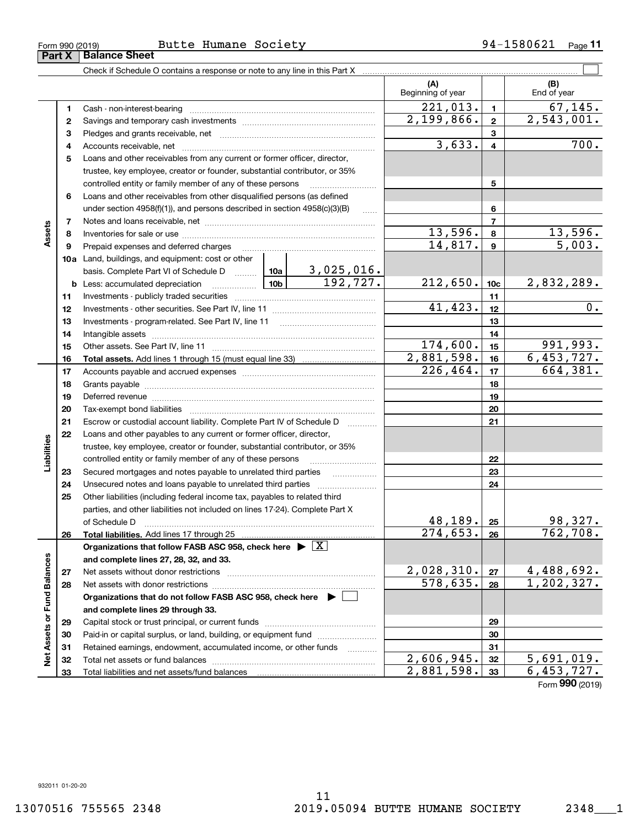|                             |    | Check if Schedule O contains a response or note to any line in this Part X [11] manufacture in this part X and the Schedule O contains a response or note to any line in this Part X [12] manufacture in the Schedule O contai |            |               |                            |                  |                         |
|-----------------------------|----|--------------------------------------------------------------------------------------------------------------------------------------------------------------------------------------------------------------------------------|------------|---------------|----------------------------|------------------|-------------------------|
|                             |    |                                                                                                                                                                                                                                |            |               | (A)<br>Beginning of year   |                  | (B)<br>End of year      |
|                             | 1  |                                                                                                                                                                                                                                |            |               | $\overline{221,013}$ .     | $\mathbf{1}$     | 67, 145.                |
|                             | 2  |                                                                                                                                                                                                                                |            |               | 2,199,866.                 | $\mathbf{2}$     | $\overline{2,543,001.}$ |
|                             | 3  |                                                                                                                                                                                                                                |            |               |                            | 3                |                         |
|                             | 4  |                                                                                                                                                                                                                                |            |               | 3,633.                     | $\overline{4}$   | 700.                    |
|                             | 5  | Loans and other receivables from any current or former officer, director,                                                                                                                                                      |            |               |                            |                  |                         |
|                             |    | trustee, key employee, creator or founder, substantial contributor, or 35%                                                                                                                                                     |            |               |                            |                  |                         |
|                             |    | controlled entity or family member of any of these persons                                                                                                                                                                     |            |               |                            | 5                |                         |
|                             | 6  | Loans and other receivables from other disqualified persons (as defined                                                                                                                                                        |            |               |                            |                  |                         |
|                             |    | under section $4958(f)(1)$ , and persons described in section $4958(c)(3)(B)$                                                                                                                                                  |            | $\ldots$      |                            | 6                |                         |
|                             | 7  |                                                                                                                                                                                                                                |            |               |                            | $\overline{7}$   |                         |
| Assets                      | 8  |                                                                                                                                                                                                                                |            |               | 13,596.                    | 8                | 13,596.                 |
|                             | 9  | Prepaid expenses and deferred charges                                                                                                                                                                                          |            |               | 14,817.                    | $\boldsymbol{9}$ | 5,003.                  |
|                             |    | 10a Land, buildings, and equipment: cost or other                                                                                                                                                                              |            |               |                            |                  |                         |
|                             |    | basis. Complete Part VI of Schedule D $\frac{10a}{3,025,016}$ .                                                                                                                                                                |            |               |                            |                  |                         |
|                             |    | <b>10b</b><br><b>b</b> Less: accumulated depreciation                                                                                                                                                                          |            | 192, 727.     | 212,650.                   | 10 <sub>c</sub>  | 2,832,289.              |
|                             | 11 |                                                                                                                                                                                                                                |            |               | 11                         |                  |                         |
|                             | 12 |                                                                                                                                                                                                                                | 41,423.    | 12            | $\overline{0}$ .           |                  |                         |
|                             | 13 |                                                                                                                                                                                                                                |            | 13            |                            |                  |                         |
|                             | 14 |                                                                                                                                                                                                                                |            |               | 14                         |                  |                         |
|                             | 15 |                                                                                                                                                                                                                                | 174,600.   | 15            | 991,993.                   |                  |                         |
|                             | 16 |                                                                                                                                                                                                                                |            |               | 2,881,598.                 | 16               | 6,453,727.              |
|                             | 17 |                                                                                                                                                                                                                                |            | 226, 464.     | 17                         | 664,381.         |                         |
|                             | 18 |                                                                                                                                                                                                                                |            |               |                            | 18               |                         |
|                             | 19 |                                                                                                                                                                                                                                |            |               | 19                         |                  |                         |
|                             | 20 |                                                                                                                                                                                                                                |            |               |                            | 20               |                         |
|                             | 21 | Escrow or custodial account liability. Complete Part IV of Schedule D                                                                                                                                                          |            | $\frac{1}{2}$ |                            | 21               |                         |
|                             | 22 | Loans and other payables to any current or former officer, director,                                                                                                                                                           |            |               |                            |                  |                         |
| Liabilities                 |    | trustee, key employee, creator or founder, substantial contributor, or 35%                                                                                                                                                     |            |               |                            |                  |                         |
|                             |    | controlled entity or family member of any of these persons                                                                                                                                                                     |            |               |                            | 22               |                         |
|                             | 23 | Secured mortgages and notes payable to unrelated third parties                                                                                                                                                                 |            |               |                            | 23               |                         |
|                             | 24 |                                                                                                                                                                                                                                |            |               |                            | 24               |                         |
|                             | 25 | Other liabilities (including federal income tax, payables to related third                                                                                                                                                     |            |               |                            |                  |                         |
|                             |    | parties, and other liabilities not included on lines 17-24). Complete Part X                                                                                                                                                   |            |               | 48, 189.                   |                  | 98,327.                 |
|                             |    | of Schedule D                                                                                                                                                                                                                  |            |               | $\overline{274, 653}$ , 26 | 25               | 762, 708.               |
|                             | 26 | Total liabilities. Add lines 17 through 25<br>Organizations that follow FASB ASC 958, check here $\triangleright \lfloor X \rfloor$                                                                                            |            |               |                            |                  |                         |
|                             |    | and complete lines 27, 28, 32, and 33.                                                                                                                                                                                         |            |               |                            |                  |                         |
|                             | 27 |                                                                                                                                                                                                                                |            |               | 2,028,310.                 | 27               | 4, 488, 692.            |
|                             | 28 |                                                                                                                                                                                                                                |            |               | 578,635.                   | 28               | 1,202,327.              |
|                             |    | Organizations that do not follow FASB ASC 958, check here $\blacktriangleright$                                                                                                                                                |            |               |                            |                  |                         |
|                             |    | and complete lines 29 through 33.                                                                                                                                                                                              |            |               |                            |                  |                         |
| Net Assets or Fund Balances | 29 |                                                                                                                                                                                                                                |            |               |                            | 29               |                         |
|                             | 30 | Paid-in or capital surplus, or land, building, or equipment fund                                                                                                                                                               |            |               |                            | 30               |                         |
|                             | 31 | Retained earnings, endowment, accumulated income, or other funds                                                                                                                                                               |            |               |                            | 31               |                         |
|                             | 32 |                                                                                                                                                                                                                                |            |               | $\overline{2,606,945}$ .   | 32               | 5,691,019.              |
|                             | 33 |                                                                                                                                                                                                                                | 2,881,598. | 33            | 6,453,727.                 |                  |                         |

Form (2019) **990**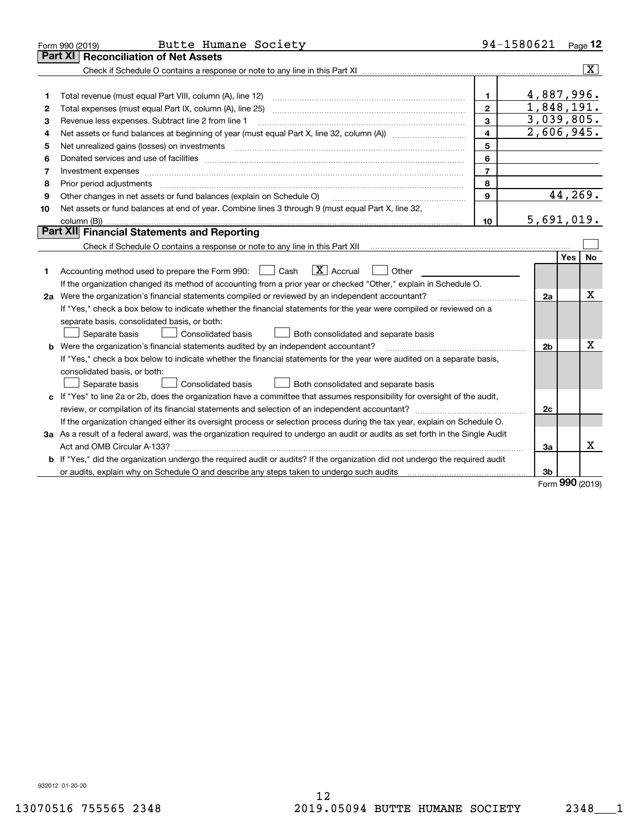|    | Butte Humane Society<br>Form 990 (2019)                                                                                                                                                                                        |                | 94-1580621     |            | Page 12                 |
|----|--------------------------------------------------------------------------------------------------------------------------------------------------------------------------------------------------------------------------------|----------------|----------------|------------|-------------------------|
|    | Part XI<br><b>Reconciliation of Net Assets</b>                                                                                                                                                                                 |                |                |            |                         |
|    |                                                                                                                                                                                                                                |                |                |            | $\overline{\mathbf{X}}$ |
|    |                                                                                                                                                                                                                                |                |                |            |                         |
| 1  | Total revenue (must equal Part VIII, column (A), line 12)                                                                                                                                                                      | $\mathbf{1}$   | 4,887,996.     |            |                         |
| 2  |                                                                                                                                                                                                                                | $\mathbf{2}$   | 1,848,191.     |            |                         |
| 3  | Revenue less expenses. Subtract line 2 from line 1                                                                                                                                                                             | 3              | 3,039,805.     |            |                         |
| 4  |                                                                                                                                                                                                                                | $\overline{4}$ | 2,606,945.     |            |                         |
| 5  | Net unrealized gains (losses) on investments [11] [11] non-manufactured manufactured manufactured manufactured manufactured manufactured manufactured manufactured manufactured manufactured manufactured manufactured manufac | 5              |                |            |                         |
| 6  |                                                                                                                                                                                                                                | 6              |                |            |                         |
| 7  | Investment expenses www.communication.com/www.communication.com/www.communication.com/www.com                                                                                                                                  | $\overline{7}$ |                |            |                         |
| 8  | Prior period adjustments www.communication.communication.com/news/communication.com/news/communication.com/new                                                                                                                 | 8              |                |            |                         |
| 9  | Other changes in net assets or fund balances (explain on Schedule O)                                                                                                                                                           | 9              |                |            | 44,269.                 |
| 10 | Net assets or fund balances at end of year. Combine lines 3 through 9 (must equal Part X, line 32,                                                                                                                             |                |                |            |                         |
|    |                                                                                                                                                                                                                                | 10             | 5,691,019.     |            |                         |
|    | Part XII Financial Statements and Reporting                                                                                                                                                                                    |                |                |            |                         |
|    |                                                                                                                                                                                                                                |                |                |            |                         |
|    |                                                                                                                                                                                                                                |                |                | <b>Yes</b> | <b>No</b>               |
| 1  | $\boxed{\mathbf{X}}$ Accrual<br>Accounting method used to prepare the Form 990: <u>[</u> Cash<br>Other                                                                                                                         |                |                |            |                         |
|    | If the organization changed its method of accounting from a prior year or checked "Other," explain in Schedule O.                                                                                                              |                |                |            |                         |
|    | 2a Were the organization's financial statements compiled or reviewed by an independent accountant?                                                                                                                             |                | 2a             |            | X                       |
|    | If "Yes," check a box below to indicate whether the financial statements for the year were compiled or reviewed on a                                                                                                           |                |                |            |                         |
|    | separate basis, consolidated basis, or both:                                                                                                                                                                                   |                |                |            |                         |
|    | Separate basis<br>Consolidated basis<br>Both consolidated and separate basis                                                                                                                                                   |                |                |            |                         |
|    | <b>b</b> Were the organization's financial statements audited by an independent accountant?                                                                                                                                    |                | 2 <sub>b</sub> |            | X                       |
|    | If "Yes," check a box below to indicate whether the financial statements for the year were audited on a separate basis,                                                                                                        |                |                |            |                         |
|    | consolidated basis, or both:                                                                                                                                                                                                   |                |                |            |                         |
|    | <b>Consolidated basis</b><br>Separate basis<br>Both consolidated and separate basis                                                                                                                                            |                |                |            |                         |
|    | c If "Yes" to line 2a or 2b, does the organization have a committee that assumes responsibility for oversight of the audit,                                                                                                    |                |                |            |                         |
|    |                                                                                                                                                                                                                                |                | 2c             |            |                         |
|    | If the organization changed either its oversight process or selection process during the tax year, explain on Schedule O.                                                                                                      |                |                |            |                         |
|    | 3a As a result of a federal award, was the organization required to undergo an audit or audits as set forth in the Single Audit                                                                                                |                |                |            |                         |
|    |                                                                                                                                                                                                                                |                | 3a             |            | x                       |
|    | b If "Yes," did the organization undergo the required audit or audits? If the organization did not undergo the required audit                                                                                                  |                |                |            |                         |
|    |                                                                                                                                                                                                                                |                | 3 <sub>b</sub> | 000        |                         |

Form (2019) **990**

932012 01-20-20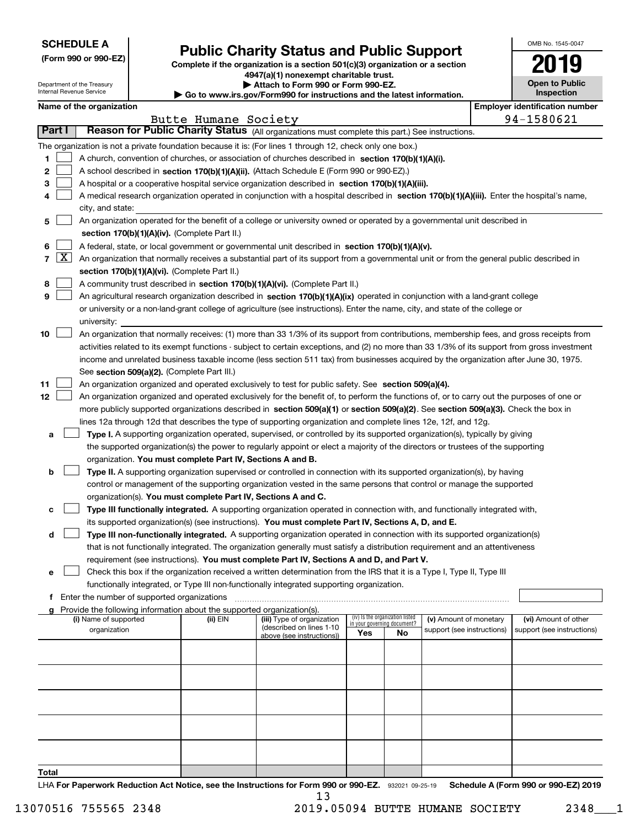| <b>SCHEDULE A</b> |
|-------------------|
|-------------------|

Department of the Treasury Internal Revenue Service

**(Form 990 or 990-EZ)**

# **Public Charity Status and Public Support**

**Complete if the organization is a section 501(c)(3) organization or a section 4947(a)(1) nonexempt charitable trust. | Attach to Form 990 or Form 990-EZ.** 

|  | Go to www.irs.gov/Form990 for instructions and the latest information. |  |  |
|--|------------------------------------------------------------------------|--|--|
|  |                                                                        |  |  |

| OMB No 1545-0047      |
|-----------------------|
| 2019                  |
| <b>Open to Public</b> |

**Inspection**

|       |                   | Name of the organization                                                                                                                                                                                      |                      |                                                       |                                                                |    |                            |  | <b>Employer identification number</b> |  |
|-------|-------------------|---------------------------------------------------------------------------------------------------------------------------------------------------------------------------------------------------------------|----------------------|-------------------------------------------------------|----------------------------------------------------------------|----|----------------------------|--|---------------------------------------|--|
|       |                   |                                                                                                                                                                                                               | Butte Humane Society |                                                       |                                                                |    |                            |  | 94-1580621                            |  |
|       | Part I            | Reason for Public Charity Status (All organizations must complete this part.) See instructions.                                                                                                               |                      |                                                       |                                                                |    |                            |  |                                       |  |
|       |                   | The organization is not a private foundation because it is: (For lines 1 through 12, check only one box.)                                                                                                     |                      |                                                       |                                                                |    |                            |  |                                       |  |
| 1.    |                   | A church, convention of churches, or association of churches described in section 170(b)(1)(A)(i).                                                                                                            |                      |                                                       |                                                                |    |                            |  |                                       |  |
| 2     |                   | A school described in section 170(b)(1)(A)(ii). (Attach Schedule E (Form 990 or 990-EZ).)                                                                                                                     |                      |                                                       |                                                                |    |                            |  |                                       |  |
| з     |                   | A hospital or a cooperative hospital service organization described in section $170(b)(1)(A)(iii)$ .                                                                                                          |                      |                                                       |                                                                |    |                            |  |                                       |  |
| 4     |                   | A medical research organization operated in conjunction with a hospital described in section 170(b)(1)(A)(iii). Enter the hospital's name,                                                                    |                      |                                                       |                                                                |    |                            |  |                                       |  |
|       |                   | city, and state:                                                                                                                                                                                              |                      |                                                       |                                                                |    |                            |  |                                       |  |
| 5     |                   | An organization operated for the benefit of a college or university owned or operated by a governmental unit described in                                                                                     |                      |                                                       |                                                                |    |                            |  |                                       |  |
|       |                   | section 170(b)(1)(A)(iv). (Complete Part II.)                                                                                                                                                                 |                      |                                                       |                                                                |    |                            |  |                                       |  |
| 6     |                   | A federal, state, or local government or governmental unit described in section 170(b)(1)(A)(v).                                                                                                              |                      |                                                       |                                                                |    |                            |  |                                       |  |
|       | $7 \vert X \vert$ | An organization that normally receives a substantial part of its support from a governmental unit or from the general public described in                                                                     |                      |                                                       |                                                                |    |                            |  |                                       |  |
|       |                   | section 170(b)(1)(A)(vi). (Complete Part II.)                                                                                                                                                                 |                      |                                                       |                                                                |    |                            |  |                                       |  |
| 8     |                   | A community trust described in section 170(b)(1)(A)(vi). (Complete Part II.)<br>An agricultural research organization described in section 170(b)(1)(A)(ix) operated in conjunction with a land-grant college |                      |                                                       |                                                                |    |                            |  |                                       |  |
| 9     |                   |                                                                                                                                                                                                               |                      |                                                       |                                                                |    |                            |  |                                       |  |
|       |                   | or university or a non-land-grant college of agriculture (see instructions). Enter the name, city, and state of the college or<br>university:                                                                 |                      |                                                       |                                                                |    |                            |  |                                       |  |
| 10    |                   | An organization that normally receives: (1) more than 33 1/3% of its support from contributions, membership fees, and gross receipts from                                                                     |                      |                                                       |                                                                |    |                            |  |                                       |  |
|       |                   | activities related to its exempt functions - subject to certain exceptions, and (2) no more than 33 1/3% of its support from gross investment                                                                 |                      |                                                       |                                                                |    |                            |  |                                       |  |
|       |                   | income and unrelated business taxable income (less section 511 tax) from businesses acquired by the organization after June 30, 1975.                                                                         |                      |                                                       |                                                                |    |                            |  |                                       |  |
|       |                   | See section 509(a)(2). (Complete Part III.)                                                                                                                                                                   |                      |                                                       |                                                                |    |                            |  |                                       |  |
| 11    |                   | An organization organized and operated exclusively to test for public safety. See section 509(a)(4).                                                                                                          |                      |                                                       |                                                                |    |                            |  |                                       |  |
| 12    |                   | An organization organized and operated exclusively for the benefit of, to perform the functions of, or to carry out the purposes of one or                                                                    |                      |                                                       |                                                                |    |                            |  |                                       |  |
|       |                   | more publicly supported organizations described in section 509(a)(1) or section 509(a)(2). See section 509(a)(3). Check the box in                                                                            |                      |                                                       |                                                                |    |                            |  |                                       |  |
|       |                   | lines 12a through 12d that describes the type of supporting organization and complete lines 12e, 12f, and 12g.                                                                                                |                      |                                                       |                                                                |    |                            |  |                                       |  |
| a     |                   | Type I. A supporting organization operated, supervised, or controlled by its supported organization(s), typically by giving                                                                                   |                      |                                                       |                                                                |    |                            |  |                                       |  |
|       |                   | the supported organization(s) the power to regularly appoint or elect a majority of the directors or trustees of the supporting                                                                               |                      |                                                       |                                                                |    |                            |  |                                       |  |
|       |                   | organization. You must complete Part IV, Sections A and B.                                                                                                                                                    |                      |                                                       |                                                                |    |                            |  |                                       |  |
| b     |                   | Type II. A supporting organization supervised or controlled in connection with its supported organization(s), by having                                                                                       |                      |                                                       |                                                                |    |                            |  |                                       |  |
|       |                   | control or management of the supporting organization vested in the same persons that control or manage the supported                                                                                          |                      |                                                       |                                                                |    |                            |  |                                       |  |
|       |                   | organization(s). You must complete Part IV, Sections A and C.                                                                                                                                                 |                      |                                                       |                                                                |    |                            |  |                                       |  |
| c     |                   | Type III functionally integrated. A supporting organization operated in connection with, and functionally integrated with,                                                                                    |                      |                                                       |                                                                |    |                            |  |                                       |  |
|       |                   | its supported organization(s) (see instructions). You must complete Part IV, Sections A, D, and E.                                                                                                            |                      |                                                       |                                                                |    |                            |  |                                       |  |
| d     |                   | Type III non-functionally integrated. A supporting organization operated in connection with its supported organization(s)                                                                                     |                      |                                                       |                                                                |    |                            |  |                                       |  |
|       |                   | that is not functionally integrated. The organization generally must satisfy a distribution requirement and an attentiveness                                                                                  |                      |                                                       |                                                                |    |                            |  |                                       |  |
|       |                   | requirement (see instructions). You must complete Part IV, Sections A and D, and Part V.                                                                                                                      |                      |                                                       |                                                                |    |                            |  |                                       |  |
|       |                   | Check this box if the organization received a written determination from the IRS that it is a Type I, Type II, Type III                                                                                       |                      |                                                       |                                                                |    |                            |  |                                       |  |
|       |                   | functionally integrated, or Type III non-functionally integrated supporting organization.<br>f Enter the number of supported organizations                                                                    |                      |                                                       |                                                                |    |                            |  |                                       |  |
|       |                   | Provide the following information about the supported organization(s).                                                                                                                                        |                      |                                                       |                                                                |    |                            |  |                                       |  |
|       |                   | (i) Name of supported                                                                                                                                                                                         | (ii) EIN             | (iii) Type of organization                            | (iv) Is the organization listed<br>in your governing document? |    | (v) Amount of monetary     |  | (vi) Amount of other                  |  |
|       |                   | organization                                                                                                                                                                                                  |                      | (described on lines 1-10<br>above (see instructions)) | Yes                                                            | No | support (see instructions) |  | support (see instructions)            |  |
|       |                   |                                                                                                                                                                                                               |                      |                                                       |                                                                |    |                            |  |                                       |  |
|       |                   |                                                                                                                                                                                                               |                      |                                                       |                                                                |    |                            |  |                                       |  |
|       |                   |                                                                                                                                                                                                               |                      |                                                       |                                                                |    |                            |  |                                       |  |
|       |                   |                                                                                                                                                                                                               |                      |                                                       |                                                                |    |                            |  |                                       |  |
|       |                   |                                                                                                                                                                                                               |                      |                                                       |                                                                |    |                            |  |                                       |  |
|       |                   |                                                                                                                                                                                                               |                      |                                                       |                                                                |    |                            |  |                                       |  |
|       |                   |                                                                                                                                                                                                               |                      |                                                       |                                                                |    |                            |  |                                       |  |
|       |                   |                                                                                                                                                                                                               |                      |                                                       |                                                                |    |                            |  |                                       |  |
|       |                   |                                                                                                                                                                                                               |                      |                                                       |                                                                |    |                            |  |                                       |  |
|       |                   |                                                                                                                                                                                                               |                      |                                                       |                                                                |    |                            |  |                                       |  |
| Total |                   |                                                                                                                                                                                                               |                      |                                                       |                                                                |    |                            |  |                                       |  |

LHA For Paperwork Reduction Act Notice, see the Instructions for Form 990 or 990-EZ. 932021 09-25-19 Schedule A (Form 990 or 990-EZ) 2019 13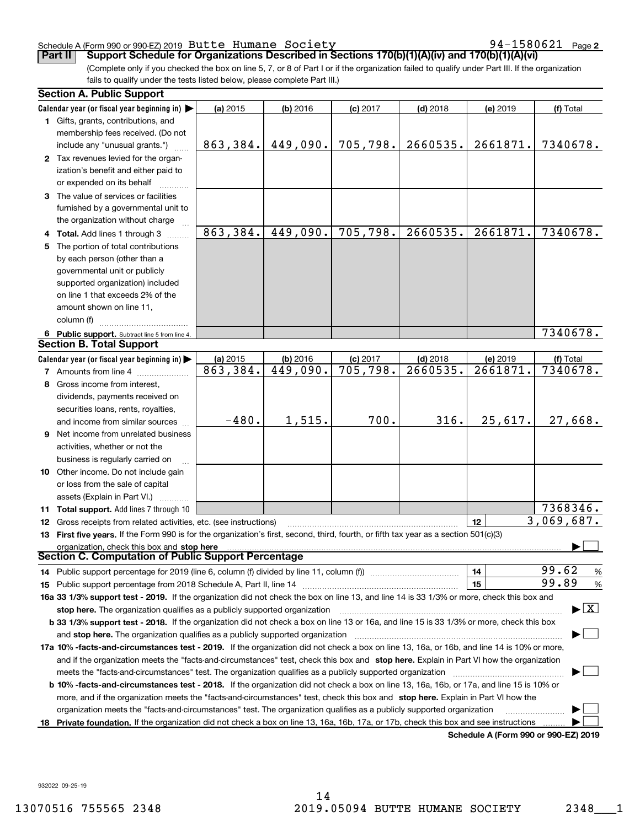### Schedule A (Form 990 or 990-EZ) 2019 <code>Butte Humane Society</code>  $94-1580621$  <code>Page</code>

**Part II** | Support Schedule for Organizations Described in Sections 170(b)(1)(A)(iv) and 170(b)(1)(A)(vi)

(Complete only if you checked the box on line 5, 7, or 8 of Part I or if the organization failed to qualify under Part III. If the organization fails to qualify under the tests listed below, please complete Part III.)

| <b>Section A. Public Support</b>                                                                                                                                                      |          |            |            |            |          |                                         |  |
|---------------------------------------------------------------------------------------------------------------------------------------------------------------------------------------|----------|------------|------------|------------|----------|-----------------------------------------|--|
| Calendar year (or fiscal year beginning in) $\blacktriangleright$                                                                                                                     | (a) 2015 | $(b)$ 2016 | $(c)$ 2017 | $(d)$ 2018 | (e) 2019 | (f) Total                               |  |
| <b>1</b> Gifts, grants, contributions, and                                                                                                                                            |          |            |            |            |          |                                         |  |
| membership fees received. (Do not                                                                                                                                                     |          |            |            |            |          |                                         |  |
| include any "unusual grants.")                                                                                                                                                        | 863,384. | 449,090.   | 705,798.   | 2660535.   | 2661871. | 7340678.                                |  |
| 2 Tax revenues levied for the organ-                                                                                                                                                  |          |            |            |            |          |                                         |  |
| ization's benefit and either paid to                                                                                                                                                  |          |            |            |            |          |                                         |  |
| or expended on its behalf                                                                                                                                                             |          |            |            |            |          |                                         |  |
| 3 The value of services or facilities                                                                                                                                                 |          |            |            |            |          |                                         |  |
| furnished by a governmental unit to                                                                                                                                                   |          |            |            |            |          |                                         |  |
| the organization without charge                                                                                                                                                       |          |            |            |            |          |                                         |  |
| 4 Total. Add lines 1 through 3                                                                                                                                                        | 863,384. | 449,090.   | 705,798.   | 2660535.   | 2661871. | 7340678.                                |  |
| 5 The portion of total contributions                                                                                                                                                  |          |            |            |            |          |                                         |  |
| by each person (other than a                                                                                                                                                          |          |            |            |            |          |                                         |  |
| governmental unit or publicly                                                                                                                                                         |          |            |            |            |          |                                         |  |
| supported organization) included                                                                                                                                                      |          |            |            |            |          |                                         |  |
| on line 1 that exceeds 2% of the                                                                                                                                                      |          |            |            |            |          |                                         |  |
|                                                                                                                                                                                       |          |            |            |            |          |                                         |  |
| amount shown on line 11,                                                                                                                                                              |          |            |            |            |          |                                         |  |
| column (f)                                                                                                                                                                            |          |            |            |            |          |                                         |  |
| 6 Public support. Subtract line 5 from line 4.                                                                                                                                        |          |            |            |            |          | 7340678.                                |  |
| <b>Section B. Total Support</b>                                                                                                                                                       |          |            |            |            |          |                                         |  |
| Calendar year (or fiscal year beginning in)                                                                                                                                           | (a) 2015 | $(b)$ 2016 | $(c)$ 2017 | $(d)$ 2018 | (e) 2019 | (f) Total                               |  |
| <b>7</b> Amounts from line 4                                                                                                                                                          | 863,384. | 449,090.   | 705,798.   | 2660535.   | 2661871. | 7340678.                                |  |
| 8 Gross income from interest,                                                                                                                                                         |          |            |            |            |          |                                         |  |
| dividends, payments received on                                                                                                                                                       |          |            |            |            |          |                                         |  |
| securities loans, rents, royalties,                                                                                                                                                   |          |            |            |            |          |                                         |  |
| and income from similar sources                                                                                                                                                       | $-480.$  | 1,515.     | 700.       | 316.       | 25,617.  | 27,668.                                 |  |
| 9 Net income from unrelated business                                                                                                                                                  |          |            |            |            |          |                                         |  |
| activities, whether or not the                                                                                                                                                        |          |            |            |            |          |                                         |  |
| business is regularly carried on                                                                                                                                                      |          |            |            |            |          |                                         |  |
| <b>10</b> Other income. Do not include gain                                                                                                                                           |          |            |            |            |          |                                         |  |
| or loss from the sale of capital                                                                                                                                                      |          |            |            |            |          |                                         |  |
| assets (Explain in Part VI.)                                                                                                                                                          |          |            |            |            |          |                                         |  |
| <b>11 Total support.</b> Add lines 7 through 10                                                                                                                                       |          |            |            |            |          | 7368346.                                |  |
| 12 Gross receipts from related activities, etc. (see instructions)                                                                                                                    |          |            |            |            | 12       | 3,069,687.                              |  |
| 13 First five years. If the Form 990 is for the organization's first, second, third, fourth, or fifth tax year as a section 501(c)(3)                                                 |          |            |            |            |          |                                         |  |
| organization, check this box and stop here                                                                                                                                            |          |            |            |            |          |                                         |  |
| Section C. Computation of Public Support Percentage                                                                                                                                   |          |            |            |            |          |                                         |  |
| 14 Public support percentage for 2019 (line 6, column (f) divided by line 11, column (f) <i>manumeronominimi</i> ng.                                                                  |          |            |            |            | 14       | 99.62<br>$\frac{9}{6}$                  |  |
|                                                                                                                                                                                       |          |            |            |            | 15       | 99.89<br>%                              |  |
| 16a 33 1/3% support test - 2019. If the organization did not check the box on line 13, and line 14 is 33 1/3% or more, check this box and                                             |          |            |            |            |          |                                         |  |
| stop here. The organization qualifies as a publicly supported organization                                                                                                            |          |            |            |            |          | $\blacktriangleright$ $\vert$ X $\vert$ |  |
| b 33 1/3% support test - 2018. If the organization did not check a box on line 13 or 16a, and line 15 is 33 1/3% or more, check this box                                              |          |            |            |            |          |                                         |  |
| and stop here. The organization qualifies as a publicly supported organization                                                                                                        |          |            |            |            |          |                                         |  |
| 17a 10% -facts-and-circumstances test - 2019. If the organization did not check a box on line 13, 16a, or 16b, and line 14 is 10% or more,                                            |          |            |            |            |          |                                         |  |
|                                                                                                                                                                                       |          |            |            |            |          |                                         |  |
| and if the organization meets the "facts-and-circumstances" test, check this box and stop here. Explain in Part VI how the organization                                               |          |            |            |            |          |                                         |  |
| meets the "facts-and-circumstances" test. The organization qualifies as a publicly supported organization <i>marroummumumumum</i>                                                     |          |            |            |            |          |                                         |  |
| <b>b 10% -facts-and-circumstances test - 2018.</b> If the organization did not check a box on line 13, 16a, 16b, or 17a, and line 15 is 10% or                                        |          |            |            |            |          |                                         |  |
| more, and if the organization meets the "facts-and-circumstances" test, check this box and stop here. Explain in Part VI how the                                                      |          |            |            |            |          |                                         |  |
| organization meets the "facts-and-circumstances" test. The organization qualifies as a publicly supported organization                                                                |          |            |            |            |          |                                         |  |
| 18 Private foundation. If the organization did not check a box on line 13, 16a, 16b, 17a, or 17b, check this box and see instructions<br><b>Cabadula A (Fause 000 av 000 EZ) 0040</b> |          |            |            |            |          |                                         |  |

**Schedule A (Form 990 or 990-EZ) 2019**

932022 09-25-19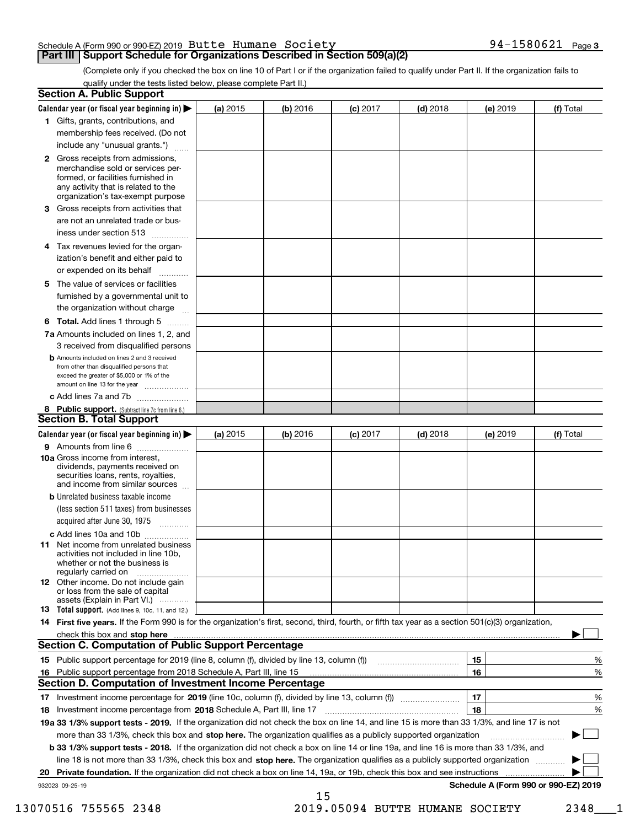# Schedule A (Form 990 or 990-EZ) 2019 <code>Butte Humane Society</code>  $94-1580621$  <code>Page</code>

# **Part III | Support Schedule for Organizations Described in Section 509(a)(2)**

**3**

(Complete only if you checked the box on line 10 of Part I or if the organization failed to qualify under Part II. If the organization fails to qualify under the tests listed below, please complete Part II.)

| <b>Section A. Public Support</b>                                                                                                                                                         |            |          |            |            |          |                                      |
|------------------------------------------------------------------------------------------------------------------------------------------------------------------------------------------|------------|----------|------------|------------|----------|--------------------------------------|
| Calendar year (or fiscal year beginning in) $\blacktriangleright$                                                                                                                        | (a) 2015   | (b) 2016 | $(c)$ 2017 | $(d)$ 2018 | (e) 2019 | (f) Total                            |
| 1 Gifts, grants, contributions, and                                                                                                                                                      |            |          |            |            |          |                                      |
| membership fees received. (Do not                                                                                                                                                        |            |          |            |            |          |                                      |
| include any "unusual grants.")                                                                                                                                                           |            |          |            |            |          |                                      |
| 2 Gross receipts from admissions,<br>merchandise sold or services per-<br>formed, or facilities furnished in<br>any activity that is related to the<br>organization's tax-exempt purpose |            |          |            |            |          |                                      |
| 3 Gross receipts from activities that<br>are not an unrelated trade or bus-                                                                                                              |            |          |            |            |          |                                      |
| iness under section 513                                                                                                                                                                  |            |          |            |            |          |                                      |
| 4 Tax revenues levied for the organ-<br>ization's benefit and either paid to<br>or expended on its behalf<br>.                                                                           |            |          |            |            |          |                                      |
| 5 The value of services or facilities<br>furnished by a governmental unit to<br>the organization without charge                                                                          |            |          |            |            |          |                                      |
|                                                                                                                                                                                          |            |          |            |            |          |                                      |
| <b>6 Total.</b> Add lines 1 through 5<br>7a Amounts included on lines 1, 2, and<br>3 received from disqualified persons                                                                  |            |          |            |            |          |                                      |
| <b>b</b> Amounts included on lines 2 and 3 received<br>from other than disqualified persons that<br>exceed the greater of \$5,000 or 1% of the<br>amount on line 13 for the year         |            |          |            |            |          |                                      |
| c Add lines 7a and 7b                                                                                                                                                                    |            |          |            |            |          |                                      |
| 8 Public support. (Subtract line 7c from line 6.)                                                                                                                                        |            |          |            |            |          |                                      |
| <b>Section B. Total Support</b>                                                                                                                                                          |            |          |            |            |          |                                      |
| Calendar year (or fiscal year beginning in) $\blacktriangleright$                                                                                                                        | (a) $2015$ | (b) 2016 | $(c)$ 2017 | $(d)$ 2018 | (e) 2019 | (f) Total                            |
| 9 Amounts from line 6                                                                                                                                                                    |            |          |            |            |          |                                      |
| 10a Gross income from interest,<br>dividends, payments received on<br>securities loans, rents, royalties,<br>and income from similar sources                                             |            |          |            |            |          |                                      |
| <b>b</b> Unrelated business taxable income<br>(less section 511 taxes) from businesses<br>acquired after June 30, 1975<br>1.1.1.1.1.1.1.1.1.1                                            |            |          |            |            |          |                                      |
| c Add lines 10a and 10b                                                                                                                                                                  |            |          |            |            |          |                                      |
| <b>11</b> Net income from unrelated business<br>activities not included in line 10b,<br>whether or not the business is<br>regularly carried on                                           |            |          |            |            |          |                                      |
| <b>12</b> Other income. Do not include gain<br>or loss from the sale of capital<br>assets (Explain in Part VI.)                                                                          |            |          |            |            |          |                                      |
| <b>13</b> Total support. (Add lines 9, 10c, 11, and 12.)                                                                                                                                 |            |          |            |            |          |                                      |
| 14 First five years. If the Form 990 is for the organization's first, second, third, fourth, or fifth tax year as a section 501(c)(3) organization,                                      |            |          |            |            |          |                                      |
|                                                                                                                                                                                          |            |          |            |            |          |                                      |
| <b>Section C. Computation of Public Support Percentage</b>                                                                                                                               |            |          |            |            |          |                                      |
| 15 Public support percentage for 2019 (line 8, column (f), divided by line 13, column (f))                                                                                               |            |          |            |            | 15       | %                                    |
| 16 Public support percentage from 2018 Schedule A, Part III, line 15                                                                                                                     |            |          |            |            | 16       | %                                    |
| <b>Section D. Computation of Investment Income Percentage</b>                                                                                                                            |            |          |            |            |          |                                      |
| 17 Investment income percentage for 2019 (line 10c, column (f), divided by line 13, column (f))                                                                                          |            |          |            |            | 17       | %                                    |
| 18 Investment income percentage from 2018 Schedule A, Part III, line 17                                                                                                                  |            |          |            |            | 18       | %                                    |
| 19a 33 1/3% support tests - 2019. If the organization did not check the box on line 14, and line 15 is more than 33 1/3%, and line 17 is not                                             |            |          |            |            |          |                                      |
| more than 33 1/3%, check this box and stop here. The organization qualifies as a publicly supported organization                                                                         |            |          |            |            |          |                                      |
| b 33 1/3% support tests - 2018. If the organization did not check a box on line 14 or line 19a, and line 16 is more than 33 1/3%, and                                                    |            |          |            |            |          |                                      |
| line 18 is not more than 33 1/3%, check this box and stop here. The organization qualifies as a publicly supported organization                                                          |            |          |            |            |          |                                      |
| 20 Private foundation. If the organization did not check a box on line 14, 19a, or 19b, check this box and see instructions                                                              |            |          |            |            |          | .                                    |
| 932023 09-25-19                                                                                                                                                                          |            | 15       |            |            |          | Schedule A (Form 990 or 990-EZ) 2019 |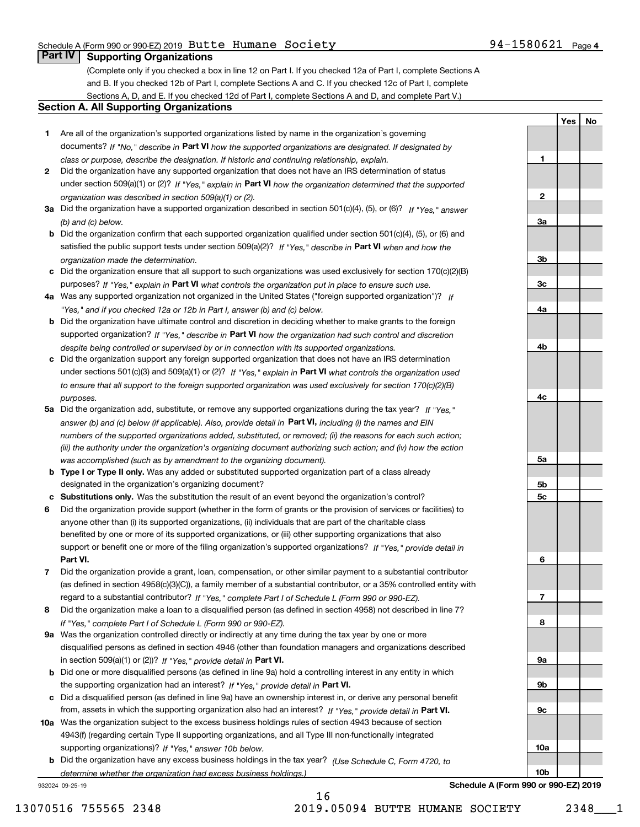## Schedule A (Form 990 or 990-EZ) 2019 <code>Butte Humane Society</code>  $94-1580621$  <code>Page</code>

**1**

**2**

**YesNo**

# **Part IV Supporting Organizations**

(Complete only if you checked a box in line 12 on Part I. If you checked 12a of Part I, complete Sections A and B. If you checked 12b of Part I, complete Sections A and C. If you checked 12c of Part I, complete Sections A, D, and E. If you checked 12d of Part I, complete Sections A and D, and complete Part V.)

### **Section A. All Supporting Organizations**

- **1** Are all of the organization's supported organizations listed by name in the organization's governing documents? If "No," describe in **Part VI** how the supported organizations are designated. If designated by *class or purpose, describe the designation. If historic and continuing relationship, explain.*
- **2** Did the organization have any supported organization that does not have an IRS determination of status under section 509(a)(1) or (2)? If "Yes," explain in Part VI how the organization determined that the supported *organization was described in section 509(a)(1) or (2).*
- **3a** Did the organization have a supported organization described in section 501(c)(4), (5), or (6)? If "Yes," answer *(b) and (c) below.*
- **b** Did the organization confirm that each supported organization qualified under section 501(c)(4), (5), or (6) and satisfied the public support tests under section 509(a)(2)? If "Yes," describe in **Part VI** when and how the *organization made the determination.*
- **c**Did the organization ensure that all support to such organizations was used exclusively for section 170(c)(2)(B) purposes? If "Yes," explain in **Part VI** what controls the organization put in place to ensure such use.
- **4a***If* Was any supported organization not organized in the United States ("foreign supported organization")? *"Yes," and if you checked 12a or 12b in Part I, answer (b) and (c) below.*
- **b** Did the organization have ultimate control and discretion in deciding whether to make grants to the foreign supported organization? If "Yes," describe in **Part VI** how the organization had such control and discretion *despite being controlled or supervised by or in connection with its supported organizations.*
- **c** Did the organization support any foreign supported organization that does not have an IRS determination under sections 501(c)(3) and 509(a)(1) or (2)? If "Yes," explain in **Part VI** what controls the organization used *to ensure that all support to the foreign supported organization was used exclusively for section 170(c)(2)(B) purposes.*
- **5a** Did the organization add, substitute, or remove any supported organizations during the tax year? If "Yes," answer (b) and (c) below (if applicable). Also, provide detail in **Part VI,** including (i) the names and EIN *numbers of the supported organizations added, substituted, or removed; (ii) the reasons for each such action; (iii) the authority under the organization's organizing document authorizing such action; and (iv) how the action was accomplished (such as by amendment to the organizing document).*
- **b** Type I or Type II only. Was any added or substituted supported organization part of a class already designated in the organization's organizing document?
- **cSubstitutions only.**  Was the substitution the result of an event beyond the organization's control?
- **6** Did the organization provide support (whether in the form of grants or the provision of services or facilities) to **Part VI.** *If "Yes," provide detail in* support or benefit one or more of the filing organization's supported organizations? anyone other than (i) its supported organizations, (ii) individuals that are part of the charitable class benefited by one or more of its supported organizations, or (iii) other supporting organizations that also
- **7**Did the organization provide a grant, loan, compensation, or other similar payment to a substantial contributor *If "Yes," complete Part I of Schedule L (Form 990 or 990-EZ).* regard to a substantial contributor? (as defined in section 4958(c)(3)(C)), a family member of a substantial contributor, or a 35% controlled entity with
- **8** Did the organization make a loan to a disqualified person (as defined in section 4958) not described in line 7? *If "Yes," complete Part I of Schedule L (Form 990 or 990-EZ).*
- **9a** Was the organization controlled directly or indirectly at any time during the tax year by one or more in section 509(a)(1) or (2))? If "Yes," *provide detail in* <code>Part VI.</code> disqualified persons as defined in section 4946 (other than foundation managers and organizations described
- **b** Did one or more disqualified persons (as defined in line 9a) hold a controlling interest in any entity in which the supporting organization had an interest? If "Yes," provide detail in P**art VI**.
- **c**Did a disqualified person (as defined in line 9a) have an ownership interest in, or derive any personal benefit from, assets in which the supporting organization also had an interest? If "Yes," provide detail in P**art VI.**
- **10a** Was the organization subject to the excess business holdings rules of section 4943 because of section supporting organizations)? If "Yes," answer 10b below. 4943(f) (regarding certain Type II supporting organizations, and all Type III non-functionally integrated
- **b** Did the organization have any excess business holdings in the tax year? (Use Schedule C, Form 4720, to *determine whether the organization had excess business holdings.)*

932024 09-25-19



**Schedule A (Form 990 or 990-EZ) 2019**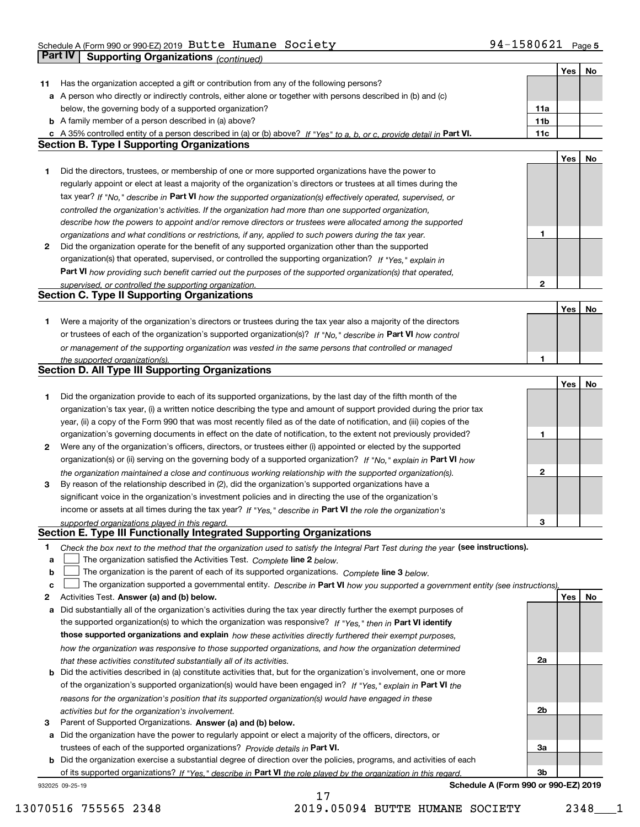**5** Schedule A (Form 990 or 990-EZ) 2019 Page Butte Humane Society 94-1580621 **Part IV** Supporting Organizations *(continued)* **Part IV Supporting Organizations** *<i>(continued)* **Part IV Part IV CONTINUES** 

|    |                                                                                                                                                                              |                 | Yes | No |
|----|------------------------------------------------------------------------------------------------------------------------------------------------------------------------------|-----------------|-----|----|
| 11 | Has the organization accepted a gift or contribution from any of the following persons?                                                                                      |                 |     |    |
|    | a A person who directly or indirectly controls, either alone or together with persons described in (b) and (c)                                                               |                 |     |    |
|    | below, the governing body of a supported organization?                                                                                                                       | 11a             |     |    |
|    | <b>b</b> A family member of a person described in (a) above?                                                                                                                 | 11 <sub>b</sub> |     |    |
|    |                                                                                                                                                                              |                 |     |    |
|    | c A 35% controlled entity of a person described in (a) or (b) above? If "Yes" to a, b, or c, provide detail in Part VI.<br><b>Section B. Type I Supporting Organizations</b> | 11c             |     |    |
|    |                                                                                                                                                                              |                 |     |    |
|    |                                                                                                                                                                              |                 | Yes | No |
| 1  | Did the directors, trustees, or membership of one or more supported organizations have the power to                                                                          |                 |     |    |
|    | regularly appoint or elect at least a majority of the organization's directors or trustees at all times during the                                                           |                 |     |    |
|    | tax year? If "No," describe in Part VI how the supported organization(s) effectively operated, supervised, or                                                                |                 |     |    |
|    | controlled the organization's activities. If the organization had more than one supported organization,                                                                      |                 |     |    |
|    | describe how the powers to appoint and/or remove directors or trustees were allocated among the supported                                                                    |                 |     |    |
|    | organizations and what conditions or restrictions, if any, applied to such powers during the tax year.                                                                       | 1               |     |    |
| 2  | Did the organization operate for the benefit of any supported organization other than the supported                                                                          |                 |     |    |
|    | organization(s) that operated, supervised, or controlled the supporting organization? If "Yes," explain in                                                                   |                 |     |    |
|    | Part VI how providing such benefit carried out the purposes of the supported organization(s) that operated,                                                                  |                 |     |    |
|    | supervised, or controlled the supporting organization.                                                                                                                       | $\mathbf{2}$    |     |    |
|    | <b>Section C. Type II Supporting Organizations</b>                                                                                                                           |                 |     |    |
|    |                                                                                                                                                                              |                 | Yes | No |
| 1  | Were a majority of the organization's directors or trustees during the tax year also a majority of the directors                                                             |                 |     |    |
|    | or trustees of each of the organization's supported organization(s)? If "No," describe in Part VI how control                                                                |                 |     |    |
|    |                                                                                                                                                                              |                 |     |    |
|    | or management of the supporting organization was vested in the same persons that controlled or managed                                                                       |                 |     |    |
|    | the supported organization(s).<br>Section D. All Type III Supporting Organizations                                                                                           | 1               |     |    |
|    |                                                                                                                                                                              |                 |     |    |
|    |                                                                                                                                                                              |                 | Yes | No |
| 1  | Did the organization provide to each of its supported organizations, by the last day of the fifth month of the                                                               |                 |     |    |
|    | organization's tax year, (i) a written notice describing the type and amount of support provided during the prior tax                                                        |                 |     |    |
|    | year, (ii) a copy of the Form 990 that was most recently filed as of the date of notification, and (iii) copies of the                                                       |                 |     |    |
|    | organization's governing documents in effect on the date of notification, to the extent not previously provided?                                                             | 1               |     |    |
| 2  | Were any of the organization's officers, directors, or trustees either (i) appointed or elected by the supported                                                             |                 |     |    |
|    | organization(s) or (ii) serving on the governing body of a supported organization? If "No," explain in Part VI how                                                           |                 |     |    |
|    | the organization maintained a close and continuous working relationship with the supported organization(s).                                                                  | $\mathbf{2}$    |     |    |
| 3  | By reason of the relationship described in (2), did the organization's supported organizations have a                                                                        |                 |     |    |
|    | significant voice in the organization's investment policies and in directing the use of the organization's                                                                   |                 |     |    |
|    | income or assets at all times during the tax year? If "Yes," describe in Part VI the role the organization's                                                                 |                 |     |    |
|    | supported organizations played in this regard.                                                                                                                               | 3               |     |    |
|    | Section E. Type III Functionally Integrated Supporting Organizations                                                                                                         |                 |     |    |
| 1  | Check the box next to the method that the organization used to satisfy the Integral Part Test during the year (see instructions).                                            |                 |     |    |
| a  | The organization satisfied the Activities Test. Complete line 2 below.                                                                                                       |                 |     |    |
| b  | The organization is the parent of each of its supported organizations. Complete line 3 below.                                                                                |                 |     |    |
| c  | The organization supported a governmental entity. Describe in Part VI how you supported a government entity (see instructions),                                              |                 |     |    |
| 2  | Activities Test. Answer (a) and (b) below.                                                                                                                                   |                 | Yes | No |
| a  | Did substantially all of the organization's activities during the tax year directly further the exempt purposes of                                                           |                 |     |    |
|    | the supported organization(s) to which the organization was responsive? If "Yes," then in Part VI identify                                                                   |                 |     |    |
|    |                                                                                                                                                                              |                 |     |    |
|    | those supported organizations and explain how these activities directly furthered their exempt purposes,                                                                     |                 |     |    |
|    | how the organization was responsive to those supported organizations, and how the organization determined                                                                    |                 |     |    |
|    | that these activities constituted substantially all of its activities.                                                                                                       | 2a              |     |    |
| b  | Did the activities described in (a) constitute activities that, but for the organization's involvement, one or more                                                          |                 |     |    |
|    | of the organization's supported organization(s) would have been engaged in? If "Yes," explain in Part VI the                                                                 |                 |     |    |
|    | reasons for the organization's position that its supported organization(s) would have engaged in these                                                                       |                 |     |    |
|    | activities but for the organization's involvement.                                                                                                                           | 2 <sub>b</sub>  |     |    |
| 3  | Parent of Supported Organizations. Answer (a) and (b) below.                                                                                                                 |                 |     |    |
|    | a Did the organization have the power to regularly appoint or elect a majority of the officers, directors, or                                                                |                 |     |    |
|    | trustees of each of the supported organizations? Provide details in Part VI.                                                                                                 | 3a              |     |    |
|    | <b>b</b> Did the organization exercise a substantial degree of direction over the policies, programs, and activities of each                                                 |                 |     |    |
|    | of its supported organizations? If "Yes," describe in Part VI the role played by the organization in this regard.                                                            | 3 <sub>b</sub>  |     |    |
|    | Schedule A (Form 990 or 990-EZ) 2019<br>932025 09-25-19                                                                                                                      |                 |     |    |

**Schedule A (Form 990 or 990-EZ) 2019**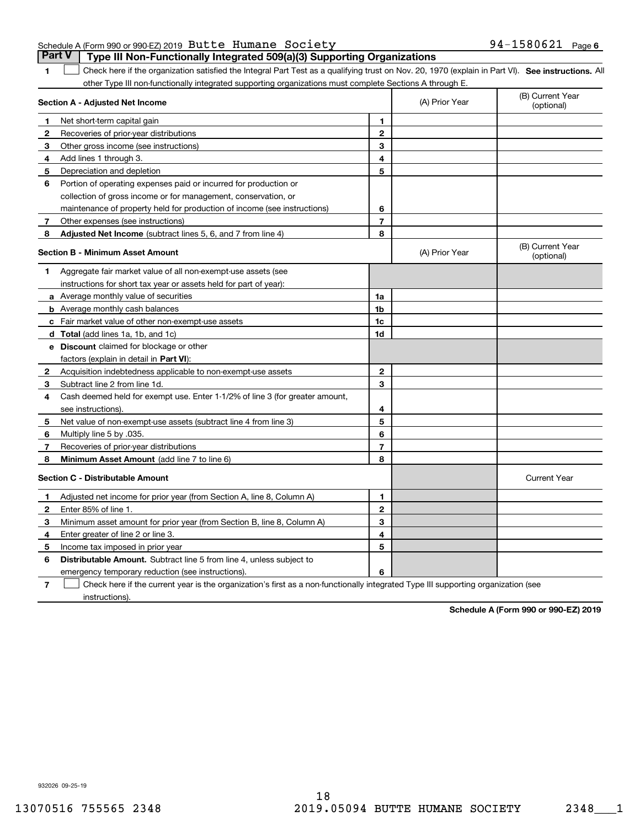|  | Schedule A (Form 990 or 990-EZ) 2019 Butte Humane Society |  |                                                                                       | $94 - 1580621$ Page 6 |  |
|--|-----------------------------------------------------------|--|---------------------------------------------------------------------------------------|-----------------------|--|
|  |                                                           |  | <b>Part V</b> Type III Non-Functionally Integrated 509(a)(3) Supporting Organizations |                       |  |

**1**

1 Check here if the organization satisfied the Integral Part Test as a qualifying trust on Nov. 20, 1970 (explain in Part VI). See instructions. All other Type III non-functionally integrated supporting organizations must complete Sections A through E.

|   | Section A - Adjusted Net Income                                                                                                   |                | (A) Prior Year | (B) Current Year<br>(optional) |
|---|-----------------------------------------------------------------------------------------------------------------------------------|----------------|----------------|--------------------------------|
| 1 | Net short-term capital gain                                                                                                       | 1              |                |                                |
| 2 | Recoveries of prior-year distributions                                                                                            | $\overline{2}$ |                |                                |
| 3 | Other gross income (see instructions)                                                                                             | 3              |                |                                |
| 4 | Add lines 1 through 3.                                                                                                            | 4              |                |                                |
| 5 | Depreciation and depletion                                                                                                        | 5              |                |                                |
| 6 | Portion of operating expenses paid or incurred for production or                                                                  |                |                |                                |
|   | collection of gross income or for management, conservation, or                                                                    |                |                |                                |
|   | maintenance of property held for production of income (see instructions)                                                          | 6              |                |                                |
| 7 | Other expenses (see instructions)                                                                                                 | 7              |                |                                |
| 8 | Adjusted Net Income (subtract lines 5, 6, and 7 from line 4)                                                                      | 8              |                |                                |
|   | <b>Section B - Minimum Asset Amount</b>                                                                                           |                | (A) Prior Year | (B) Current Year<br>(optional) |
| 1 | Aggregate fair market value of all non-exempt-use assets (see                                                                     |                |                |                                |
|   | instructions for short tax year or assets held for part of year):                                                                 |                |                |                                |
|   | a Average monthly value of securities                                                                                             | 1a             |                |                                |
|   | <b>b</b> Average monthly cash balances                                                                                            | 1b             |                |                                |
|   | c Fair market value of other non-exempt-use assets                                                                                | 1c             |                |                                |
|   | d Total (add lines 1a, 1b, and 1c)                                                                                                | 1d             |                |                                |
|   | e Discount claimed for blockage or other                                                                                          |                |                |                                |
|   | factors (explain in detail in Part VI):                                                                                           |                |                |                                |
| 2 | Acquisition indebtedness applicable to non-exempt-use assets                                                                      | $\mathbf 2$    |                |                                |
| 3 | Subtract line 2 from line 1d.                                                                                                     | 3              |                |                                |
| 4 | Cash deemed held for exempt use. Enter 1-1/2% of line 3 (for greater amount,                                                      |                |                |                                |
|   | see instructions)                                                                                                                 | 4              |                |                                |
| 5 | Net value of non-exempt-use assets (subtract line 4 from line 3)                                                                  | 5              |                |                                |
| 6 | Multiply line 5 by .035.                                                                                                          | 6              |                |                                |
| 7 | Recoveries of prior-year distributions                                                                                            | $\overline{7}$ |                |                                |
| 8 | Minimum Asset Amount (add line 7 to line 6)                                                                                       | 8              |                |                                |
|   | <b>Section C - Distributable Amount</b>                                                                                           |                |                | <b>Current Year</b>            |
| 1 | Adjusted net income for prior year (from Section A, line 8, Column A)                                                             | 1              |                |                                |
| 2 | Enter 85% of line 1                                                                                                               | $\overline{2}$ |                |                                |
| З | Minimum asset amount for prior year (from Section B, line 8, Column A)                                                            | 3              |                |                                |
| 4 | Enter greater of line 2 or line 3.                                                                                                | 4              |                |                                |
| 5 | Income tax imposed in prior year                                                                                                  | 5              |                |                                |
| 6 | <b>Distributable Amount.</b> Subtract line 5 from line 4, unless subject to                                                       |                |                |                                |
|   | emergency temporary reduction (see instructions).                                                                                 | 6              |                |                                |
| 7 | Check here if the current year is the organization's first as a non-functionally integrated Type III supporting organization (see |                |                |                                |

instructions).

**Schedule A (Form 990 or 990-EZ) 2019**

932026 09-25-19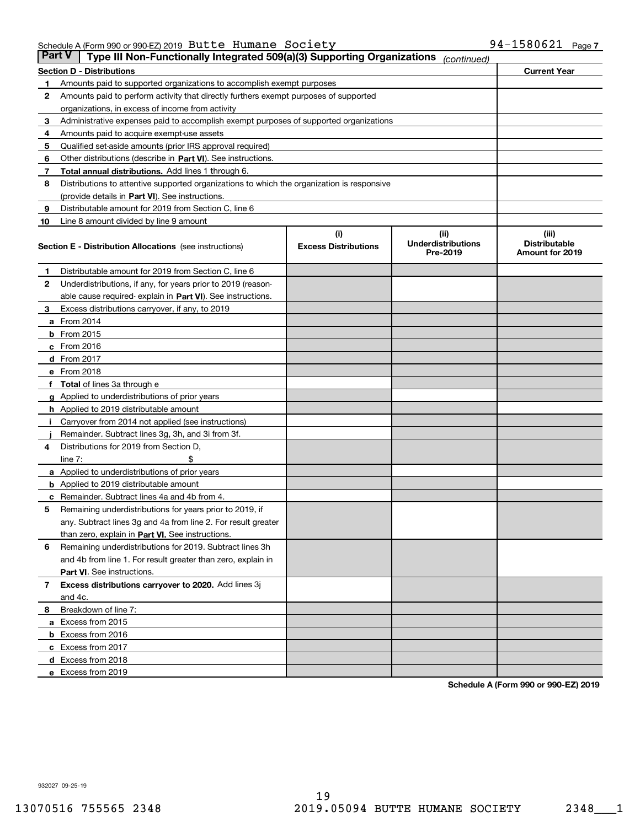| Part V | Type III Non-Functionally Integrated 509(a)(3) Supporting Organizations                    |                             | (continued)                           |                                         |
|--------|--------------------------------------------------------------------------------------------|-----------------------------|---------------------------------------|-----------------------------------------|
|        | <b>Section D - Distributions</b>                                                           |                             |                                       | <b>Current Year</b>                     |
| 1      | Amounts paid to supported organizations to accomplish exempt purposes                      |                             |                                       |                                         |
| 2      | Amounts paid to perform activity that directly furthers exempt purposes of supported       |                             |                                       |                                         |
|        | organizations, in excess of income from activity                                           |                             |                                       |                                         |
| з      | Administrative expenses paid to accomplish exempt purposes of supported organizations      |                             |                                       |                                         |
| 4      | Amounts paid to acquire exempt-use assets                                                  |                             |                                       |                                         |
| 5      | Qualified set-aside amounts (prior IRS approval required)                                  |                             |                                       |                                         |
| 6      | Other distributions (describe in Part VI). See instructions.                               |                             |                                       |                                         |
| 7      | <b>Total annual distributions.</b> Add lines 1 through 6.                                  |                             |                                       |                                         |
| 8      | Distributions to attentive supported organizations to which the organization is responsive |                             |                                       |                                         |
|        | (provide details in Part VI). See instructions.                                            |                             |                                       |                                         |
| 9      | Distributable amount for 2019 from Section C, line 6                                       |                             |                                       |                                         |
| 10     | Line 8 amount divided by line 9 amount                                                     |                             |                                       |                                         |
|        |                                                                                            | (i)                         | (iii)                                 | (iii)                                   |
|        | <b>Section E - Distribution Allocations</b> (see instructions)                             | <b>Excess Distributions</b> | <b>Underdistributions</b><br>Pre-2019 | <b>Distributable</b><br>Amount for 2019 |
| 1      | Distributable amount for 2019 from Section C, line 6                                       |                             |                                       |                                         |
| 2      | Underdistributions, if any, for years prior to 2019 (reason-                               |                             |                                       |                                         |
|        | able cause required- explain in <b>Part VI</b> ). See instructions.                        |                             |                                       |                                         |
| з      | Excess distributions carryover, if any, to 2019                                            |                             |                                       |                                         |
|        | <b>a</b> From 2014                                                                         |                             |                                       |                                         |
|        | <b>b</b> From 2015                                                                         |                             |                                       |                                         |
|        | $c$ From 2016                                                                              |                             |                                       |                                         |
|        | d From 2017                                                                                |                             |                                       |                                         |
|        | e From 2018                                                                                |                             |                                       |                                         |
|        | Total of lines 3a through e                                                                |                             |                                       |                                         |
|        | <b>g</b> Applied to underdistributions of prior years                                      |                             |                                       |                                         |
|        | <b>h</b> Applied to 2019 distributable amount                                              |                             |                                       |                                         |
|        | Carryover from 2014 not applied (see instructions)                                         |                             |                                       |                                         |
|        | Remainder. Subtract lines 3g, 3h, and 3i from 3f.                                          |                             |                                       |                                         |
| 4      | Distributions for 2019 from Section D,                                                     |                             |                                       |                                         |
|        | line $7:$                                                                                  |                             |                                       |                                         |
|        | <b>a</b> Applied to underdistributions of prior years                                      |                             |                                       |                                         |
|        | <b>b</b> Applied to 2019 distributable amount                                              |                             |                                       |                                         |
| c      | Remainder. Subtract lines 4a and 4b from 4.                                                |                             |                                       |                                         |
| 5      | Remaining underdistributions for years prior to 2019, if                                   |                             |                                       |                                         |
|        | any. Subtract lines 3g and 4a from line 2. For result greater                              |                             |                                       |                                         |
|        | than zero, explain in Part VI. See instructions.                                           |                             |                                       |                                         |
| 6      | Remaining underdistributions for 2019. Subtract lines 3h                                   |                             |                                       |                                         |
|        | and 4b from line 1. For result greater than zero, explain in                               |                             |                                       |                                         |
|        | Part VI. See instructions.                                                                 |                             |                                       |                                         |
| 7      | Excess distributions carryover to 2020. Add lines 3j                                       |                             |                                       |                                         |
|        | and 4c.                                                                                    |                             |                                       |                                         |
| 8      | Breakdown of line 7:                                                                       |                             |                                       |                                         |
|        | a Excess from 2015                                                                         |                             |                                       |                                         |
|        | <b>b</b> Excess from 2016                                                                  |                             |                                       |                                         |
|        | c Excess from 2017                                                                         |                             |                                       |                                         |
|        | d Excess from 2018                                                                         |                             |                                       |                                         |
|        | e Excess from 2019                                                                         |                             |                                       |                                         |
|        |                                                                                            |                             |                                       |                                         |

**Schedule A (Form 990 or 990-EZ) 2019**

932027 09-25-19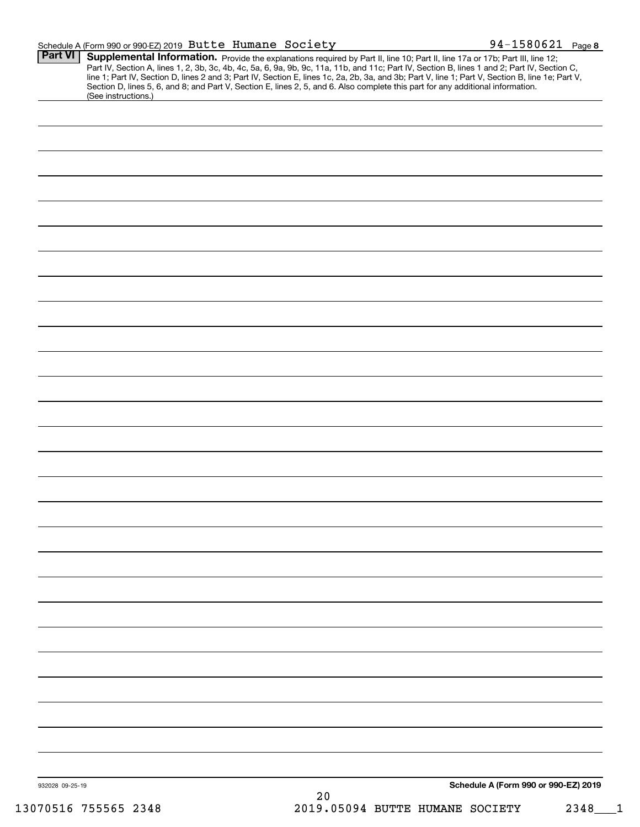| Schedule A (Form 990 or 990-EZ) 2019 $\,$ Butte $\,$ Humane $\,$ Society $\,$ |  |  |  |  |  | $94 - 1580621$ Page 8 |  |
|-------------------------------------------------------------------------------|--|--|--|--|--|-----------------------|--|
| $Part M \sim$ Cupplemental Information $-$                                    |  |  |  |  |  |                       |  |

| Part VI         | Supplemental Information. Provide the explanations required by Part II, line 10; Part II, line 17a or 17b; Part III, line 12;<br>Part IV, Section A, lines 1, 2, 3b, 3c, 4b, 4c, 5a, 6, 9a, 9b, 9c, 11a, 11b, and 11c; Part IV, Section B, lines 1 and 2; Part IV, Section C,<br>line 1; Part IV, Section D, lines 2 and 3; Part IV, Section E, lines 1c, 2a, 2b, 3a, and 3b; Part V, line 1; Part V, Section B, line 1e; Part V,<br>Section D, lines 5, 6, and 8; and Part V, Section E, lines 2, 5, and 6. Also complete this part for any additional information.<br>(See instructions.) |    |                                      |
|-----------------|---------------------------------------------------------------------------------------------------------------------------------------------------------------------------------------------------------------------------------------------------------------------------------------------------------------------------------------------------------------------------------------------------------------------------------------------------------------------------------------------------------------------------------------------------------------------------------------------|----|--------------------------------------|
|                 |                                                                                                                                                                                                                                                                                                                                                                                                                                                                                                                                                                                             |    |                                      |
|                 |                                                                                                                                                                                                                                                                                                                                                                                                                                                                                                                                                                                             |    |                                      |
|                 |                                                                                                                                                                                                                                                                                                                                                                                                                                                                                                                                                                                             |    |                                      |
|                 |                                                                                                                                                                                                                                                                                                                                                                                                                                                                                                                                                                                             |    |                                      |
|                 |                                                                                                                                                                                                                                                                                                                                                                                                                                                                                                                                                                                             |    |                                      |
|                 |                                                                                                                                                                                                                                                                                                                                                                                                                                                                                                                                                                                             |    |                                      |
|                 |                                                                                                                                                                                                                                                                                                                                                                                                                                                                                                                                                                                             |    |                                      |
|                 |                                                                                                                                                                                                                                                                                                                                                                                                                                                                                                                                                                                             |    |                                      |
|                 |                                                                                                                                                                                                                                                                                                                                                                                                                                                                                                                                                                                             |    |                                      |
|                 |                                                                                                                                                                                                                                                                                                                                                                                                                                                                                                                                                                                             |    |                                      |
|                 |                                                                                                                                                                                                                                                                                                                                                                                                                                                                                                                                                                                             |    |                                      |
|                 |                                                                                                                                                                                                                                                                                                                                                                                                                                                                                                                                                                                             |    |                                      |
|                 |                                                                                                                                                                                                                                                                                                                                                                                                                                                                                                                                                                                             |    |                                      |
|                 |                                                                                                                                                                                                                                                                                                                                                                                                                                                                                                                                                                                             |    |                                      |
|                 |                                                                                                                                                                                                                                                                                                                                                                                                                                                                                                                                                                                             |    |                                      |
|                 |                                                                                                                                                                                                                                                                                                                                                                                                                                                                                                                                                                                             |    |                                      |
|                 |                                                                                                                                                                                                                                                                                                                                                                                                                                                                                                                                                                                             |    |                                      |
|                 |                                                                                                                                                                                                                                                                                                                                                                                                                                                                                                                                                                                             |    |                                      |
|                 |                                                                                                                                                                                                                                                                                                                                                                                                                                                                                                                                                                                             |    |                                      |
|                 |                                                                                                                                                                                                                                                                                                                                                                                                                                                                                                                                                                                             |    |                                      |
|                 |                                                                                                                                                                                                                                                                                                                                                                                                                                                                                                                                                                                             |    |                                      |
|                 |                                                                                                                                                                                                                                                                                                                                                                                                                                                                                                                                                                                             |    |                                      |
|                 |                                                                                                                                                                                                                                                                                                                                                                                                                                                                                                                                                                                             |    |                                      |
|                 |                                                                                                                                                                                                                                                                                                                                                                                                                                                                                                                                                                                             |    |                                      |
|                 |                                                                                                                                                                                                                                                                                                                                                                                                                                                                                                                                                                                             |    |                                      |
|                 |                                                                                                                                                                                                                                                                                                                                                                                                                                                                                                                                                                                             |    |                                      |
|                 |                                                                                                                                                                                                                                                                                                                                                                                                                                                                                                                                                                                             |    |                                      |
|                 |                                                                                                                                                                                                                                                                                                                                                                                                                                                                                                                                                                                             |    |                                      |
|                 |                                                                                                                                                                                                                                                                                                                                                                                                                                                                                                                                                                                             |    |                                      |
|                 |                                                                                                                                                                                                                                                                                                                                                                                                                                                                                                                                                                                             |    |                                      |
|                 |                                                                                                                                                                                                                                                                                                                                                                                                                                                                                                                                                                                             |    |                                      |
|                 |                                                                                                                                                                                                                                                                                                                                                                                                                                                                                                                                                                                             |    |                                      |
|                 |                                                                                                                                                                                                                                                                                                                                                                                                                                                                                                                                                                                             |    |                                      |
|                 |                                                                                                                                                                                                                                                                                                                                                                                                                                                                                                                                                                                             |    |                                      |
|                 |                                                                                                                                                                                                                                                                                                                                                                                                                                                                                                                                                                                             |    |                                      |
| 932028 09-25-19 |                                                                                                                                                                                                                                                                                                                                                                                                                                                                                                                                                                                             | 20 | Schedule A (Form 990 or 990-EZ) 2019 |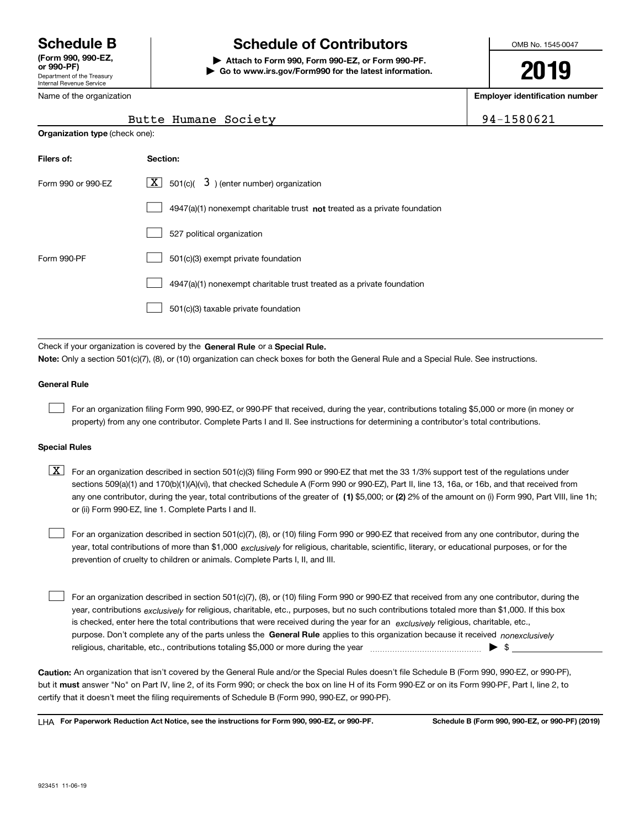Department of the Treasury Internal Revenue Service **(Form 990, 990-EZ, or 990-PF)** Name of the organization

# **Schedule B Schedule of Contributors**

**| Attach to Form 990, Form 990-EZ, or Form 990-PF. | Go to www.irs.gov/Form990 for the latest information.** OMB No. 1545-0047

# **2019**

**Employer identification number**

94-1580621

|  | Butte Humane Society |
|--|----------------------|
|  |                      |

| <b>Organization type (check one):</b> |                                                                                    |  |  |  |
|---------------------------------------|------------------------------------------------------------------------------------|--|--|--|
| Filers of:                            | Section:                                                                           |  |  |  |
| Form 990 or 990-EZ                    | $ \mathbf{X} $ 501(c)( 3) (enter number) organization                              |  |  |  |
|                                       | $4947(a)(1)$ nonexempt charitable trust <b>not</b> treated as a private foundation |  |  |  |
|                                       | 527 political organization                                                         |  |  |  |
| Form 990-PF                           | 501(c)(3) exempt private foundation                                                |  |  |  |
|                                       | 4947(a)(1) nonexempt charitable trust treated as a private foundation              |  |  |  |
|                                       | 501(c)(3) taxable private foundation                                               |  |  |  |

Check if your organization is covered by the **General Rule** or a **Special Rule. Note:**  Only a section 501(c)(7), (8), or (10) organization can check boxes for both the General Rule and a Special Rule. See instructions.

### **General Rule**

 $\mathcal{L}^{\text{max}}$ 

For an organization filing Form 990, 990-EZ, or 990-PF that received, during the year, contributions totaling \$5,000 or more (in money or property) from any one contributor. Complete Parts I and II. See instructions for determining a contributor's total contributions.

### **Special Rules**

any one contributor, during the year, total contributions of the greater of  $\,$  (1) \$5,000; or **(2)** 2% of the amount on (i) Form 990, Part VIII, line 1h;  $\boxed{\textbf{X}}$  For an organization described in section 501(c)(3) filing Form 990 or 990-EZ that met the 33 1/3% support test of the regulations under sections 509(a)(1) and 170(b)(1)(A)(vi), that checked Schedule A (Form 990 or 990-EZ), Part II, line 13, 16a, or 16b, and that received from or (ii) Form 990-EZ, line 1. Complete Parts I and II.

year, total contributions of more than \$1,000 *exclusively* for religious, charitable, scientific, literary, or educational purposes, or for the For an organization described in section 501(c)(7), (8), or (10) filing Form 990 or 990-EZ that received from any one contributor, during the prevention of cruelty to children or animals. Complete Parts I, II, and III.  $\mathcal{L}^{\text{max}}$ 

purpose. Don't complete any of the parts unless the **General Rule** applies to this organization because it received *nonexclusively* year, contributions <sub>exclusively</sub> for religious, charitable, etc., purposes, but no such contributions totaled more than \$1,000. If this box is checked, enter here the total contributions that were received during the year for an  $\;$ exclusively religious, charitable, etc., For an organization described in section 501(c)(7), (8), or (10) filing Form 990 or 990-EZ that received from any one contributor, during the religious, charitable, etc., contributions totaling \$5,000 or more during the year  $\Box$ — $\Box$   $\Box$  $\mathcal{L}^{\text{max}}$ 

**Caution:**  An organization that isn't covered by the General Rule and/or the Special Rules doesn't file Schedule B (Form 990, 990-EZ, or 990-PF),  **must** but it answer "No" on Part IV, line 2, of its Form 990; or check the box on line H of its Form 990-EZ or on its Form 990-PF, Part I, line 2, to certify that it doesn't meet the filing requirements of Schedule B (Form 990, 990-EZ, or 990-PF).

**For Paperwork Reduction Act Notice, see the instructions for Form 990, 990-EZ, or 990-PF. Schedule B (Form 990, 990-EZ, or 990-PF) (2019)** LHA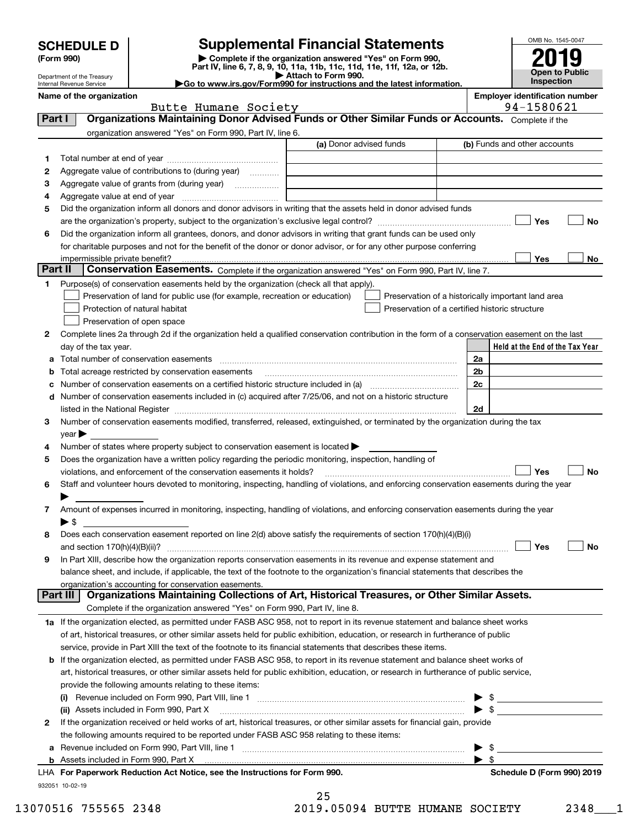|                |                                                        |                                                                                                        | <b>Supplemental Financial Statements</b>                                                                                                       |    | OMB No. 1545-0047                                   |
|----------------|--------------------------------------------------------|--------------------------------------------------------------------------------------------------------|------------------------------------------------------------------------------------------------------------------------------------------------|----|-----------------------------------------------------|
|                | <b>SCHEDULE D</b><br>(Form 990)                        |                                                                                                        | Complete if the organization answered "Yes" on Form 990,                                                                                       |    |                                                     |
|                |                                                        |                                                                                                        | Part IV, line 6, 7, 8, 9, 10, 11a, 11b, 11c, 11d, 11e, 11f, 12a, or 12b.                                                                       |    | <b>Open to Public</b>                               |
|                | Department of the Treasury<br>Internal Revenue Service |                                                                                                        | Attach to Form 990.<br>Go to www.irs.gov/Form990 for instructions and the latest information.                                                  |    | Inspection                                          |
|                | Name of the organization                               | Butte Humane Society                                                                                   |                                                                                                                                                |    | <b>Employer identification number</b><br>94-1580621 |
| Part I         |                                                        |                                                                                                        | Organizations Maintaining Donor Advised Funds or Other Similar Funds or Accounts. Complete if the                                              |    |                                                     |
|                |                                                        | organization answered "Yes" on Form 990, Part IV, line 6.                                              |                                                                                                                                                |    |                                                     |
|                |                                                        |                                                                                                        | (a) Donor advised funds                                                                                                                        |    | (b) Funds and other accounts                        |
| 1              |                                                        |                                                                                                        |                                                                                                                                                |    |                                                     |
| 2              |                                                        | Aggregate value of contributions to (during year)                                                      |                                                                                                                                                |    |                                                     |
| з              |                                                        |                                                                                                        |                                                                                                                                                |    |                                                     |
| 4              |                                                        |                                                                                                        |                                                                                                                                                |    |                                                     |
| 5              |                                                        |                                                                                                        | Did the organization inform all donors and donor advisors in writing that the assets held in donor advised funds                               |    |                                                     |
|                |                                                        |                                                                                                        |                                                                                                                                                |    | Yes<br>No                                           |
| 6              |                                                        |                                                                                                        | Did the organization inform all grantees, donors, and donor advisors in writing that grant funds can be used only                              |    |                                                     |
|                |                                                        |                                                                                                        | for charitable purposes and not for the benefit of the donor or donor advisor, or for any other purpose conferring                             |    |                                                     |
|                | impermissible private benefit?                         |                                                                                                        |                                                                                                                                                |    | Yes<br>No                                           |
| <b>Part II</b> |                                                        |                                                                                                        | Conservation Easements. Complete if the organization answered "Yes" on Form 990, Part IV, line 7.                                              |    |                                                     |
| 1.             |                                                        | Purpose(s) of conservation easements held by the organization (check all that apply).                  |                                                                                                                                                |    |                                                     |
|                |                                                        | Preservation of land for public use (for example, recreation or education)                             | Preservation of a historically important land area                                                                                             |    |                                                     |
|                |                                                        | Protection of natural habitat                                                                          | Preservation of a certified historic structure                                                                                                 |    |                                                     |
|                |                                                        | Preservation of open space                                                                             |                                                                                                                                                |    |                                                     |
| 2              |                                                        |                                                                                                        | Complete lines 2a through 2d if the organization held a qualified conservation contribution in the form of a conservation easement on the last |    |                                                     |
|                | day of the tax year.                                   |                                                                                                        |                                                                                                                                                |    | Held at the End of the Tax Year                     |
| а              |                                                        | Total number of conservation easements                                                                 |                                                                                                                                                | 2a |                                                     |
| b              |                                                        | Total acreage restricted by conservation easements                                                     |                                                                                                                                                | 2b |                                                     |
| с              |                                                        |                                                                                                        | Number of conservation easements on a certified historic structure included in (a) manufacture of conservation                                 | 2c |                                                     |
| d              |                                                        |                                                                                                        | Number of conservation easements included in (c) acquired after 7/25/06, and not on a historic structure                                       |    |                                                     |
|                |                                                        |                                                                                                        |                                                                                                                                                | 2d |                                                     |
| З              |                                                        |                                                                                                        | Number of conservation easements modified, transferred, released, extinguished, or terminated by the organization during the tax               |    |                                                     |
|                | $year \triangleright$                                  |                                                                                                        |                                                                                                                                                |    |                                                     |
|                |                                                        | Number of states where property subject to conservation easement is located >                          |                                                                                                                                                |    |                                                     |
| 5              |                                                        | Does the organization have a written policy regarding the periodic monitoring, inspection, handling of |                                                                                                                                                |    |                                                     |
|                |                                                        | violations, and enforcement of the conservation easements it holds?                                    |                                                                                                                                                |    | Yes<br>No                                           |
| 6              |                                                        |                                                                                                        | Staff and volunteer hours devoted to monitoring, inspecting, handling of violations, and enforcing conservation easements during the year      |    |                                                     |
|                |                                                        |                                                                                                        |                                                                                                                                                |    |                                                     |
| 7              |                                                        |                                                                                                        | Amount of expenses incurred in monitoring, inspecting, handling of violations, and enforcing conservation easements during the year            |    |                                                     |
|                | $\blacktriangleright$ \$                               |                                                                                                        |                                                                                                                                                |    |                                                     |
| 8              |                                                        |                                                                                                        | Does each conservation easement reported on line 2(d) above satisfy the requirements of section 170(h)(4)(B)(i)                                |    |                                                     |
|                |                                                        |                                                                                                        |                                                                                                                                                |    | Yes<br>No                                           |
| 9              |                                                        |                                                                                                        | In Part XIII, describe how the organization reports conservation easements in its revenue and expense statement and                            |    |                                                     |
|                |                                                        |                                                                                                        | balance sheet, and include, if applicable, the text of the footnote to the organization's financial statements that describes the              |    |                                                     |
|                |                                                        | organization's accounting for conservation easements.                                                  |                                                                                                                                                |    |                                                     |
|                | Part III                                               |                                                                                                        | Organizations Maintaining Collections of Art, Historical Treasures, or Other Similar Assets.                                                   |    |                                                     |
|                |                                                        | Complete if the organization answered "Yes" on Form 990, Part IV, line 8.                              |                                                                                                                                                |    |                                                     |
|                |                                                        |                                                                                                        | 1a If the organization elected, as permitted under FASB ASC 958, not to report in its revenue statement and balance sheet works                |    |                                                     |
|                |                                                        |                                                                                                        | of art, historical treasures, or other similar assets held for public exhibition, education, or research in furtherance of public              |    |                                                     |

| or art, motorical treasures, or other similar assets held for public exhibition, caucation, or research in idit |
|-----------------------------------------------------------------------------------------------------------------|
| service, provide in Part XIII the text of the footnote to its financial statements that describes these items.  |

| <b>b</b> If the organization elected, as permitted under FASB ASC 958, to report in its revenue statement and balance sheet works of    |                         |  |
|-----------------------------------------------------------------------------------------------------------------------------------------|-------------------------|--|
| art, historical treasures, or other similar assets held for public exhibition, education, or research in furtherance of public service, |                         |  |
| provide the following amounts relating to these items:                                                                                  |                         |  |
| Revenue included on Form 990, Part VIII, line 1<br>(i)                                                                                  | $\blacktriangleright$ s |  |

|   | <b>III</b> Revenue included Off Form 350, Fall VIII, line T                                                                  |                            |
|---|------------------------------------------------------------------------------------------------------------------------------|----------------------------|
|   | (ii) Assets included in Form 990, Part X                                                                                     |                            |
| 2 | If the organization received or held works of art, historical treasures, or other similar assets for financial gain, provide |                            |
|   | the following amounts required to be reported under FASB ASC 958 relating to these items:                                    |                            |
|   | a Revenue included on Form 990, Part VIII, line 1                                                                            |                            |
|   |                                                                                                                              |                            |
|   | LHA For Paperwork Reduction Act Notice, see the Instructions for Form 990.                                                   | Schedule D (Form 990) 2019 |
|   | 932051 10-02-19                                                                                                              |                            |

| 25 |             |  |
|----|-------------|--|
| Q  | <b>OEOO</b> |  |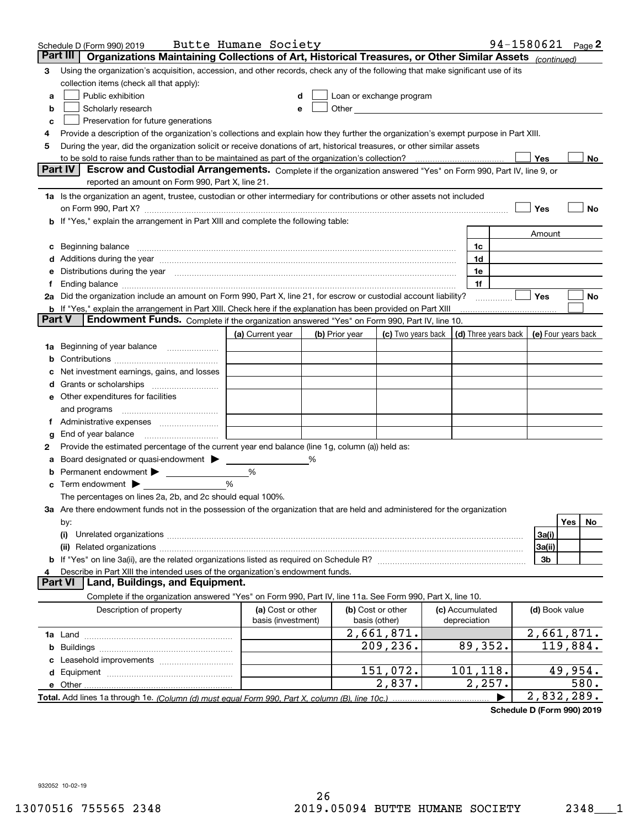|        | Schedule D (Form 990) 2019                                                                                                                                                                                                     | Butte Humane Society                    |   |                |                                                                                                                                                                                                                               |                                 | 94-1580621 |                | Page 2     |
|--------|--------------------------------------------------------------------------------------------------------------------------------------------------------------------------------------------------------------------------------|-----------------------------------------|---|----------------|-------------------------------------------------------------------------------------------------------------------------------------------------------------------------------------------------------------------------------|---------------------------------|------------|----------------|------------|
|        | Part III<br>Organizations Maintaining Collections of Art, Historical Treasures, or Other Similar Assets (continued)                                                                                                            |                                         |   |                |                                                                                                                                                                                                                               |                                 |            |                |            |
| 3      | Using the organization's acquisition, accession, and other records, check any of the following that make significant use of its                                                                                                |                                         |   |                |                                                                                                                                                                                                                               |                                 |            |                |            |
|        | collection items (check all that apply):                                                                                                                                                                                       |                                         |   |                |                                                                                                                                                                                                                               |                                 |            |                |            |
| a      | Public exhibition                                                                                                                                                                                                              |                                         |   |                | Loan or exchange program                                                                                                                                                                                                      |                                 |            |                |            |
| b      | Scholarly research                                                                                                                                                                                                             |                                         |   |                | Other and the contract of the contract of the contract of the contract of the contract of the contract of the contract of the contract of the contract of the contract of the contract of the contract of the contract of the |                                 |            |                |            |
| с      | Preservation for future generations                                                                                                                                                                                            |                                         |   |                |                                                                                                                                                                                                                               |                                 |            |                |            |
| 4      | Provide a description of the organization's collections and explain how they further the organization's exempt purpose in Part XIII.                                                                                           |                                         |   |                |                                                                                                                                                                                                                               |                                 |            |                |            |
| 5      | During the year, did the organization solicit or receive donations of art, historical treasures, or other similar assets                                                                                                       |                                         |   |                |                                                                                                                                                                                                                               |                                 |            |                |            |
|        | to be sold to raise funds rather than to be maintained as part of the organization's collection?<br><b>Part IV</b>                                                                                                             |                                         |   |                |                                                                                                                                                                                                                               | . <u>.</u>                      |            | <b>Yes</b>     | No         |
|        | Escrow and Custodial Arrangements. Complete if the organization answered "Yes" on Form 990, Part IV, line 9, or<br>reported an amount on Form 990, Part X, line 21.                                                            |                                         |   |                |                                                                                                                                                                                                                               |                                 |            |                |            |
|        | 1a Is the organization an agent, trustee, custodian or other intermediary for contributions or other assets not included                                                                                                       |                                         |   |                |                                                                                                                                                                                                                               |                                 |            |                |            |
|        | on Form 990, Part X? [11] matter contracts and contracts and contracts are contracted as a form 990, Part X?                                                                                                                   |                                         |   |                |                                                                                                                                                                                                                               |                                 |            | Yes            | No         |
|        | <b>b</b> If "Yes," explain the arrangement in Part XIII and complete the following table:                                                                                                                                      |                                         |   |                |                                                                                                                                                                                                                               |                                 |            |                |            |
|        |                                                                                                                                                                                                                                |                                         |   |                |                                                                                                                                                                                                                               |                                 |            | Amount         |            |
| c      | Beginning balance <u>www.maren.communication.communication.communication.communication.com</u>                                                                                                                                 |                                         |   |                |                                                                                                                                                                                                                               | 1c                              |            |                |            |
|        |                                                                                                                                                                                                                                |                                         |   |                |                                                                                                                                                                                                                               | 1d                              |            |                |            |
|        | e Distributions during the year manufactured and continuum and contact the year manufactured and contact the year manufactured and contact the year manufactured and contact the year manufactured and contact the year manufa |                                         |   |                |                                                                                                                                                                                                                               | 1e                              |            |                |            |
|        |                                                                                                                                                                                                                                |                                         |   |                |                                                                                                                                                                                                                               | 1f                              |            |                |            |
|        | 2a Did the organization include an amount on Form 990, Part X, line 21, for escrow or custodial account liability?                                                                                                             |                                         |   |                |                                                                                                                                                                                                                               |                                 | .          | Yes            | No         |
|        | <b>b</b> If "Yes," explain the arrangement in Part XIII. Check here if the explanation has been provided on Part XIII                                                                                                          |                                         |   |                |                                                                                                                                                                                                                               |                                 |            |                |            |
| Part V | Endowment Funds. Complete if the organization answered "Yes" on Form 990, Part IV, line 10.                                                                                                                                    |                                         |   |                |                                                                                                                                                                                                                               |                                 |            |                |            |
|        |                                                                                                                                                                                                                                | (a) Current year                        |   | (b) Prior year | (c) Two years back $\vert$ (d) Three years back $\vert$ (e) Four years back                                                                                                                                                   |                                 |            |                |            |
|        | 1a Beginning of year balance                                                                                                                                                                                                   |                                         |   |                |                                                                                                                                                                                                                               |                                 |            |                |            |
| b      |                                                                                                                                                                                                                                |                                         |   |                |                                                                                                                                                                                                                               |                                 |            |                |            |
|        | Net investment earnings, gains, and losses                                                                                                                                                                                     |                                         |   |                |                                                                                                                                                                                                                               |                                 |            |                |            |
|        |                                                                                                                                                                                                                                |                                         |   |                |                                                                                                                                                                                                                               |                                 |            |                |            |
|        | e Other expenditures for facilities                                                                                                                                                                                            |                                         |   |                |                                                                                                                                                                                                                               |                                 |            |                |            |
|        | and programs                                                                                                                                                                                                                   |                                         |   |                |                                                                                                                                                                                                                               |                                 |            |                |            |
|        | f Administrative expenses                                                                                                                                                                                                      |                                         |   |                |                                                                                                                                                                                                                               |                                 |            |                |            |
| g      | End of year balance <i>manually contained</i>                                                                                                                                                                                  |                                         |   |                |                                                                                                                                                                                                                               |                                 |            |                |            |
| 2      | Provide the estimated percentage of the current year end balance (line 1g, column (a)) held as:                                                                                                                                |                                         |   |                |                                                                                                                                                                                                                               |                                 |            |                |            |
| а      | Board designated or quasi-endowment<br>Permanent endowment >                                                                                                                                                                   |                                         | % |                |                                                                                                                                                                                                                               |                                 |            |                |            |
| b      | <b>c</b> Term endowment $\blacktriangleright$                                                                                                                                                                                  | %<br>%                                  |   |                |                                                                                                                                                                                                                               |                                 |            |                |            |
|        | The percentages on lines 2a, 2b, and 2c should equal 100%.                                                                                                                                                                     |                                         |   |                |                                                                                                                                                                                                                               |                                 |            |                |            |
|        | 3a Are there endowment funds not in the possession of the organization that are held and administered for the organization                                                                                                     |                                         |   |                |                                                                                                                                                                                                                               |                                 |            |                |            |
|        | by:                                                                                                                                                                                                                            |                                         |   |                |                                                                                                                                                                                                                               |                                 |            |                | Yes<br>No. |
|        | (i)                                                                                                                                                                                                                            |                                         |   |                |                                                                                                                                                                                                                               |                                 |            | 3a(i)          |            |
|        |                                                                                                                                                                                                                                |                                         |   |                |                                                                                                                                                                                                                               |                                 |            | 3a(ii)         |            |
|        |                                                                                                                                                                                                                                |                                         |   |                |                                                                                                                                                                                                                               |                                 |            | 3b             |            |
|        | Describe in Part XIII the intended uses of the organization's endowment funds.                                                                                                                                                 |                                         |   |                |                                                                                                                                                                                                                               |                                 |            |                |            |
|        | Land, Buildings, and Equipment.<br><b>Part VI</b>                                                                                                                                                                              |                                         |   |                |                                                                                                                                                                                                                               |                                 |            |                |            |
|        | Complete if the organization answered "Yes" on Form 990, Part IV, line 11a. See Form 990, Part X, line 10.                                                                                                                     |                                         |   |                |                                                                                                                                                                                                                               |                                 |            |                |            |
|        | Description of property                                                                                                                                                                                                        | (a) Cost or other<br>basis (investment) |   |                | (b) Cost or other<br>basis (other)                                                                                                                                                                                            | (c) Accumulated<br>depreciation |            | (d) Book value |            |
|        |                                                                                                                                                                                                                                |                                         |   |                | 2,661,871.                                                                                                                                                                                                                    |                                 |            |                | 2,661,871. |
| b      |                                                                                                                                                                                                                                |                                         |   |                | 209,236.                                                                                                                                                                                                                      | 89,352.                         |            |                | 119,884.   |
|        |                                                                                                                                                                                                                                |                                         |   |                |                                                                                                                                                                                                                               |                                 |            |                |            |
|        |                                                                                                                                                                                                                                |                                         |   |                | 151,072.                                                                                                                                                                                                                      | 101,118.                        |            |                | 49,954.    |
|        |                                                                                                                                                                                                                                |                                         |   |                | 2,837.                                                                                                                                                                                                                        | 2,257.                          |            |                | 580.       |
|        | Total. Add lines 1a through 1e. (Column (d) must equal Form 990. Part X, column (B), line 10c.)                                                                                                                                |                                         |   |                |                                                                                                                                                                                                                               |                                 |            |                | 2,832,289. |

**Schedule D (Form 990) 2019**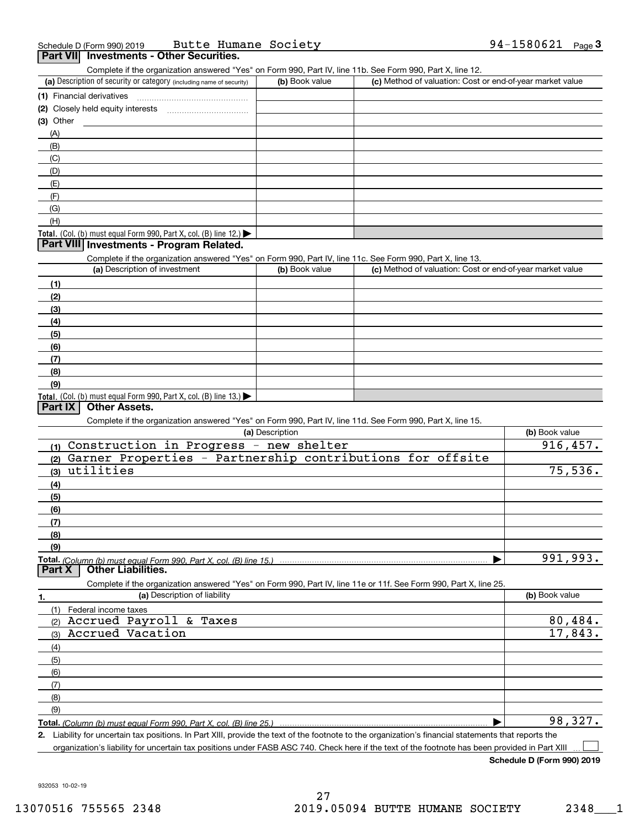| Schedule D (Form 990) 2019 |                                                 | Butte Humane Society |  | 94-1580621 | Page |
|----------------------------|-------------------------------------------------|----------------------|--|------------|------|
|                            | <b>Part VII</b> Investments - Other Securities. |                      |  |            |      |

| Complete if the organization answered "Yes" on Form 990, Part IV, line 11b. See Form 990, Part X, line 12.        |                 |                                                           |                |
|-------------------------------------------------------------------------------------------------------------------|-----------------|-----------------------------------------------------------|----------------|
| (a) Description of security or category (including name of security)                                              | (b) Book value  | (c) Method of valuation: Cost or end-of-year market value |                |
| (1) Financial derivatives                                                                                         |                 |                                                           |                |
|                                                                                                                   |                 |                                                           |                |
| $(3)$ Other                                                                                                       |                 |                                                           |                |
| (A)                                                                                                               |                 |                                                           |                |
| (B)                                                                                                               |                 |                                                           |                |
| (C)                                                                                                               |                 |                                                           |                |
| (D)                                                                                                               |                 |                                                           |                |
| (E)                                                                                                               |                 |                                                           |                |
| (F)                                                                                                               |                 |                                                           |                |
| (G)                                                                                                               |                 |                                                           |                |
| (H)                                                                                                               |                 |                                                           |                |
| <b>Total.</b> (Col. (b) must equal Form 990, Part X, col. (B) line 12.)                                           |                 |                                                           |                |
| Part VIII Investments - Program Related.                                                                          |                 |                                                           |                |
| Complete if the organization answered "Yes" on Form 990, Part IV, line 11c. See Form 990, Part X, line 13.        |                 |                                                           |                |
| (a) Description of investment                                                                                     | (b) Book value  | (c) Method of valuation: Cost or end-of-year market value |                |
| (1)                                                                                                               |                 |                                                           |                |
| (2)                                                                                                               |                 |                                                           |                |
| (3)                                                                                                               |                 |                                                           |                |
| (4)                                                                                                               |                 |                                                           |                |
| (5)                                                                                                               |                 |                                                           |                |
| (6)                                                                                                               |                 |                                                           |                |
| (7)                                                                                                               |                 |                                                           |                |
| (8)                                                                                                               |                 |                                                           |                |
| (9)                                                                                                               |                 |                                                           |                |
| Total. (Col. (b) must equal Form 990, Part X, col. (B) line $13.$ )                                               |                 |                                                           |                |
| <b>Part IX</b><br><b>Other Assets.</b>                                                                            |                 |                                                           |                |
| Complete if the organization answered "Yes" on Form 990, Part IV, line 11d. See Form 990, Part X, line 15.        |                 |                                                           |                |
|                                                                                                                   | (a) Description |                                                           | (b) Book value |
| (1) Construction in Progress - new shelter                                                                        |                 |                                                           | 916,457.       |
| Garner Properties - Partnership contributions for offsite<br>(2)                                                  |                 |                                                           |                |
| utilities<br>(3)                                                                                                  |                 |                                                           | 75,536.        |
| (4)                                                                                                               |                 |                                                           |                |
| (5)                                                                                                               |                 |                                                           |                |
| (6)                                                                                                               |                 |                                                           |                |
| (7)                                                                                                               |                 |                                                           |                |
| (8)                                                                                                               |                 |                                                           |                |
| (9)                                                                                                               |                 |                                                           |                |
| Total. (Column (b) must equal Form 990. Part X. col. (B) line 15.)                                                |                 |                                                           | 991,993.       |
| <b>Part X</b><br><b>Other Liabilities.</b>                                                                        |                 |                                                           |                |
| Complete if the organization answered "Yes" on Form 990, Part IV, line 11e or 11f. See Form 990, Part X, line 25. |                 |                                                           |                |
| (a) Description of liability<br>1.                                                                                |                 |                                                           | (b) Book value |
| Federal income taxes<br>(1)                                                                                       |                 |                                                           |                |
| Accrued Payroll & Taxes<br>(2)                                                                                    |                 |                                                           | 80,484.        |
| Accrued Vacation<br>(3)                                                                                           |                 |                                                           | 17,843.        |
| (4)                                                                                                               |                 |                                                           |                |
| (5)                                                                                                               |                 |                                                           |                |
| (6)                                                                                                               |                 |                                                           |                |
| (7)                                                                                                               |                 |                                                           |                |
| (8)                                                                                                               |                 |                                                           |                |
| (9)                                                                                                               |                 |                                                           |                |
| Total. (Column (b) must equal Form 990, Part X, col. (B) line 25.)                                                |                 |                                                           | 98,327.        |
|                                                                                                                   |                 |                                                           |                |

**2.** Liability for uncertain tax positions. In Part XIII, provide the text of the footnote to the organization's financial statements that reports the organization's liability for uncertain tax positions under FASB ASC 740. Check here if the text of the footnote has been provided in Part XIII  $\mathcal{L}^{\text{max}}$ 

**Schedule D (Form 990) 2019**

932053 10-02-19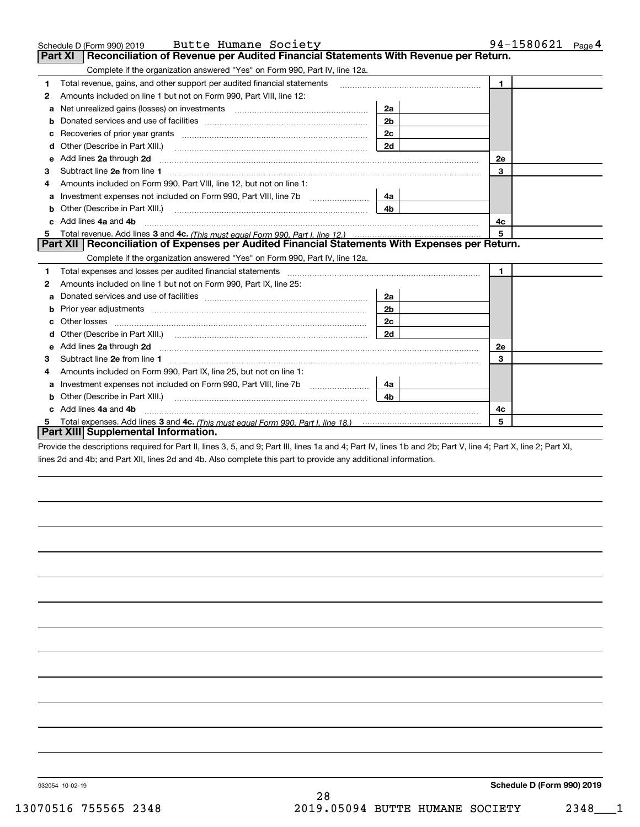|   | Butte Humane Society<br>Schedule D (Form 990) 2019                                                                                                                                                                                  |                | 94-1580621 Page 4 |
|---|-------------------------------------------------------------------------------------------------------------------------------------------------------------------------------------------------------------------------------------|----------------|-------------------|
|   | Reconciliation of Revenue per Audited Financial Statements With Revenue per Return.<br><b>Part XI</b>                                                                                                                               |                |                   |
|   | Complete if the organization answered "Yes" on Form 990, Part IV, line 12a.                                                                                                                                                         |                |                   |
| 1 | Total revenue, gains, and other support per audited financial statements                                                                                                                                                            |                | $\mathbf{1}$      |
| 2 | Amounts included on line 1 but not on Form 990, Part VIII, line 12:                                                                                                                                                                 |                |                   |
| a |                                                                                                                                                                                                                                     | 2a             |                   |
| b |                                                                                                                                                                                                                                     | 2 <sub>b</sub> |                   |
| с |                                                                                                                                                                                                                                     | 2c             |                   |
| d | Other (Describe in Part XIII.)                                                                                                                                                                                                      | 2d             |                   |
| е | Add lines 2a through 2d                                                                                                                                                                                                             |                | <b>2e</b>         |
| з |                                                                                                                                                                                                                                     |                | 3                 |
|   | Amounts included on Form 990, Part VIII, line 12, but not on line 1:                                                                                                                                                                |                |                   |
| a | Investment expenses not included on Form 990, Part VIII, line 7b                                                                                                                                                                    | 4a             |                   |
| b | Other (Describe in Part XIII.)                                                                                                                                                                                                      | 4 <sub>b</sub> |                   |
|   | Add lines 4a and 4b                                                                                                                                                                                                                 |                | 4с                |
| 5 |                                                                                                                                                                                                                                     |                | 5                 |
|   | Part XII   Reconciliation of Expenses per Audited Financial Statements With Expenses per Return.                                                                                                                                    |                |                   |
|   | Complete if the organization answered "Yes" on Form 990, Part IV, line 12a.                                                                                                                                                         |                |                   |
| 1 |                                                                                                                                                                                                                                     |                | 1.                |
| 2 | Amounts included on line 1 but not on Form 990, Part IX, line 25:                                                                                                                                                                   |                |                   |
| a |                                                                                                                                                                                                                                     | 2a             |                   |
| b |                                                                                                                                                                                                                                     | 2b             |                   |
| c |                                                                                                                                                                                                                                     | 2c             |                   |
|   |                                                                                                                                                                                                                                     | 2d             |                   |
| е | Add lines 2a through 2d <b>contract and all anomalisation</b> and all and all anomalisation of the state of the state of the state of the state of the state of the state of the state of the state of the state of the state of th |                | 2e                |
| 3 |                                                                                                                                                                                                                                     |                | 3                 |
| 4 | Amounts included on Form 990, Part IX, line 25, but not on line 1:                                                                                                                                                                  |                |                   |
| a |                                                                                                                                                                                                                                     | 4a             |                   |
| b |                                                                                                                                                                                                                                     | 4b.            |                   |
|   | c Add lines 4a and 4b                                                                                                                                                                                                               |                | 4с                |
|   |                                                                                                                                                                                                                                     |                | 5                 |
|   | Part XIII Supplemental Information.                                                                                                                                                                                                 |                |                   |

Provide the descriptions required for Part II, lines 3, 5, and 9; Part III, lines 1a and 4; Part IV, lines 1b and 2b; Part V, line 4; Part X, line 2; Part XI, lines 2d and 4b; and Part XII, lines 2d and 4b. Also complete this part to provide any additional information.